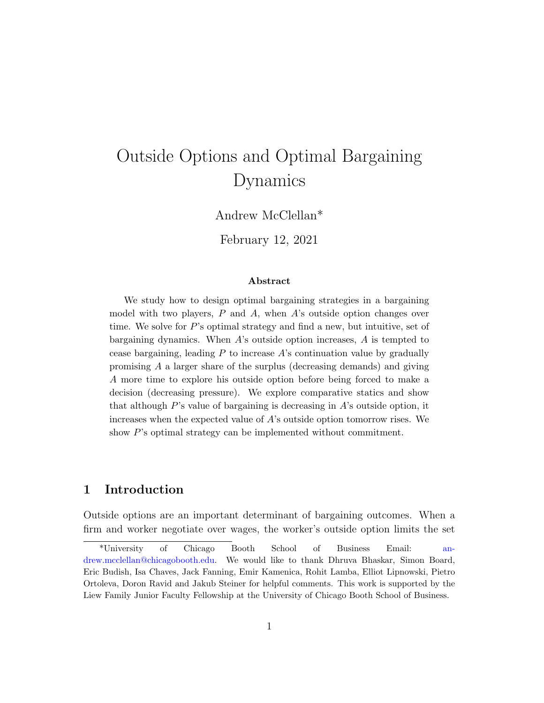# Outside Options and Optimal Bargaining Dynamics

Andrew McClellan\*

February 12, 2021

#### Abstract

We study how to design optimal bargaining strategies in a bargaining model with two players,  $P$  and  $A$ , when  $A$ 's outside option changes over time. We solve for  $P$ 's optimal strategy and find a new, but intuitive, set of bargaining dynamics. When A's outside option increases, A is tempted to cease bargaining, leading  $P$  to increase  $A$ 's continuation value by gradually promising A a larger share of the surplus (decreasing demands) and giving A more time to explore his outside option before being forced to make a decision (decreasing pressure). We explore comparative statics and show that although P's value of bargaining is decreasing in A's outside option, it increases when the expected value of  $A$ 's outside option tomorrow rises. We show P's optimal strategy can be implemented without commitment.

### 1 Introduction

Outside options are an important determinant of bargaining outcomes. When a firm and worker negotiate over wages, the worker's outside option limits the set

<sup>\*</sup>University of Chicago Booth School of Business Email: [an](mailto: andrew.mcclellan@chicagobooth.edu)[drew.mcclellan@chicagobooth.edu.](mailto: andrew.mcclellan@chicagobooth.edu) We would like to thank Dhruva Bhaskar, Simon Board, Eric Budish, Isa Chaves, Jack Fanning, Emir Kamenica, Rohit Lamba, Elliot Lipnowski, Pietro Ortoleva, Doron Ravid and Jakub Steiner for helpful comments. This work is supported by the Liew Family Junior Faculty Fellowship at the University of Chicago Booth School of Business.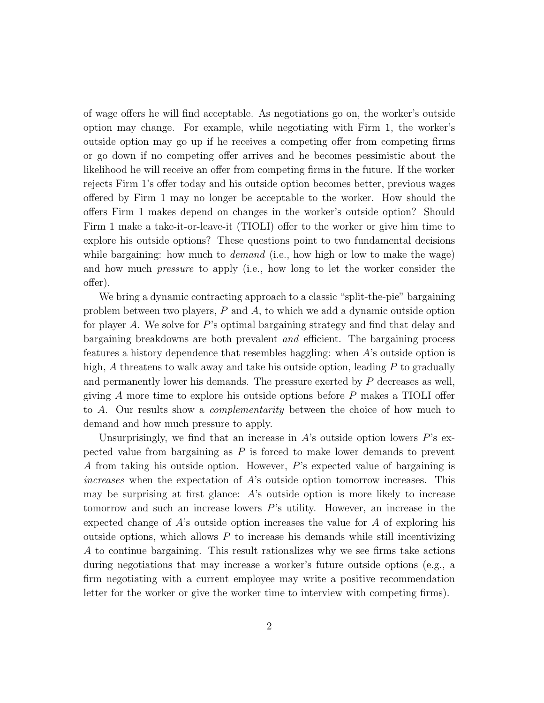of wage offers he will find acceptable. As negotiations go on, the worker's outside option may change. For example, while negotiating with Firm 1, the worker's outside option may go up if he receives a competing offer from competing firms or go down if no competing offer arrives and he becomes pessimistic about the likelihood he will receive an offer from competing firms in the future. If the worker rejects Firm 1's offer today and his outside option becomes better, previous wages offered by Firm 1 may no longer be acceptable to the worker. How should the offers Firm 1 makes depend on changes in the worker's outside option? Should Firm 1 make a take-it-or-leave-it (TIOLI) offer to the worker or give him time to explore his outside options? These questions point to two fundamental decisions while bargaining: how much to *demand* (i.e., how high or low to make the wage) and how much pressure to apply (i.e., how long to let the worker consider the offer).

We bring a dynamic contracting approach to a classic "split-the-pie" bargaining problem between two players, P and A, to which we add a dynamic outside option for player A. We solve for P's optimal bargaining strategy and find that delay and bargaining breakdowns are both prevalent and efficient. The bargaining process features a history dependence that resembles haggling: when A's outside option is high, A threatens to walk away and take his outside option, leading  $P$  to gradually and permanently lower his demands. The pressure exerted by P decreases as well, giving  $A$  more time to explore his outside options before  $P$  makes a TIOLI offer to A. Our results show a complementarity between the choice of how much to demand and how much pressure to apply.

Unsurprisingly, we find that an increase in  $A$ 's outside option lowers  $P$ 's expected value from bargaining as P is forced to make lower demands to prevent A from taking his outside option. However, P's expected value of bargaining is increases when the expectation of A's outside option tomorrow increases. This may be surprising at first glance: A's outside option is more likely to increase tomorrow and such an increase lowers  $P$ 's utility. However, an increase in the expected change of  $A$ 's outside option increases the value for  $A$  of exploring his outside options, which allows  $P$  to increase his demands while still incentivizing A to continue bargaining. This result rationalizes why we see firms take actions during negotiations that may increase a worker's future outside options (e.g., a firm negotiating with a current employee may write a positive recommendation letter for the worker or give the worker time to interview with competing firms).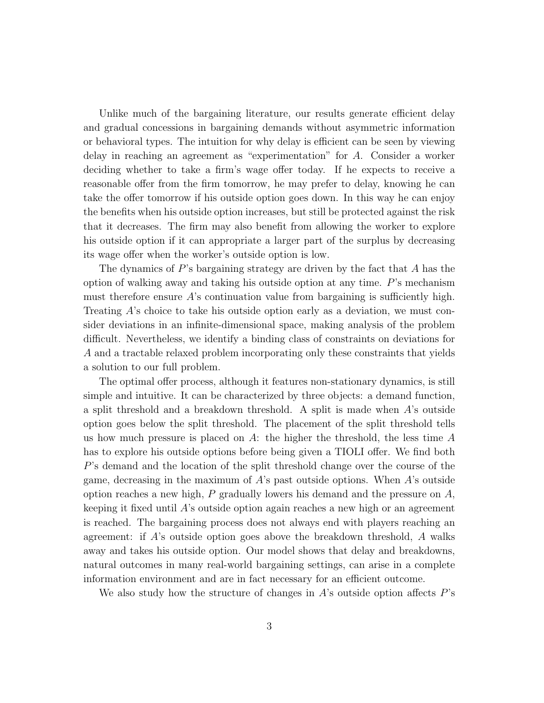Unlike much of the bargaining literature, our results generate efficient delay and gradual concessions in bargaining demands without asymmetric information or behavioral types. The intuition for why delay is efficient can be seen by viewing delay in reaching an agreement as "experimentation" for A. Consider a worker deciding whether to take a firm's wage offer today. If he expects to receive a reasonable offer from the firm tomorrow, he may prefer to delay, knowing he can take the offer tomorrow if his outside option goes down. In this way he can enjoy the benefits when his outside option increases, but still be protected against the risk that it decreases. The firm may also benefit from allowing the worker to explore his outside option if it can appropriate a larger part of the surplus by decreasing its wage offer when the worker's outside option is low.

The dynamics of  $P$ 's bargaining strategy are driven by the fact that  $A$  has the option of walking away and taking his outside option at any time. P's mechanism must therefore ensure  $A$ 's continuation value from bargaining is sufficiently high. Treating A's choice to take his outside option early as a deviation, we must consider deviations in an infinite-dimensional space, making analysis of the problem difficult. Nevertheless, we identify a binding class of constraints on deviations for A and a tractable relaxed problem incorporating only these constraints that yields a solution to our full problem.

The optimal offer process, although it features non-stationary dynamics, is still simple and intuitive. It can be characterized by three objects: a demand function, a split threshold and a breakdown threshold. A split is made when A's outside option goes below the split threshold. The placement of the split threshold tells us how much pressure is placed on  $A$ : the higher the threshold, the less time  $A$ has to explore his outside options before being given a TIOLI offer. We find both P's demand and the location of the split threshold change over the course of the game, decreasing in the maximum of  $A$ 's past outside options. When  $A$ 's outside option reaches a new high,  $P$  gradually lowers his demand and the pressure on  $A$ , keeping it fixed until A's outside option again reaches a new high or an agreement is reached. The bargaining process does not always end with players reaching an agreement: if A's outside option goes above the breakdown threshold, A walks away and takes his outside option. Our model shows that delay and breakdowns, natural outcomes in many real-world bargaining settings, can arise in a complete information environment and are in fact necessary for an efficient outcome.

We also study how the structure of changes in  $A$ 's outside option affects  $P$ 's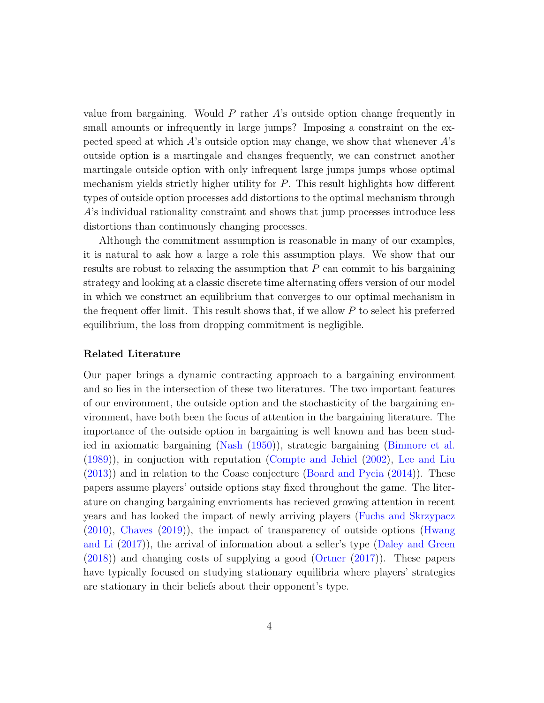value from bargaining. Would  $P$  rather  $A$ 's outside option change frequently in small amounts or infrequently in large jumps? Imposing a constraint on the expected speed at which  $A$ 's outside option may change, we show that whenever  $A$ 's outside option is a martingale and changes frequently, we can construct another martingale outside option with only infrequent large jumps jumps whose optimal mechanism yields strictly higher utility for  $P$ . This result highlights how different types of outside option processes add distortions to the optimal mechanism through A's individual rationality constraint and shows that jump processes introduce less distortions than continuously changing processes.

Although the commitment assumption is reasonable in many of our examples, it is natural to ask how a large a role this assumption plays. We show that our results are robust to relaxing the assumption that  $P$  can commit to his bargaining strategy and looking at a classic discrete time alternating offers version of our model in which we construct an equilibrium that converges to our optimal mechanism in the frequent offer limit. This result shows that, if we allow P to select his preferred equilibrium, the loss from dropping commitment is negligible.

#### Related Literature

Our paper brings a dynamic contracting approach to a bargaining environment and so lies in the intersection of these two literatures. The two important features of our environment, the outside option and the stochasticity of the bargaining environment, have both been the focus of attention in the bargaining literature. The importance of the outside option in bargaining is well known and has been studied in axiomatic bargaining [\(Nash](#page-24-0) [\(1950\)](#page-24-0)), strategic bargaining [\(Binmore et al.](#page-23-0) [\(1989\)](#page-23-0)), in conjuction with reputation [\(Compte and Jehiel](#page-24-1) [\(2002\)](#page-24-1), [Lee and Liu](#page-24-2) [\(2013\)](#page-24-2)) and in relation to the Coase conjecture [\(Board and Pycia](#page-23-1) [\(2014\)](#page-23-1)). These papers assume players' outside options stay fixed throughout the game. The literature on changing bargaining envrioments has recieved growing attention in recent years and has looked the impact of newly arriving players [\(Fuchs and Skrzypacz](#page-24-3) [\(2010\)](#page-24-3), [Chaves](#page-23-2) [\(2019\)](#page-23-2)), the impact of transparency of outside options [\(Hwang](#page-24-4) [and Li](#page-24-4) [\(2017\)](#page-24-4)), the arrival of information about a seller's type [\(Daley and Green](#page-24-5) [\(2018\)](#page-24-5)) and changing costs of supplying a good [\(Ortner](#page-24-6) [\(2017\)](#page-24-6)). These papers have typically focused on studying stationary equilibria where players' strategies are stationary in their beliefs about their opponent's type.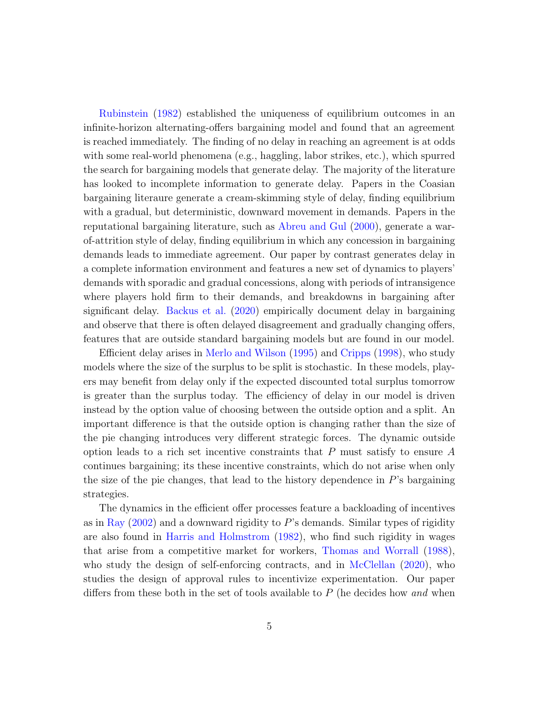[Rubinstein](#page-24-7) [\(1982\)](#page-24-7) established the uniqueness of equilibrium outcomes in an infinite-horizon alternating-offers bargaining model and found that an agreement is reached immediately. The finding of no delay in reaching an agreement is at odds with some real-world phenomena (e.g., haggling, labor strikes, etc.), which spurred the search for bargaining models that generate delay. The majority of the literature has looked to incomplete information to generate delay. Papers in the Coasian bargaining literaure generate a cream-skimming style of delay, finding equilibrium with a gradual, but deterministic, downward movement in demands. Papers in the reputational bargaining literature, such as [Abreu and Gul](#page-23-3) [\(2000\)](#page-23-3), generate a warof-attrition style of delay, finding equilibrium in which any concession in bargaining demands leads to immediate agreement. Our paper by contrast generates delay in a complete information environment and features a new set of dynamics to players' demands with sporadic and gradual concessions, along with periods of intransigence where players hold firm to their demands, and breakdowns in bargaining after significant delay. [Backus et al.](#page-23-4) [\(2020\)](#page-23-4) empirically document delay in bargaining and observe that there is often delayed disagreement and gradually changing offers, features that are outside standard bargaining models but are found in our model.

Efficient delay arises in [Merlo and Wilson](#page-24-8) [\(1995\)](#page-24-8) and [Cripps](#page-24-9) [\(1998\)](#page-24-9), who study models where the size of the surplus to be split is stochastic. In these models, players may benefit from delay only if the expected discounted total surplus tomorrow is greater than the surplus today. The efficiency of delay in our model is driven instead by the option value of choosing between the outside option and a split. An important difference is that the outside option is changing rather than the size of the pie changing introduces very different strategic forces. The dynamic outside option leads to a rich set incentive constraints that  $P$  must satisfy to ensure  $A$ continues bargaining; its these incentive constraints, which do not arise when only the size of the pie changes, that lead to the history dependence in  $P$ 's bargaining strategies.

The dynamics in the efficient offer processes feature a backloading of incentives as in [Ray](#page-24-10)  $(2002)$  and a downward rigidity to P's demands. Similar types of rigidity are also found in [Harris and Holmstrom](#page-24-11) [\(1982\)](#page-24-11), who find such rigidity in wages that arise from a competitive market for workers, [Thomas and Worrall](#page-25-0) [\(1988\)](#page-25-0), who study the design of self-enforcing contracts, and in [McClellan](#page-24-12) [\(2020\)](#page-24-12), who studies the design of approval rules to incentivize experimentation. Our paper differs from these both in the set of tools available to  $P$  (he decides how and when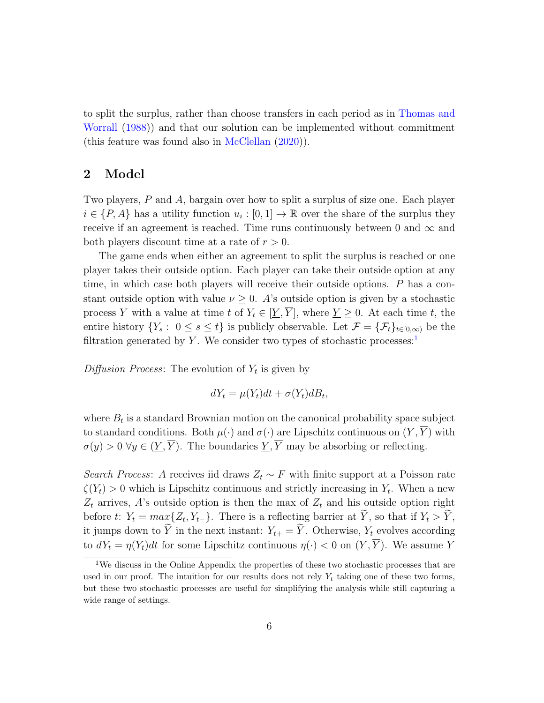to split the surplus, rather than choose transfers in each period as in [Thomas and](#page-25-0) [Worrall](#page-25-0) [\(1988\)](#page-25-0)) and that our solution can be implemented without commitment (this feature was found also in [McClellan](#page-24-12) [\(2020\)](#page-24-12)).

### 2 Model

Two players, P and A, bargain over how to split a surplus of size one. Each player  $i \in \{P, A\}$  has a utility function  $u_i : [0, 1] \to \mathbb{R}$  over the share of the surplus they receive if an agreement is reached. Time runs continuously between 0 and  $\infty$  and both players discount time at a rate of  $r > 0$ .

The game ends when either an agreement to split the surplus is reached or one player takes their outside option. Each player can take their outside option at any time, in which case both players will receive their outside options. P has a constant outside option with value  $\nu \geq 0$ . A's outside option is given by a stochastic process Y with a value at time t of  $Y_t \in [\underline{Y}, \overline{Y}]$ , where  $\underline{Y} \geq 0$ . At each time t, the entire history  $\{Y_s: 0 \le s \le t\}$  is publicly observable. Let  $\mathcal{F} = {\{\mathcal{F}_t\}}_{t \in [0,\infty)}$  be the filtration generated by Y. We consider two types of stochastic processes:

Diffusion Process: The evolution of  $Y_t$  is given by

$$
dY_t = \mu(Y_t)dt + \sigma(Y_t)dB_t,
$$

where  $B_t$  is a standard Brownian motion on the canonical probability space subject to standard conditions. Both  $\mu(\cdot)$  and  $\sigma(\cdot)$  are Lipschitz continuous on  $(Y, \overline{Y})$  with  $\sigma(y) > 0 \ \forall y \in (\underline{Y}, \overline{Y})$ . The boundaries  $\underline{Y}, \overline{Y}$  may be absorbing or reflecting.

Search Process: A receives iid draws  $Z_t \sim F$  with finite support at a Poisson rate  $\zeta(Y_t) > 0$  which is Lipschitz continuous and strictly increasing in  $Y_t$ . When a new  $Z_t$  arrives, A's outside option is then the max of  $Z_t$  and his outside option right before t:  $Y_t = max\{Z_t, Y_{t-}\}\$ . There is a reflecting barrier at Y, so that if  $Y_t > Y$ , it jumps down to  $\widetilde{Y}$  in the next instant:  $Y_{t+} = \widetilde{Y}$ . Otherwise,  $Y_t$  evolves according to  $dY_t = \eta(Y_t)dt$  for some Lipschitz continuous  $\eta(\cdot) < 0$  on  $(\underline{Y}, \overline{Y})$ . We assume  $\underline{Y}$ 

<span id="page-5-0"></span><sup>1</sup>We discuss in the Online Appendix the properties of these two stochastic processes that are used in our proof. The intuition for our results does not rely  $Y_t$  taking one of these two forms, but these two stochastic processes are useful for simplifying the analysis while still capturing a wide range of settings.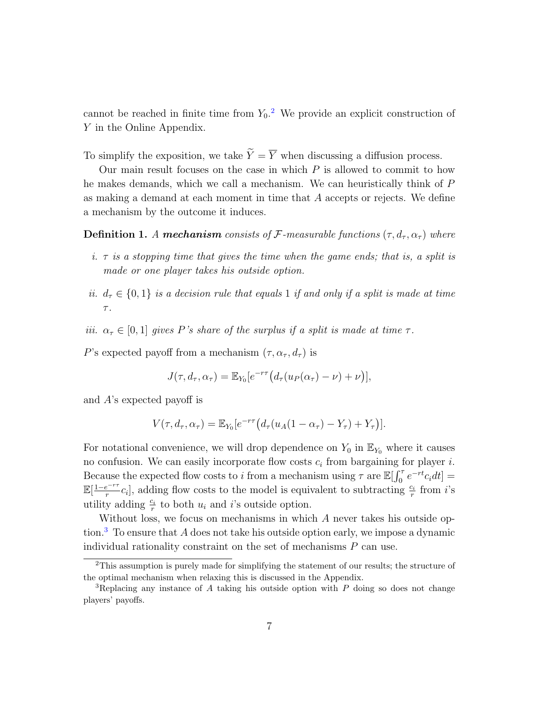cannot be reached in finite time from  $Y_0$ .<sup>[2](#page-6-0)</sup> We provide an explicit construction of Y in the Online Appendix.

To simplify the exposition, we take  $\widetilde{Y} = \overline{Y}$  when discussing a diffusion process.

Our main result focuses on the case in which  $P$  is allowed to commit to how he makes demands, which we call a mechanism. We can heuristically think of P as making a demand at each moment in time that A accepts or rejects. We define a mechanism by the outcome it induces.

**Definition 1.** A mechanism consists of F-measurable functions  $(\tau, d_\tau, \alpha_\tau)$  where

- i.  $\tau$  is a stopping time that gives the time when the game ends; that is, a split is made or one player takes his outside option.
- ii.  $d_{\tau} \in \{0, 1\}$  is a decision rule that equals 1 if and only if a split is made at time  $\tau$ .
- iii.  $\alpha_{\tau} \in [0,1]$  gives P's share of the surplus if a split is made at time  $\tau$ .

P's expected payoff from a mechanism  $(\tau, \alpha_{\tau}, d_{\tau})$  is

$$
J(\tau, d_{\tau}, \alpha_{\tau}) = \mathbb{E}_{Y_0}[e^{-r\tau}(d_{\tau}(u_P(\alpha_{\tau}) - \nu) + \nu)],
$$

and A's expected payoff is

$$
V(\tau, d_{\tau}, \alpha_{\tau}) = \mathbb{E}_{Y_0}[e^{-r\tau}(d_{\tau}(u_A(1-\alpha_{\tau}) - Y_{\tau}) + Y_{\tau})].
$$

For notational convenience, we will drop dependence on  $Y_0$  in  $\mathbb{E}_{Y_0}$  where it causes no confusion. We can easily incorporate flow costs  $c_i$  from bargaining for player i. Because the expected flow costs to i from a mechanism using  $\tau$  are  $\mathbb{E}[\int_0^{\tau} e^{-rt}c_i dt] =$  $\mathbb{E}[\frac{1-e^{-r\tau}}{r}]$  $\frac{e^{-r\tau}}{r}c_i$ , adding flow costs to the model is equivalent to subtracting  $\frac{c_i}{r}$  from *i*'s utility adding  $\frac{c_i}{r}$  to both  $u_i$  and i's outside option.

Without loss, we focus on mechanisms in which A never takes his outside op-tion.<sup>[3](#page-6-1)</sup> To ensure that A does not take his outside option early, we impose a dynamic individual rationality constraint on the set of mechanisms  $P$  can use.

<span id="page-6-0"></span><sup>&</sup>lt;sup>2</sup>This assumption is purely made for simplifying the statement of our results; the structure of the optimal mechanism when relaxing this is discussed in the Appendix.

<span id="page-6-1"></span><sup>&</sup>lt;sup>3</sup>Replacing any instance of A taking his outside option with  $P$  doing so does not change players' payoffs.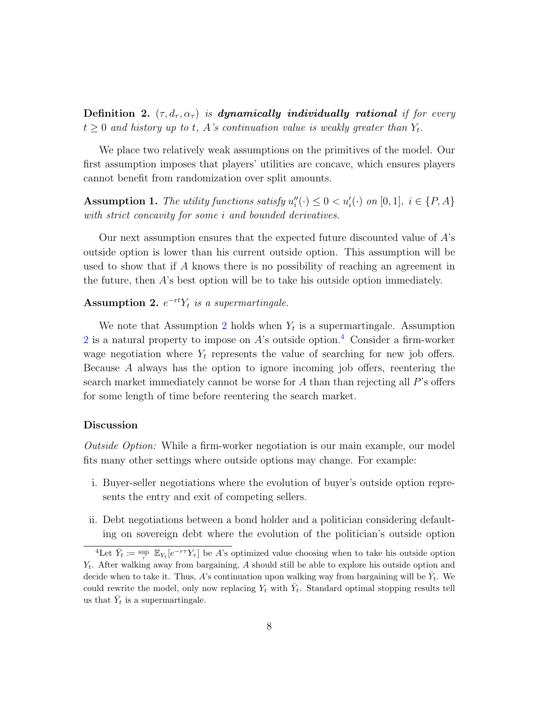Definition 2.  $(\tau, d_{\tau}, \alpha_{\tau})$  is dynamically individually rational if for every  $t \geq 0$  and history up to t, A's continuation value is weakly greater than  $Y_t$ .

We place two relatively weak assumptions on the primitives of the model. Our first assumption imposes that players' utilities are concave, which ensures players cannot benefit from randomization over split amounts.

**Assumption 1.** The utility functions satisfy  $u''_i(\cdot) \leq 0 < u'_i(\cdot)$  on [0, 1],  $i \in \{P, A\}$ with strict concavity for some *i* and bounded derivatives.

Our next assumption ensures that the expected future discounted value of A's outside option is lower than his current outside option. This assumption will be used to show that if A knows there is no possibility of reaching an agreement in the future, then A's best option will be to take his outside option immediately.

### <span id="page-7-0"></span>Assumption 2.  $e^{-rt}Y_t$  is a supermartingale.

We note that Assumption [2](#page-7-0) holds when  $Y_t$  is a supermartingale. Assumption [2](#page-7-0) is a natural property to impose on  $A$ 's outside option.<sup>[4](#page-7-1)</sup> Consider a firm-worker wage negotiation where  $Y_t$  represents the value of searching for new job offers. Because A always has the option to ignore incoming job offers, reentering the search market immediately cannot be worse for A than than rejecting all  $P$ 's offers for some length of time before reentering the search market.

#### Discussion

Outside Option: While a firm-worker negotiation is our main example, our model fits many other settings where outside options may change. For example:

- i. Buyer-seller negotiations where the evolution of buyer's outside option represents the entry and exit of competing sellers.
- ii. Debt negotiations between a bond holder and a politician considering defaulting on sovereign debt where the evolution of the politician's outside option

<span id="page-7-1"></span><sup>&</sup>lt;sup>4</sup>Let  $\bar{Y}_t \coloneqq \sup_{\tau} \mathbb{E}_{Y_t}[e^{-r\tau}Y_{\tau}]$  be A's optimized value choosing when to take his outside option  $Y_t$ . After walking away from bargaining, A should still be able to explore his outside option and decide when to take it. Thus, A's continuation upon walking way from bargaining will be  $\bar{Y}_t$ . We could rewrite the model, only now replacing  $Y_t$  with  $\bar{Y}_t$ . Standard optimal stopping results tell us that  $\bar{Y}_t$  is a supermartingale.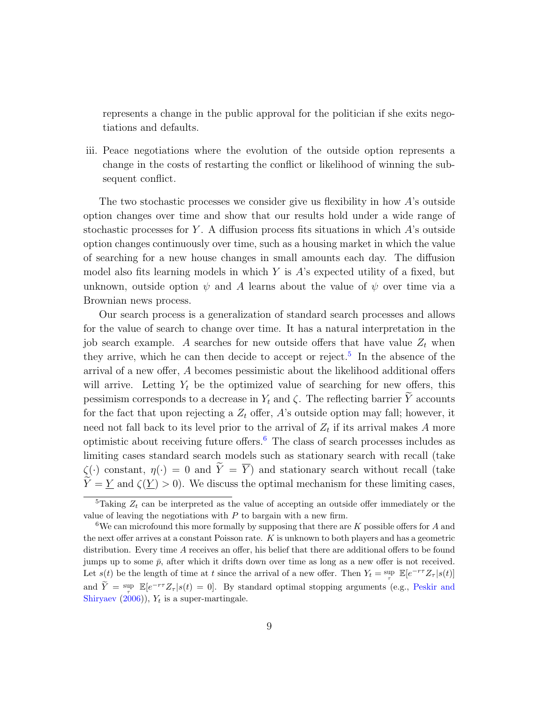represents a change in the public approval for the politician if she exits negotiations and defaults.

iii. Peace negotiations where the evolution of the outside option represents a change in the costs of restarting the conflict or likelihood of winning the subsequent conflict.

The two stochastic processes we consider give us flexibility in how  $A$ 's outside option changes over time and show that our results hold under a wide range of stochastic processes for Y. A diffusion process fits situations in which  $A$ 's outside option changes continuously over time, such as a housing market in which the value of searching for a new house changes in small amounts each day. The diffusion model also fits learning models in which  $Y$  is  $\hat{A}$ 's expected utility of a fixed, but unknown, outside option  $\psi$  and A learns about the value of  $\psi$  over time via a Brownian news process.

Our search process is a generalization of standard search processes and allows for the value of search to change over time. It has a natural interpretation in the job search example. A searches for new outside offers that have value  $Z_t$  when they arrive, which he can then decide to accept or reject.<sup>[5](#page-8-0)</sup> In the absence of the arrival of a new offer, A becomes pessimistic about the likelihood additional offers will arrive. Letting  $Y_t$  be the optimized value of searching for new offers, this pessimism corresponds to a decrease in  $Y_t$  and  $\zeta$ . The reflecting barrier  $\widetilde{Y}$  accounts for the fact that upon rejecting a  $Z_t$  offer, A's outside option may fall; however, it need not fall back to its level prior to the arrival of  $Z_t$  if its arrival makes A more optimistic about receiving future offers.[6](#page-8-1) The class of search processes includes as limiting cases standard search models such as stationary search with recall (take  $\zeta(\cdot)$  constant,  $\eta(\cdot) = 0$  and  $\widetilde{Y} = \overline{Y}$  and stationary search without recall (take  $\widetilde{Y} = Y$  and  $\zeta(Y) > 0$ . We discuss the optimal mechanism for these limiting cases,

<span id="page-8-0"></span><sup>&</sup>lt;sup>5</sup>Taking  $Z_t$  can be interpreted as the value of accepting an outside offer immediately or the value of leaving the negotiations with  $P$  to bargain with a new firm.

<span id="page-8-1"></span><sup>&</sup>lt;sup>6</sup>We can microfound this more formally by supposing that there are K possible offers for A and the next offer arrives at a constant Poisson rate. K is unknown to both players and has a geometric distribution. Every time A receives an offer, his belief that there are additional offers to be found jumps up to some  $\bar{p}$ , after which it drifts down over time as long as a new offer is not received. Let  $s(t)$  be the length of time at t since the arrival of a new offer. Then  $Y_t = \sup_{\tau} \mathbb{E}[e^{-r\tau}Z_{\tau}|s(t)]$ and  $\widetilde{Y} = \sup_{\tau} \mathbb{E}[e^{-r\tau}Z_{\tau}|s(t) = 0].$  By standard optimal stopping arguments (e.g., [Peskir and](#page-24-13) [Shiryaev](#page-24-13)  $(2006)$ ,  $Y_t$  is a super-martingale.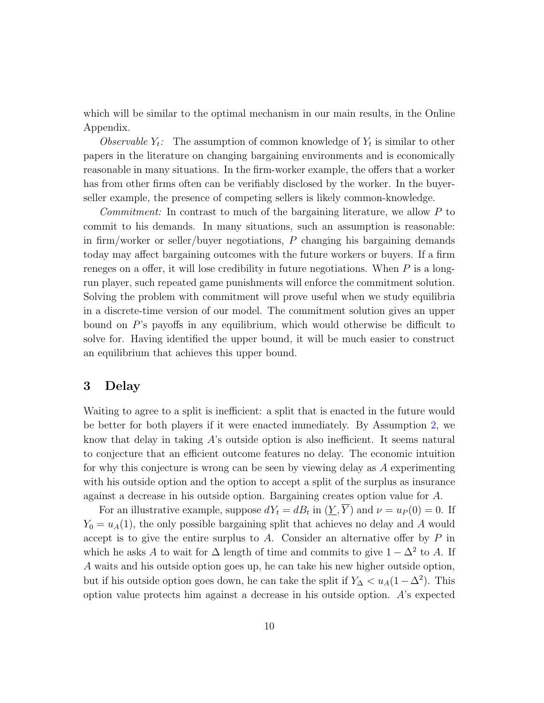which will be similar to the optimal mechanism in our main results, in the Online Appendix.

Observable  $Y_t$ : The assumption of common knowledge of  $Y_t$  is similar to other papers in the literature on changing bargaining environments and is economically reasonable in many situations. In the firm-worker example, the offers that a worker has from other firms often can be verifiably disclosed by the worker. In the buyerseller example, the presence of competing sellers is likely common-knowledge.

Commitment: In contrast to much of the bargaining literature, we allow P to commit to his demands. In many situations, such an assumption is reasonable: in firm/worker or seller/buyer negotiations,  $P$  changing his bargaining demands today may affect bargaining outcomes with the future workers or buyers. If a firm reneges on a offer, it will lose credibility in future negotiations. When  $P$  is a longrun player, such repeated game punishments will enforce the commitment solution. Solving the problem with commitment will prove useful when we study equilibria in a discrete-time version of our model. The commitment solution gives an upper bound on P's payoffs in any equilibrium, which would otherwise be difficult to solve for. Having identified the upper bound, it will be much easier to construct an equilibrium that achieves this upper bound.

### 3 Delay

Waiting to agree to a split is inefficient: a split that is enacted in the future would be better for both players if it were enacted immediately. By Assumption [2,](#page-7-0) we know that delay in taking A's outside option is also inefficient. It seems natural to conjecture that an efficient outcome features no delay. The economic intuition for why this conjecture is wrong can be seen by viewing delay as A experimenting with his outside option and the option to accept a split of the surplus as insurance against a decrease in his outside option. Bargaining creates option value for A.

For an illustrative example, suppose  $dY_t = dB_t$  in  $(\underline{Y}, Y)$  and  $\nu = u_P(0) = 0$ . If  $Y_0 = u_A(1)$ , the only possible bargaining split that achieves no delay and A would accept is to give the entire surplus to  $A$ . Consider an alternative offer by  $P$  in which he asks A to wait for  $\Delta$  length of time and commits to give  $1 - \Delta^2$  to A. If A waits and his outside option goes up, he can take his new higher outside option, but if his outside option goes down, he can take the split if  $Y_{\Delta} < u_A(1 - \Delta^2)$ . This option value protects him against a decrease in his outside option. A's expected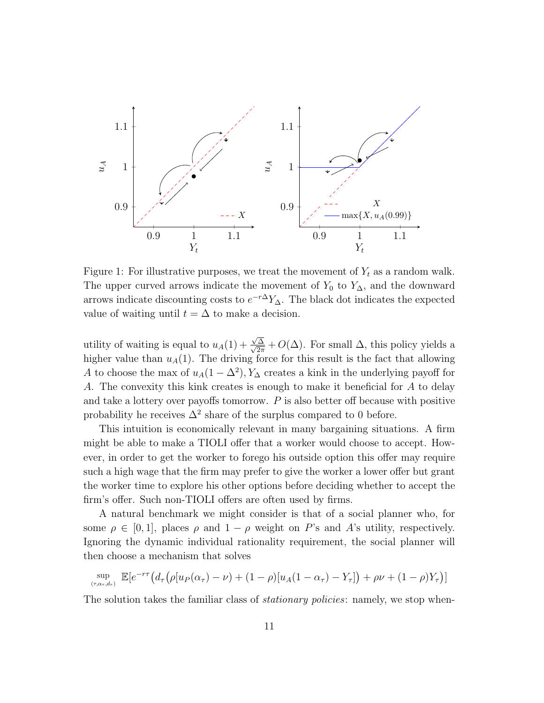

Figure 1: For illustrative purposes, we treat the movement of  $Y_t$  as a random walk. The upper curved arrows indicate the movement of  $Y_0$  to  $Y_\Delta$ , and the downward arrows indicate discounting costs to  $e^{-r\Delta}Y_{\Delta}$ . The black dot indicates the expected value of waiting until  $t = \Delta$  to make a decision.

utility of waiting is equal to  $u_A(1)$  + √ √ ∆  $\frac{\Delta}{2\pi} + O(\Delta)$ . For small  $\Delta$ , this policy yields a higher value than  $u_A(1)$ . The driving force for this result is the fact that allowing A to choose the max of  $u_A(1-\Delta^2), Y_\Delta$  creates a kink in the underlying payoff for A. The convexity this kink creates is enough to make it beneficial for A to delay and take a lottery over payoffs tomorrow.  $P$  is also better off because with positive probability he receives  $\Delta^2$  share of the surplus compared to 0 before.

This intuition is economically relevant in many bargaining situations. A firm might be able to make a TIOLI offer that a worker would choose to accept. However, in order to get the worker to forego his outside option this offer may require such a high wage that the firm may prefer to give the worker a lower offer but grant the worker time to explore his other options before deciding whether to accept the firm's offer. Such non-TIOLI offers are often used by firms.

A natural benchmark we might consider is that of a social planner who, for some  $\rho \in [0, 1]$ , places  $\rho$  and  $1 - \rho$  weight on P's and A's utility, respectively. Ignoring the dynamic individual rationality requirement, the social planner will then choose a mechanism that solves

$$
\sup_{(\tau,\alpha_{\tau},d_{\tau})} \mathbb{E}[e^{-r\tau} (d_{\tau} (\rho [u_P(\alpha_{\tau}) - \nu) + (1 - \rho) [u_A(1 - \alpha_{\tau}) - Y_{\tau}]) + \rho \nu + (1 - \rho) Y_{\tau})]
$$

The solution takes the familiar class of *stationary policies*: namely, we stop when-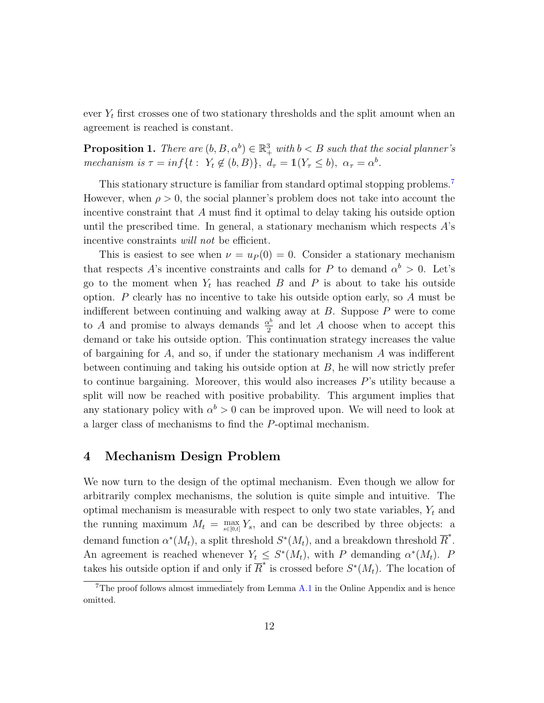ever  $Y_t$  first crosses one of two stationary thresholds and the split amount when an agreement is reached is constant.

<span id="page-11-1"></span>**Proposition 1.** There are  $(b, B, \alpha^b) \in \mathbb{R}^3_+$  with  $b < B$  such that the social planner's mechanism is  $\tau = \inf\{t : Y_t \notin (b, B)\}, d_\tau = \mathbb{1}(Y_\tau \leq b), \alpha_\tau = \alpha^b.$ 

This stationary structure is familiar from standard optimal stopping problems.[7](#page-11-0) However, when  $\rho > 0$ , the social planner's problem does not take into account the incentive constraint that A must find it optimal to delay taking his outside option until the prescribed time. In general, a stationary mechanism which respects  $A$ 's incentive constraints *will not* be efficient.

This is easiest to see when  $\nu = u_P(0) = 0$ . Consider a stationary mechanism that respects A's incentive constraints and calls for P to demand  $\alpha^b > 0$ . Let's go to the moment when  $Y_t$  has reached  $B$  and  $P$  is about to take his outside option.  $P$  clearly has no incentive to take his outside option early, so  $A$  must be indifferent between continuing and walking away at  $B$ . Suppose  $P$  were to come to A and promise to always demands  $\frac{\alpha^b}{2}$  $\frac{\chi^0}{2}$  and let A choose when to accept this demand or take his outside option. This continuation strategy increases the value of bargaining for A, and so, if under the stationary mechanism A was indifferent between continuing and taking his outside option at  $B$ , he will now strictly prefer to continue bargaining. Moreover, this would also increases  $P$ 's utility because a split will now be reached with positive probability. This argument implies that any stationary policy with  $\alpha^b > 0$  can be improved upon. We will need to look at a larger class of mechanisms to find the P-optimal mechanism.

### 4 Mechanism Design Problem

We now turn to the design of the optimal mechanism. Even though we allow for arbitrarily complex mechanisms, the solution is quite simple and intuitive. The optimal mechanism is measurable with respect to only two state variables,  $Y_t$  and the running maximum  $M_t = \max_{s \in [0,t]} Y_s$ , and can be described by three objects: a demand function  $\alpha^*(M_t)$ , a split threshold  $S^*(M_t)$ , and a breakdown threshold  $\overline{R}^*$ . An agreement is reached whenever  $Y_t \leq S^*(M_t)$ , with P demanding  $\alpha^*(M_t)$ . P takes his outside option if and only if  $\overline{R}^*$  is crossed before  $S^*(M_t)$ . The location of

<span id="page-11-0"></span> $7$ The proof follows almost immediately from Lemma [A.1](#page-27-0) in the Online Appendix and is hence omitted.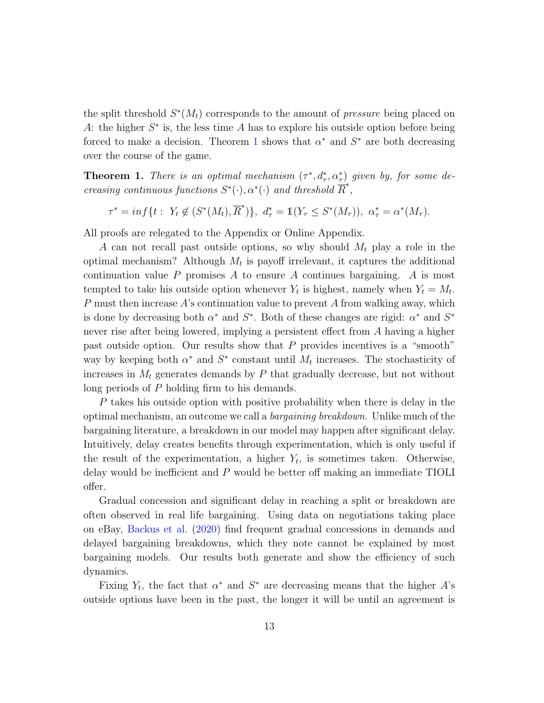the split threshold  $S^*(M_t)$  corresponds to the amount of *pressure* being placed on A: the higher  $S^*$  is, the less time A has to explore his outside option before being forced to make a decision. Theorem [1](#page-12-0) shows that  $\alpha^*$  and  $S^*$  are both decreasing over the course of the game.

<span id="page-12-0"></span>**Theorem 1.** There is an optimal mechanism  $(\tau^*, d^*_\tau, \alpha^*_\tau)$  given by, for some decreasing continuous functions  $S^*(\cdot), \alpha^*(\cdot)$  and threshold  $\overline{R}^*,$ 

 $\tau^* = \inf \{ t : Y_t \notin (S^*(M_t), \overline{R}^*) \}, \ d_\tau^* = \mathbb{1}(Y_\tau \leq S^*(M_\tau)), \ \alpha_\tau^* = \alpha^*(M_\tau).$ 

All proofs are relegated to the Appendix or Online Appendix.

A can not recall past outside options, so why should  $M_t$  play a role in the optimal mechanism? Although  $M_t$  is payoff irrelevant, it captures the additional continuation value  $P$  promises  $A$  to ensure  $A$  continues bargaining.  $A$  is most tempted to take his outside option whenever  $Y_t$  is highest, namely when  $Y_t = M_t$ . P must then increase  $A$ 's continuation value to prevent  $A$  from walking away, which is done by decreasing both  $\alpha^*$  and  $S^*$ . Both of these changes are rigid:  $\alpha^*$  and  $S^*$ never rise after being lowered, implying a persistent effect from A having a higher past outside option. Our results show that P provides incentives is a "smooth" way by keeping both  $\alpha^*$  and  $S^*$  constant until  $M_t$  increases. The stochasticity of increases in  $M_t$  generates demands by  $P$  that gradually decrease, but not without long periods of P holding firm to his demands.

P takes his outside option with positive probability when there is delay in the optimal mechanism, an outcome we call a bargaining breakdown. Unlike much of the bargaining literature, a breakdown in our model may happen after significant delay. Intuitively, delay creates benefits through experimentation, which is only useful if the result of the experimentation, a higher  $Y_t$ , is sometimes taken. Otherwise, delay would be inefficient and  $P$  would be better off making an immediate TIOLI offer.

Gradual concession and significant delay in reaching a split or breakdown are often observed in real life bargaining. Using data on negotiations taking place on eBay, [Backus et al.](#page-23-4) [\(2020\)](#page-23-4) find frequent gradual concessions in demands and delayed bargaining breakdowns, which they note cannot be explained by most bargaining models. Our results both generate and show the efficiency of such dynamics.

Fixing  $Y_t$ , the fact that  $\alpha^*$  and  $S^*$  are decreasing means that the higher A's outside options have been in the past, the longer it will be until an agreement is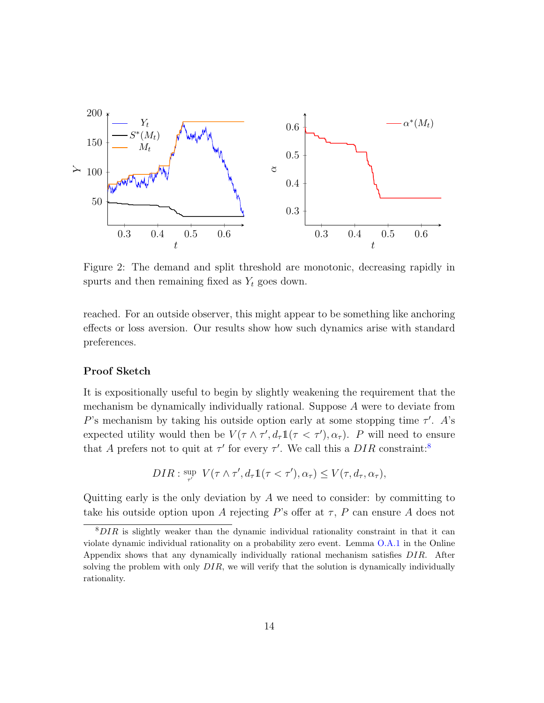

Figure 2: The demand and split threshold are monotonic, decreasing rapidly in spurts and then remaining fixed as  $Y_t$  goes down.

reached. For an outside observer, this might appear to be something like anchoring effects or loss aversion. Our results show how such dynamics arise with standard preferences.

### Proof Sketch

It is expositionally useful to begin by slightly weakening the requirement that the mechanism be dynamically individually rational. Suppose A were to deviate from P's mechanism by taking his outside option early at some stopping time  $\tau'$ . A's expected utility would then be  $V(\tau \wedge \tau', d_\tau \mathbb{1}(\tau < \tau'), \alpha_\tau)$ . P will need to ensure that A prefers not to quit at  $\tau'$  for every  $\tau'$ . We call this a DIR constraint:<sup>[8](#page-13-0)</sup>

$$
DIR: \underset{\tau'}{\sup} V(\tau \wedge \tau', d_{\tau} 1(\tau < \tau'), \alpha_{\tau}) \leq V(\tau, d_{\tau}, \alpha_{\tau}),
$$

Quitting early is the only deviation by  $A$  we need to consider: by committing to take his outside option upon A rejecting P's offer at  $\tau$ , P can ensure A does not

<span id="page-13-0"></span> $8$ DIR is slightly weaker than the dynamic individual rationality constraint in that it can violate dynamic individual rationality on a probability zero event. Lemma [O.A.1](#page-27-0) in the Online Appendix shows that any dynamically individually rational mechanism satisfies DIR. After solving the problem with only  $DIR$ , we will verify that the solution is dynamically individually rationality.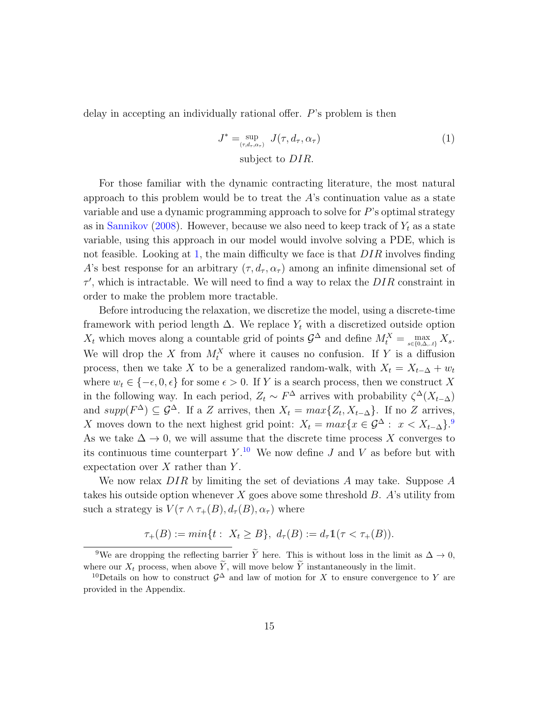delay in accepting an individually rational offer. P's problem is then

<span id="page-14-0"></span>
$$
J^* = \sup_{(\tau, d_\tau, \alpha_\tau)} J(\tau, d_\tau, \alpha_\tau)
$$
  
subject to  $DIR$ . (1)

For those familiar with the dynamic contracting literature, the most natural approach to this problem would be to treat the  $A$ 's continuation value as a state variable and use a dynamic programming approach to solve for  $P$ 's optimal strategy as in [Sannikov](#page-25-1) [\(2008\)](#page-25-1). However, because we also need to keep track of  $Y_t$  as a state variable, using this approach in our model would involve solving a PDE, which is not feasible. Looking at [1,](#page-14-0) the main difficulty we face is that  $DIR$  involves finding A's best response for an arbitrary  $(\tau, d_{\tau}, \alpha_{\tau})$  among an infinite dimensional set of  $\tau'$ , which is intractable. We will need to find a way to relax the  $DIR$  constraint in order to make the problem more tractable.

Before introducing the relaxation, we discretize the model, using a discrete-time framework with period length  $\Delta$ . We replace  $Y_t$  with a discretized outside option  $X_t$  which moves along a countable grid of points  $\mathcal{G}^{\Delta}$  and define  $M_t^X = \max_{s \in \{0,\Delta_t,t\}} X_s$ . We will drop the X from  $M_t^X$  where it causes no confusion. If Y is a diffusion process, then we take X to be a generalized random-walk, with  $X_t = X_{t-\Delta} + w_t$ where  $w_t \in \{-\epsilon, 0, \epsilon\}$  for some  $\epsilon > 0$ . If Y is a search process, then we construct X in the following way. In each period,  $Z_t \sim F^{\Delta}$  arrives with probability  $\zeta^{\Delta}(X_{t-\Delta})$ and  $supp(F^{\Delta}) \subseteq \mathcal{G}^{\Delta}$ . If a Z arrives, then  $X_t = max\{Z_t, X_{t-\Delta}\}\$ . If no Z arrives, X moves down to the next highest grid point:  $X_t = max\{x \in \mathcal{G}^{\Delta} : x < X_{t-\Delta}\}$ . As we take  $\Delta \to 0$ , we will assume that the discrete time process X converges to its continuous time counterpart  $Y$ .<sup>[10](#page-14-2)</sup> We now define J and V as before but with expectation over  $X$  rather than  $Y$ .

We now relax  $DIR$  by limiting the set of deviations A may take. Suppose A takes his outside option whenever  $X$  goes above some threshold  $B$ . A's utility from such a strategy is  $V(\tau \wedge \tau_+(B), d_\tau(B), \alpha_\tau)$  where

$$
\tau_+(B) := \min\{t : X_t \ge B\}, \ d_\tau(B) := d_\tau 1(\tau < \tau_+(B)).
$$

<span id="page-14-1"></span><sup>&</sup>lt;sup>9</sup>We are dropping the reflecting barrier  $\widetilde{Y}$  here. This is without loss in the limit as  $\Delta \to 0$ , where our  $X_t$  process, when above  $\widetilde{Y}$ , will move below  $\widetilde{Y}$  instantaneously in the limit.

<span id="page-14-2"></span><sup>&</sup>lt;sup>10</sup>Details on how to construct  $\mathcal{G}^{\Delta}$  and law of motion for X to ensure convergence to Y are provided in the Appendix.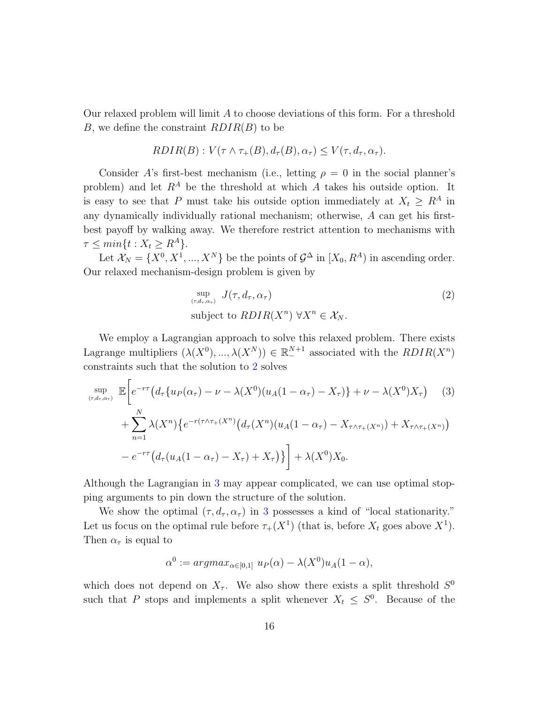Our relaxed problem will limit A to choose deviations of this form. For a threshold B, we define the constraint  $RDIR(B)$  to be

$$
RDIR(B): V(\tau \wedge \tau_+(B), d_{\tau}(B), \alpha_{\tau}) \leq V(\tau, d_{\tau}, \alpha_{\tau}).
$$

Consider A's first-best mechanism (i.e., letting  $\rho = 0$  in the social planner's problem) and let  $R^A$  be the threshold at which A takes his outside option. It is easy to see that P must take his outside option immediately at  $X_t \geq R^A$  in any dynamically individually rational mechanism; otherwise, A can get his firstbest payoff by walking away. We therefore restrict attention to mechanisms with  $\tau \leq min\{t : X_t \geq R^A\}.$ 

Let  $\mathcal{X}_N = \{X^0, X^1, ..., X^N\}$  be the points of  $\mathcal{G}^{\Delta}$  in  $[X_0, R^A)$  in ascending order. Our relaxed mechanism-design problem is given by

<span id="page-15-1"></span><span id="page-15-0"></span>
$$
\sup_{(\tau,d_{\tau},\alpha_{\tau})} J(\tau,d_{\tau},\alpha_{\tau})
$$
\n
$$
\text{subject to } RDIR(X^n) \,\forall X^n \in \mathcal{X}_N. \tag{2}
$$

We employ a Lagrangian approach to solve this relaxed problem. There exists Lagrange multipliers  $(\lambda(X^0), ..., \lambda(X^N)) \in \mathbb{R}^{N+1}_{-}$  associated with the  $RDIR(X^n)$ constraints such that the solution to [2](#page-15-0) solves

$$
\sup_{(\tau,d_{\tau},\alpha_{\tau})} \mathbb{E}\bigg[e^{-r\tau}\big(d_{\tau}\{u_{P}(\alpha_{\tau})-\nu-\lambda(X^{0})(u_{A}(1-\alpha_{\tau})-X_{\tau})\}+\nu-\lambda(X^{0})X_{\tau}\big) \qquad (3)
$$
  
+ 
$$
\sum_{n=1}^{N} \lambda(X^{n})\big\{e^{-r(\tau\wedge\tau_{+}(X^{n})}\big(d_{\tau}(X^{n})(u_{A}(1-\alpha_{\tau})-X_{\tau\wedge\tau_{+}(X^{n})})+X_{\tau\wedge\tau_{+}(X^{n})}\big) \big) \bigg] - e^{-r\tau}\big(d_{\tau}(u_{A}(1-\alpha_{\tau})-X_{\tau})+X_{\tau}\big)\big\bigg] + \lambda(X^{0})X_{0}.
$$

Although the Lagrangian in [3](#page-15-1) may appear complicated, we can use optimal stopping arguments to pin down the structure of the solution.

We show the optimal  $(\tau, d_{\tau}, \alpha_{\tau})$  in [3](#page-15-1) possesses a kind of "local stationarity." Let us focus on the optimal rule before  $\tau_+(X^1)$  (that is, before  $X_t$  goes above  $X^1$ ). Then  $\alpha_{\tau}$  is equal to

$$
\alpha^{0} := argmax_{\alpha \in [0,1]} u_{P}(\alpha) - \lambda(X^{0})u_{A}(1-\alpha),
$$

which does not depend on  $X_{\tau}$ . We also show there exists a split threshold  $S^0$ such that P stops and implements a split whenever  $X_t \leq S^0$ . Because of the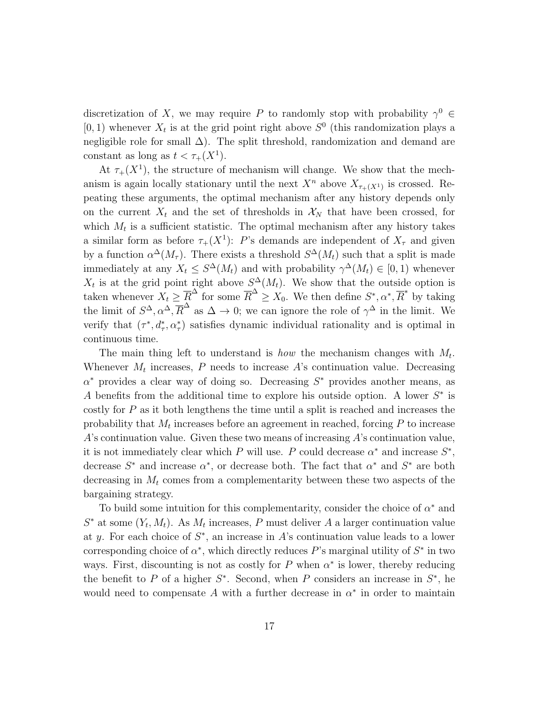discretization of X, we may require P to randomly stop with probability  $\gamma^0 \in$ [0, 1) whenever  $X_t$  is at the grid point right above  $S^0$  (this randomization plays a negligible role for small  $\Delta$ ). The split threshold, randomization and demand are constant as long as  $t < \tau_+(X^1)$ .

At  $\tau_+(X^1)$ , the structure of mechanism will change. We show that the mechanism is again locally stationary until the next  $X^n$  above  $X_{\tau_+(X^1)}$  is crossed. Repeating these arguments, the optimal mechanism after any history depends only on the current  $X_t$  and the set of thresholds in  $X_N$  that have been crossed, for which  $M_t$  is a sufficient statistic. The optimal mechanism after any history takes a similar form as before  $\tau_+(X^1)$ : P's demands are independent of  $X_\tau$  and given by a function  $\alpha^{\Delta}(M_{\tau})$ . There exists a threshold  $S^{\Delta}(M_t)$  such that a split is made immediately at any  $X_t \leq S^{\Delta}(M_t)$  and with probability  $\gamma^{\Delta}(M_t) \in [0,1)$  whenever  $X_t$  is at the grid point right above  $S^{\Delta}(M_t)$ . We show that the outside option is taken whenever  $X_t \geq \overline{R}^{\Delta}$  for some  $\overline{R}^{\Delta} \geq X_0$ . We then define  $S^*, \alpha^*, \overline{R}^*$  by taking the limit of  $S^{\Delta}, \alpha^{\Delta}, \overline{R}^{\Delta}$  as  $\Delta \to 0$ ; we can ignore the role of  $\gamma^{\Delta}$  in the limit. We verify that  $(\tau^*, d^*_\tau, \alpha^*_\tau)$  satisfies dynamic individual rationality and is optimal in continuous time.

The main thing left to understand is *how* the mechanism changes with  $M_t$ . Whenever  $M_t$  increases, P needs to increase A's continuation value. Decreasing  $\alpha^*$  provides a clear way of doing so. Decreasing  $S^*$  provides another means, as A benefits from the additional time to explore his outside option. A lower  $S^*$  is costly for  $P$  as it both lengthens the time until a split is reached and increases the probability that  $M_t$  increases before an agreement in reached, forcing  $P$  to increase  $A$ 's continuation value. Given these two means of increasing  $A$ 's continuation value, it is not immediately clear which P will use. P could decrease  $\alpha^*$  and increase  $S^*$ , decrease  $S^*$  and increase  $\alpha^*$ , or decrease both. The fact that  $\alpha^*$  and  $S^*$  are both decreasing in  $M_t$  comes from a complementarity between these two aspects of the bargaining strategy.

To build some intuition for this complementarity, consider the choice of  $\alpha^*$  and  $S^*$  at some  $(Y_t, M_t)$ . As  $M_t$  increases, P must deliver A a larger continuation value at y. For each choice of  $S^*$ , an increase in A's continuation value leads to a lower corresponding choice of  $\alpha^*$ , which directly reduces P's marginal utility of  $S^*$  in two ways. First, discounting is not as costly for P when  $\alpha^*$  is lower, thereby reducing the benefit to P of a higher  $S^*$ . Second, when P considers an increase in  $S^*$ , he would need to compensate A with a further decrease in  $\alpha^*$  in order to maintain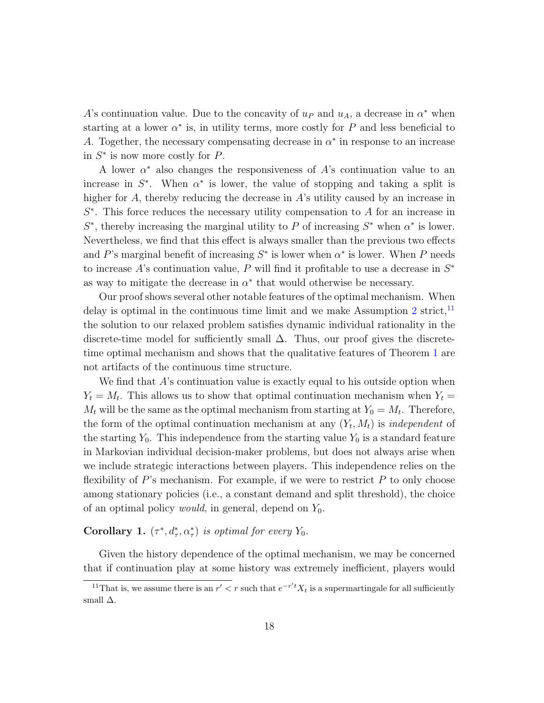A's continuation value. Due to the concavity of  $u<sub>P</sub>$  and  $u<sub>A</sub>$ , a decrease in  $\alpha^*$  when starting at a lower  $\alpha^*$  is, in utility terms, more costly for P and less beneficial to A. Together, the necessary compensating decrease in  $\alpha^*$  in response to an increase in  $S^*$  is now more costly for  $P$ .

A lower  $\alpha^*$  also changes the responsiveness of A's continuation value to an increase in  $S^*$ . When  $\alpha^*$  is lower, the value of stopping and taking a split is higher for A, thereby reducing the decrease in A's utility caused by an increase in  $S^*$ . This force reduces the necessary utility compensation to A for an increase in  $S^*$ , thereby increasing the marginal utility to P of increasing  $S^*$  when  $\alpha^*$  is lower. Nevertheless, we find that this effect is always smaller than the previous two effects and P's marginal benefit of increasing  $S^*$  is lower when  $\alpha^*$  is lower. When P needs to increase A's continuation value, P will find it profitable to use a decrease in  $S^*$ as way to mitigate the decrease in  $\alpha^*$  that would otherwise be necessary.

Our proof shows several other notable features of the optimal mechanism. When delay is optimal in the continuous time limit and we make Assumption [2](#page-7-0) strict,  $^{11}$  $^{11}$  $^{11}$ the solution to our relaxed problem satisfies dynamic individual rationality in the discrete-time model for sufficiently small  $\Delta$ . Thus, our proof gives the discretetime optimal mechanism and shows that the qualitative features of Theorem [1](#page-12-0) are not artifacts of the continuous time structure.

We find that A's continuation value is exactly equal to his outside option when  $Y_t = M_t$ . This allows us to show that optimal continuation mechanism when  $Y_t =$  $M_t$  will be the same as the optimal mechanism from starting at  $Y_0 = M_t$ . Therefore, the form of the optimal continuation mechanism at any  $(Y_t, M_t)$  is *independent* of the starting  $Y_0$ . This independence from the starting value  $Y_0$  is a standard feature in Markovian individual decision-maker problems, but does not always arise when we include strategic interactions between players. This independence relies on the flexibility of  $P$ 's mechanism. For example, if we were to restrict  $P$  to only choose among stationary policies (i.e., a constant demand and split threshold), the choice of an optimal policy *would*, in general, depend on  $Y_0$ .

### **Corollary 1.**  $(\tau^*, d^*_\tau, \alpha^*_\tau)$  is optimal for every  $Y_0$ .

Given the history dependence of the optimal mechanism, we may be concerned that if continuation play at some history was extremely inefficient, players would

<span id="page-17-0"></span><sup>&</sup>lt;sup>11</sup>That is, we assume there is an  $r' < r$  such that  $e^{-r't}X_t$  is a supermartingale for all sufficiently small  $\Delta$ .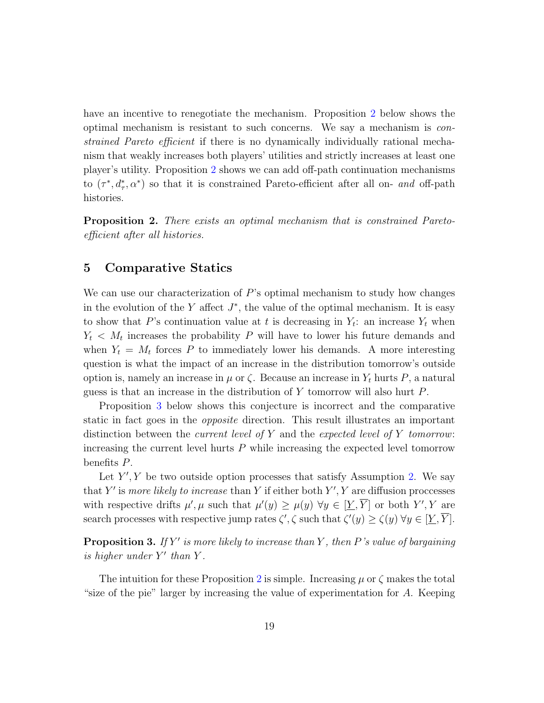have an incentive to renegotiate the mechanism. Proposition [2](#page-18-0) below shows the optimal mechanism is resistant to such concerns. We say a mechanism is constrained Pareto efficient if there is no dynamically individually rational mechanism that weakly increases both players' utilities and strictly increases at least one player's utility. Proposition [2](#page-18-0) shows we can add off-path continuation mechanisms to  $(\tau^*, d^*_\tau, \alpha^*)$  so that it is constrained Pareto-efficient after all on- and off-path histories.

<span id="page-18-0"></span>**Proposition 2.** There exists an optimal mechanism that is constrained Paretoefficient after all histories.

### 5 Comparative Statics

We can use our characterization of  $P$ 's optimal mechanism to study how changes in the evolution of the Y affect  $J^*$ , the value of the optimal mechanism. It is easy to show that P's continuation value at t is decreasing in  $Y_t$ : an increase  $Y_t$  when  $Y_t$  <  $M_t$  increases the probability P will have to lower his future demands and when  $Y_t = M_t$  forces P to immediately lower his demands. A more interesting question is what the impact of an increase in the distribution tomorrow's outside option is, namely an increase in  $\mu$  or  $\zeta$ . Because an increase in  $Y_t$  hurts P, a natural guess is that an increase in the distribution of Y tomorrow will also hurt P.

Proposition [3](#page-18-1) below shows this conjecture is incorrect and the comparative static in fact goes in the opposite direction. This result illustrates an important distinction between the *current level of*  $Y$  and the *expected level of*  $Y$  *tomorrow*: increasing the current level hurts  $P$  while increasing the expected level tomorrow benefits P.

Let  $Y', Y$  be two outside option processes that satisfy Assumption [2.](#page-7-0) We say that Y' is more likely to increase than Y if either both  $Y'$ , Y are diffusion proccesses with respective drifts  $\mu', \mu$  such that  $\mu'(y) \geq \mu(y)$   $\forall y \in [\underline{Y}, \overline{Y}]$  or both  $Y', Y$  are search processes with respective jump rates  $\zeta', \zeta$  such that  $\zeta'(y) \ge \zeta(y) \,\forall y \in [\underline{Y}, \overline{Y}].$ 

<span id="page-18-1"></span>**Proposition 3.** If Y' is more likely to increase than Y, then P's value of bargaining is higher under  $Y'$  than  $Y$ .

The intuition for these Proposition [2](#page-7-0) is simple. Increasing  $\mu$  or  $\zeta$  makes the total "size of the pie" larger by increasing the value of experimentation for A. Keeping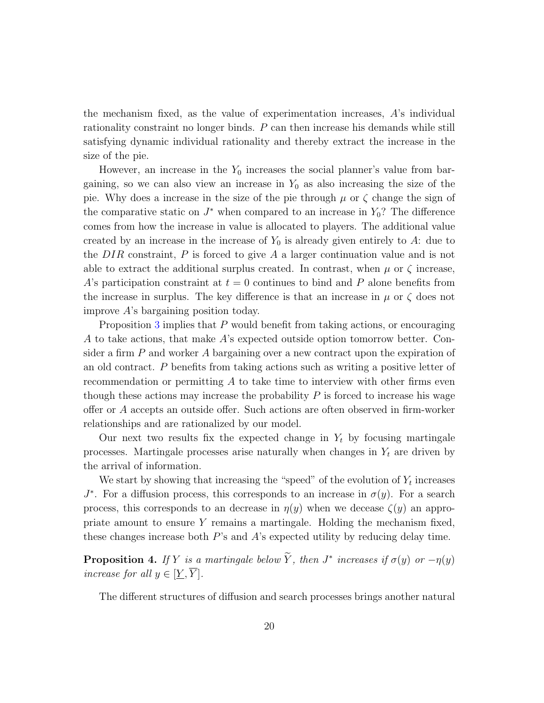the mechanism fixed, as the value of experimentation increases,  $\hat{A}$ 's individual rationality constraint no longer binds. P can then increase his demands while still satisfying dynamic individual rationality and thereby extract the increase in the size of the pie.

However, an increase in the  $Y_0$  increases the social planner's value from bargaining, so we can also view an increase in  $Y_0$  as also increasing the size of the pie. Why does a increase in the size of the pie through  $\mu$  or  $\zeta$  change the sign of the comparative static on  $J^*$  when compared to an increase in  $Y_0$ ? The difference comes from how the increase in value is allocated to players. The additional value created by an increase in the increase of  $Y_0$  is already given entirely to A: due to the  $DIR$  constraint,  $P$  is forced to give  $A$  a larger continuation value and is not able to extract the additional surplus created. In contrast, when  $\mu$  or  $\zeta$  increase, A's participation constraint at  $t = 0$  continues to bind and P alone benefits from the increase in surplus. The key difference is that an increase in  $\mu$  or  $\zeta$  does not improve A's bargaining position today.

Proposition [3](#page-18-1) implies that P would benefit from taking actions, or encouraging A to take actions, that make A's expected outside option tomorrow better. Consider a firm P and worker A bargaining over a new contract upon the expiration of an old contract. P benefits from taking actions such as writing a positive letter of recommendation or permitting A to take time to interview with other firms even though these actions may increase the probability  $P$  is forced to increase his wage offer or A accepts an outside offer. Such actions are often observed in firm-worker relationships and are rationalized by our model.

Our next two results fix the expected change in  $Y_t$  by focusing martingale processes. Martingale processes arise naturally when changes in  $Y_t$  are driven by the arrival of information.

We start by showing that increasing the "speed" of the evolution of  $Y_t$  increases  $J^*$ . For a diffusion process, this corresponds to an increase in  $\sigma(y)$ . For a search process, this corresponds to an decrease in  $\eta(y)$  when we decease  $\zeta(y)$  an appropriate amount to ensure Y remains a martingale. Holding the mechanism fixed, these changes increase both  $P$ 's and  $A$ 's expected utility by reducing delay time.

<span id="page-19-0"></span>**Proposition 4.** If Y is a martingale below Y, then  $J^*$  increases if  $\sigma(y)$  or  $-\eta(y)$ increase for all  $y \in [Y, Y]$ .

The different structures of diffusion and search processes brings another natural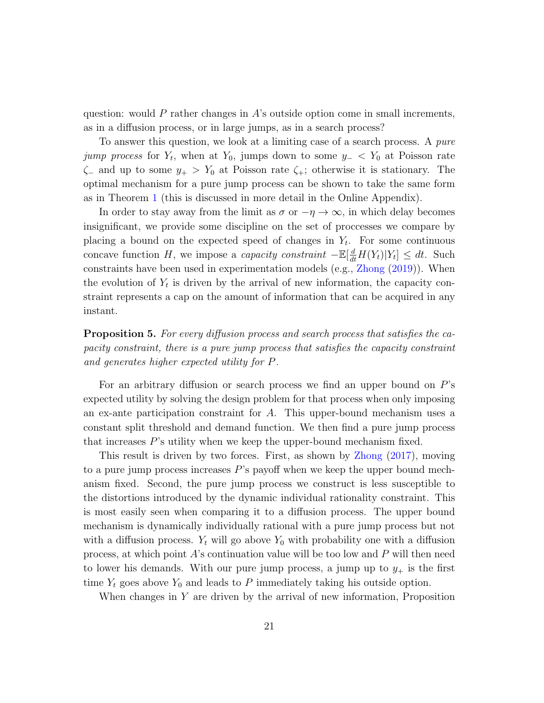question: would P rather changes in  $A$ 's outside option come in small increments, as in a diffusion process, or in large jumps, as in a search process?

To answer this question, we look at a limiting case of a search process. A pure *jump process* for  $Y_t$ , when at  $Y_0$ , jumps down to some  $y_-\lt Y_0$  at Poisson rate  $\zeta$  and up to some  $y_+ > Y_0$  at Poisson rate  $\zeta_+$ ; otherwise it is stationary. The optimal mechanism for a pure jump process can be shown to take the same form as in Theorem [1](#page-12-0) (this is discussed in more detail in the Online Appendix).

In order to stay away from the limit as  $\sigma$  or  $-\eta \to \infty$ , in which delay becomes insignificant, we provide some discipline on the set of proccesses we compare by placing a bound on the expected speed of changes in  $Y_t$ . For some continuous concave function H, we impose a *capacity constraint*  $-\mathbb{E}[\frac{d}{dt}H(Y_t)|Y_t] \le dt$ . Such constraints have been used in experimentation models (e.g., [Zhong](#page-25-2) [\(2019\)](#page-25-2)). When the evolution of  $Y_t$  is driven by the arrival of new information, the capacity constraint represents a cap on the amount of information that can be acquired in any instant.

<span id="page-20-0"></span>**Proposition 5.** For every diffusion process and search process that satisfies the capacity constraint, there is a pure jump process that satisfies the capacity constraint and generates higher expected utility for P.

For an arbitrary diffusion or search process we find an upper bound on P's expected utility by solving the design problem for that process when only imposing an ex-ante participation constraint for A. This upper-bound mechanism uses a constant split threshold and demand function. We then find a pure jump process that increases P's utility when we keep the upper-bound mechanism fixed.

This result is driven by two forces. First, as shown by [Zhong](#page-25-3) [\(2017\)](#page-25-3), moving to a pure jump process increases  $P$ 's payoff when we keep the upper bound mechanism fixed. Second, the pure jump process we construct is less susceptible to the distortions introduced by the dynamic individual rationality constraint. This is most easily seen when comparing it to a diffusion process. The upper bound mechanism is dynamically individually rational with a pure jump process but not with a diffusion process.  $Y_t$  will go above  $Y_0$  with probability one with a diffusion process, at which point  $\hat{A}$ 's continuation value will be too low and P will then need to lower his demands. With our pure jump process, a jump up to  $y_+$  is the first time  $Y_t$  goes above  $Y_0$  and leads to P immediately taking his outside option.

When changes in  $Y$  are driven by the arrival of new information, Proposition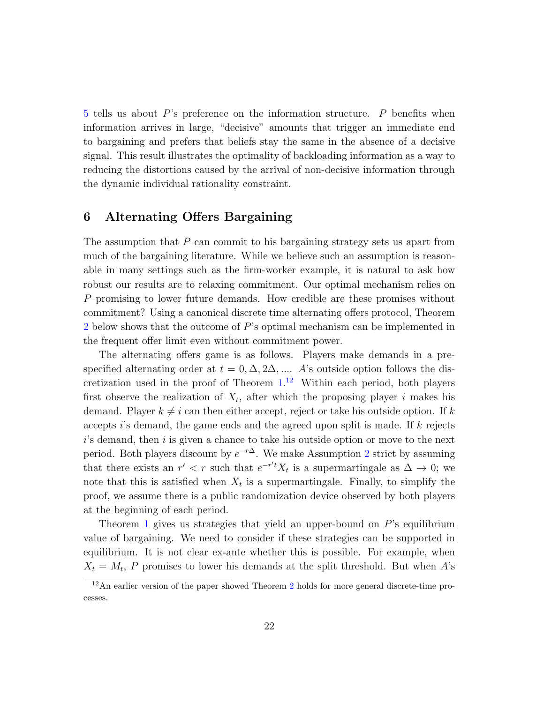[5](#page-20-0) tells us about P's preference on the information structure. P benefits when information arrives in large, "decisive" amounts that trigger an immediate end to bargaining and prefers that beliefs stay the same in the absence of a decisive signal. This result illustrates the optimality of backloading information as a way to reducing the distortions caused by the arrival of non-decisive information through the dynamic individual rationality constraint.

### 6 Alternating Offers Bargaining

The assumption that  $P$  can commit to his bargaining strategy sets us apart from much of the bargaining literature. While we believe such an assumption is reasonable in many settings such as the firm-worker example, it is natural to ask how robust our results are to relaxing commitment. Our optimal mechanism relies on P promising to lower future demands. How credible are these promises without commitment? Using a canonical discrete time alternating offers protocol, Theorem [2](#page-22-0) below shows that the outcome of P's optimal mechanism can be implemented in the frequent offer limit even without commitment power.

The alternating offers game is as follows. Players make demands in a prespecified alternating order at  $t = 0, \Delta, 2\Delta, \dots$  A's outside option follows the discretization used in the proof of Theorem [1.](#page-12-0) [12](#page-21-0) Within each period, both players first observe the realization of  $X_t$ , after which the proposing player i makes his demand. Player  $k \neq i$  can then either accept, reject or take his outside option. If k accepts i's demand, the game ends and the agreed upon split is made. If  $k$  rejects  $i$ 's demand, then  $i$  is given a chance to take his outside option or move to the next period. Both players discount by  $e^{-r\Delta}$ . We make Assumption [2](#page-7-0) strict by assuming that there exists an  $r' < r$  such that  $e^{-r't}X_t$  is a supermartingale as  $\Delta \to 0$ ; we note that this is satisfied when  $X_t$  is a supermartingale. Finally, to simplify the proof, we assume there is a public randomization device observed by both players at the beginning of each period.

Theorem [1](#page-12-0) gives us strategies that yield an upper-bound on  $P$ 's equilibrium value of bargaining. We need to consider if these strategies can be supported in equilibrium. It is not clear ex-ante whether this is possible. For example, when  $X_t = M_t$ , P promises to lower his demands at the split threshold. But when A's

<span id="page-21-0"></span><sup>&</sup>lt;sup>1[2](#page-22-0)</sup>An earlier version of the paper showed Theorem 2 holds for more general discrete-time processes.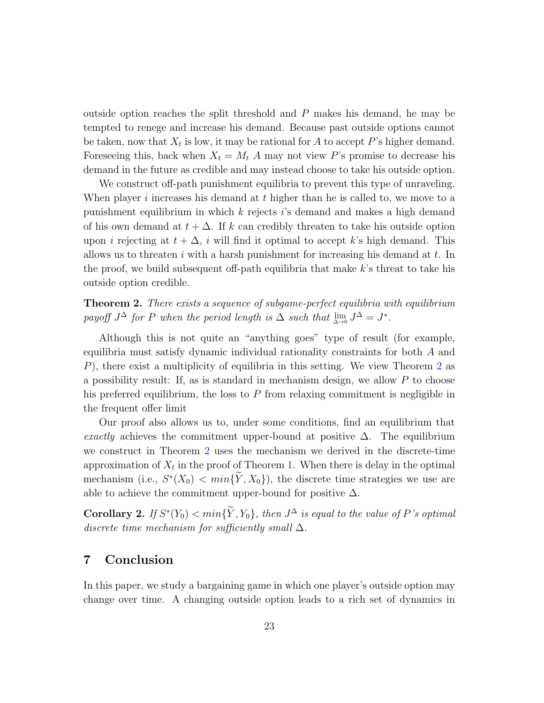outside option reaches the split threshold and  $P$  makes his demand, he may be tempted to renege and increase his demand. Because past outside options cannot be taken, now that  $X_t$  is low, it may be rational for A to accept P's higher demand. Foreseeing this, back when  $X_t = M_t A$  may not view P's promise to decrease his demand in the future as credible and may instead choose to take his outside option.

We construct off-path punishment equilibria to prevent this type of unraveling. When player i increases his demand at  $t$  higher than he is called to, we move to a punishment equilibrium in which  $k$  rejects is demand and makes a high demand of his own demand at  $t + \Delta$ . If k can credibly threaten to take his outside option upon i rejecting at  $t + \Delta$ , i will find it optimal to accept k's high demand. This allows us to threaten  $i$  with a harsh punishment for increasing his demand at  $t$ . In the proof, we build subsequent off-path equilibria that make k's threat to take his outside option credible.

<span id="page-22-0"></span>**Theorem 2.** There exists a sequence of subgame-perfect equilibria with equilibrium payoff  $J^{\Delta}$  for P when the period length is  $\Delta$  such that  $\lim_{\Delta \to 0} J^{\Delta} = J^*$ .

Although this is not quite an "anything goes" type of result (for example, equilibria must satisfy dynamic individual rationality constraints for both A and P), there exist a multiplicity of equilibria in this setting. We view Theorem [2](#page-22-0) as a possibility result: If, as is standard in mechanism design, we allow  $P$  to choose his preferred equilibrium, the loss to  $P$  from relaxing commitment is negligible in the frequent offer limit

Our proof also allows us to, under some conditions, find an equilibrium that exactly achieves the commitment upper-bound at positive  $\Delta$ . The equilibrium we construct in Theorem [2](#page-22-0) uses the mechanism we derived in the discrete-time approximation of  $X_t$  in the proof of Theorem [1.](#page-12-0) When there is delay in the optimal mechanism (i.e.,  $S^*(X_0) < min\{\tilde{Y}, X_0\}$ ), the discrete time strategies we use are able to achieve the commitment upper-bound for positive  $\Delta$ .

**Corollary 2.** If  $S^*(Y_0) < min\{\tilde{Y}, Y_0\}$ , then  $J^{\Delta}$  is equal to the value of P's optimal discrete time mechanism for sufficiently small  $\Delta$ .

### 7 Conclusion

In this paper, we study a bargaining game in which one player's outside option may change over time. A changing outside option leads to a rich set of dynamics in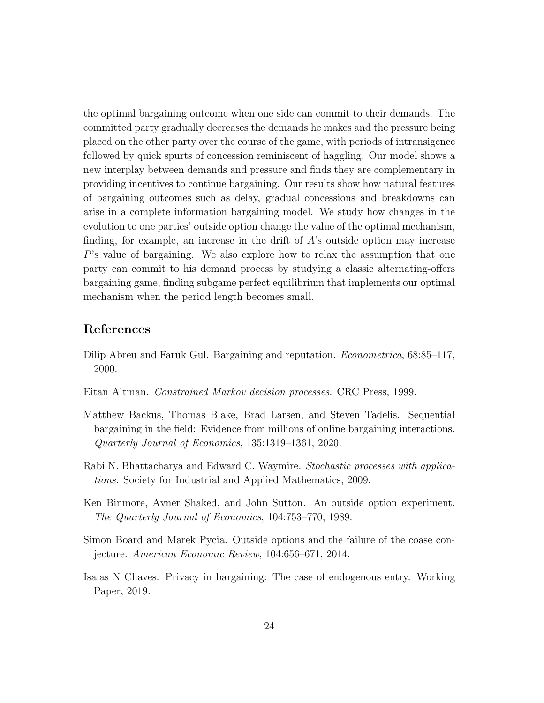the optimal bargaining outcome when one side can commit to their demands. The committed party gradually decreases the demands he makes and the pressure being placed on the other party over the course of the game, with periods of intransigence followed by quick spurts of concession reminiscent of haggling. Our model shows a new interplay between demands and pressure and finds they are complementary in providing incentives to continue bargaining. Our results show how natural features of bargaining outcomes such as delay, gradual concessions and breakdowns can arise in a complete information bargaining model. We study how changes in the evolution to one parties' outside option change the value of the optimal mechanism, finding, for example, an increase in the drift of  $\hat{A}$ 's outside option may increase P's value of bargaining. We also explore how to relax the assumption that one party can commit to his demand process by studying a classic alternating-offers bargaining game, finding subgame perfect equilibrium that implements our optimal mechanism when the period length becomes small.

### References

- <span id="page-23-3"></span>Dilip Abreu and Faruk Gul. Bargaining and reputation. Econometrica, 68:85–117, 2000.
- <span id="page-23-6"></span>Eitan Altman. Constrained Markov decision processes. CRC Press, 1999.
- <span id="page-23-4"></span>Matthew Backus, Thomas Blake, Brad Larsen, and Steven Tadelis. Sequential bargaining in the field: Evidence from millions of online bargaining interactions. Quarterly Journal of Economics, 135:1319–1361, 2020.
- <span id="page-23-5"></span>Rabi N. Bhattacharya and Edward C. Waymire. Stochastic processes with applications. Society for Industrial and Applied Mathematics, 2009.
- <span id="page-23-0"></span>Ken Binmore, Avner Shaked, and John Sutton. An outside option experiment. The Quarterly Journal of Economics, 104:753–770, 1989.
- <span id="page-23-1"></span>Simon Board and Marek Pycia. Outside options and the failure of the coase conjecture. American Economic Review, 104:656–671, 2014.
- <span id="page-23-2"></span>Isaıas N Chaves. Privacy in bargaining: The case of endogenous entry. Working Paper, 2019.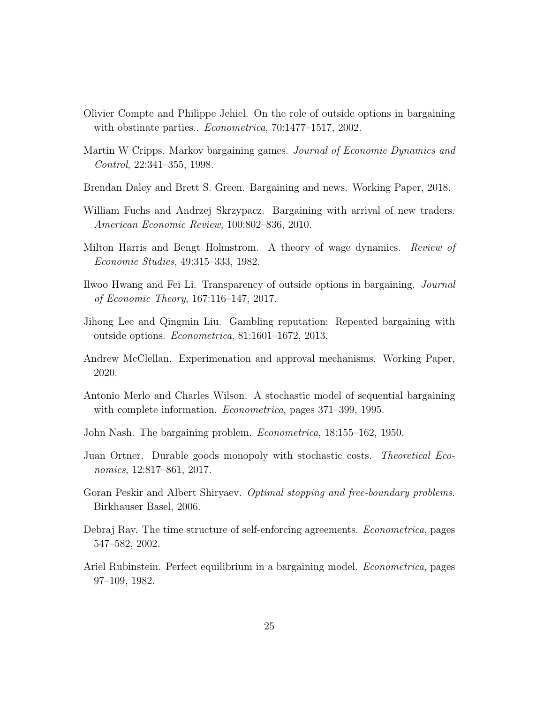- <span id="page-24-1"></span>Olivier Compte and Philippe Jehiel. On the role of outside options in bargaining with obstinate parties.. *Econometrica*, 70:1477–1517, 2002.
- <span id="page-24-9"></span>Martin W Cripps. Markov bargaining games. Journal of Economic Dynamics and Control, 22:341–355, 1998.
- <span id="page-24-5"></span>Brendan Daley and Brett S. Green. Bargaining and news. Working Paper, 2018.
- <span id="page-24-3"></span>William Fuchs and Andrzej Skrzypacz. Bargaining with arrival of new traders. American Economic Review, 100:802–836, 2010.
- <span id="page-24-11"></span>Milton Harris and Bengt Holmstrom. A theory of wage dynamics. Review of Economic Studies, 49:315–333, 1982.
- <span id="page-24-4"></span>Ilwoo Hwang and Fei Li. Transparency of outside options in bargaining. Journal of Economic Theory, 167:116–147, 2017.
- <span id="page-24-2"></span>Jihong Lee and Qingmin Liu. Gambling reputation: Repeated bargaining with outside options. Econometrica, 81:1601–1672, 2013.
- <span id="page-24-12"></span>Andrew McClellan. Experimenation and approval mechanisms. Working Paper, 2020.
- <span id="page-24-8"></span>Antonio Merlo and Charles Wilson. A stochastic model of sequential bargaining with complete information. *Econometrica*, pages 371–399, 1995.
- <span id="page-24-0"></span>John Nash. The bargaining problem. Econometrica, 18:155–162, 1950.
- <span id="page-24-6"></span>Juan Ortner. Durable goods monopoly with stochastic costs. Theoretical Economics, 12:817–861, 2017.
- <span id="page-24-13"></span>Goran Peskir and Albert Shiryaev. Optimal stopping and free-boundary problems. Birkhauser Basel, 2006.
- <span id="page-24-10"></span>Debraj Ray. The time structure of self-enforcing agreements. Econometrica, pages 547–582, 2002.
- <span id="page-24-7"></span>Ariel Rubinstein. Perfect equilibrium in a bargaining model. Econometrica, pages 97–109, 1982.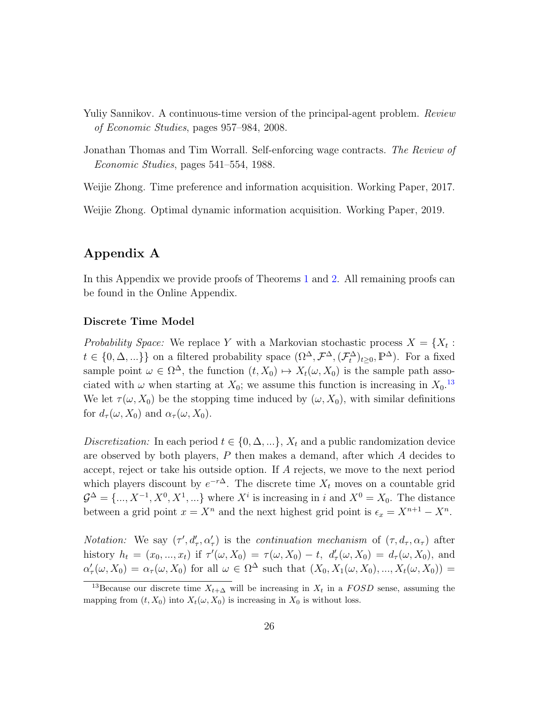- <span id="page-25-1"></span>Yuliy Sannikov. A continuous-time version of the principal-agent problem. Review of Economic Studies, pages 957–984, 2008.
- <span id="page-25-0"></span>Jonathan Thomas and Tim Worrall. Self-enforcing wage contracts. The Review of Economic Studies, pages 541–554, 1988.

<span id="page-25-3"></span>Weijie Zhong. Time preference and information acquisition. Working Paper, 2017.

<span id="page-25-2"></span>Weijie Zhong. Optimal dynamic information acquisition. Working Paper, 2019.

### Appendix A

In this Appendix we provide proofs of Theorems [1](#page-12-0) and [2.](#page-22-0) All remaining proofs can be found in the Online Appendix.

#### Discrete Time Model

Probability Space: We replace Y with a Markovian stochastic process  $X = \{X_t :$  $t \in \{0, \Delta, ...\}$  on a filtered probability space  $(\Omega^{\Delta}, \mathcal{F}^{\Delta}, (\mathcal{F}^{\Delta}_t)_{t \geq 0}, \mathbb{P}^{\Delta})$ . For a fixed sample point  $\omega \in \Omega^{\Delta}$ , the function  $(t, X_0) \mapsto X_t(\omega, X_0)$  is the sample path associated with  $\omega$  when starting at  $X_0$ ; we assume this function is increasing in  $X_0$ .<sup>[13](#page-25-4)</sup> We let  $\tau(\omega, X_0)$  be the stopping time induced by  $(\omega, X_0)$ , with similar definitions for  $d_{\tau}(\omega, X_0)$  and  $\alpha_{\tau}(\omega, X_0)$ .

Discretization: In each period  $t \in \{0, \Delta, ...\}$ ,  $X_t$  and a public randomization device are observed by both players,  $P$  then makes a demand, after which  $A$  decides to accept, reject or take his outside option. If A rejects, we move to the next period which players discount by  $e^{-r\Delta}$ . The discrete time  $X_t$  moves on a countable grid  $\mathcal{G}^{\Delta} = \{..., X^{-1}, X^{0}, X^{1}, ...\}$  where  $X^{i}$  is increasing in i and  $X^{0} = X_{0}$ . The distance between a grid point  $x = X^n$  and the next highest grid point is  $\epsilon_x = X^{n+1} - X^n$ .

*Notation:* We say  $(\tau', d'_{\tau}, \alpha'_{\tau})$  is the *continuation mechanism* of  $(\tau, d_{\tau}, \alpha_{\tau})$  after history  $h_t = (x_0, ..., x_t)$  if  $\tau'(\omega, X_0) = \tau(\omega, X_0) - t$ ,  $d'_{\tau}(\omega, X_0) = d_{\tau}(\omega, X_0)$ , and  $\alpha'_{\tau}(\omega, X_0) = \alpha_{\tau}(\omega, X_0)$  for all  $\omega \in \Omega^{\Delta}$  such that  $(X_0, X_1(\omega, X_0), ..., X_t(\omega, X_0)) =$ 

<span id="page-25-4"></span><sup>&</sup>lt;sup>13</sup>Because our discrete time  $X_{t+\Delta}$  will be increasing in  $X_t$  in a FOSD sense, assuming the mapping from  $(t, X_0)$  into  $X_t(\omega, X_0)$  is increasing in  $X_0$  is without loss.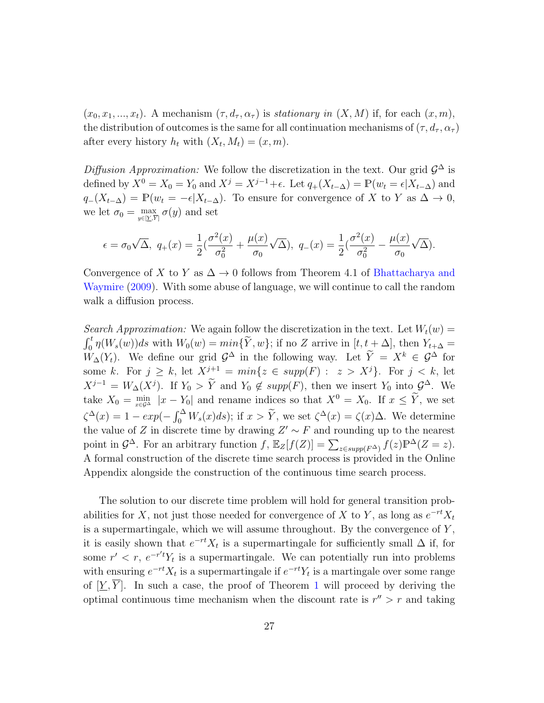$(x_0, x_1, ..., x_t)$ . A mechanism  $(\tau, d_\tau, \alpha_\tau)$  is stationary in  $(X, M)$  if, for each  $(x, m)$ , the distribution of outcomes is the same for all continuation mechanisms of  $(\tau, d_{\tau}, \alpha_{\tau})$ after every history  $h_t$  with  $(X_t, M_t) = (x, m)$ .

Diffusion Approximation: We follow the discretization in the text. Our grid  $\mathcal{G}^{\Delta}$  is defined by  $X^0 = X_0 = Y_0$  and  $X^j = X^{j-1} + \epsilon$ . Let  $q_+(X_{t-\Delta}) = \mathbb{P}(w_t = \epsilon | X_{t-\Delta})$  and  $q_{-}(X_{t-\Delta}) = \mathbb{P}(w_t = -\epsilon | X_{t-\Delta})$ . To ensure for convergence of X to Y as  $\Delta \to 0$ , we let  $\sigma_0 = \max_{y \in [\underline{Y}, \overline{Y}]} \sigma(y)$  and set

$$
\epsilon = \sigma_0 \sqrt{\Delta}, \ q_+(x) = \frac{1}{2} \left( \frac{\sigma^2(x)}{\sigma_0^2} + \frac{\mu(x)}{\sigma_0} \sqrt{\Delta} \right), \ q_-(x) = \frac{1}{2} \left( \frac{\sigma^2(x)}{\sigma_0^2} - \frac{\mu(x)}{\sigma_0} \sqrt{\Delta} \right).
$$

Convergence of X to Y as  $\Delta \rightarrow 0$  follows from Theorem 4.1 of [Bhattacharya and](#page-23-5) [Waymire](#page-23-5) [\(2009\)](#page-23-5). With some abuse of language, we will continue to call the random walk a diffusion process.

Search Approximation: We again follow the discretization in the text. Let  $W_t(w) =$  $\int_0^t \eta(W_s(w))ds$  with  $W_0(w) = min\{\widetilde{Y}, w\}$ ; if no Z arrive in  $[t, t + \Delta]$ , then  $Y_{t+\Delta} =$  $W_{\Delta}(Y_t)$ . We define our grid  $\mathcal{G}^{\Delta}$  in the following way. Let  $\tilde{Y} = X^k \in \mathcal{G}^{\Delta}$  for some k. For  $j \ge k$ , let  $X^{j+1} = min\{z \in supp(F) : z > X^j\}$ . For  $j < k$ , let  $X^{j-1} = W_\Delta(X^j)$ . If  $Y_0 > Y$  and  $Y_0 \notin supp(F)$ , then we insert  $Y_0$  into  $\mathcal{G}^\Delta$ . We take  $X_0 = \min_{x \in \mathcal{G}^\Delta} |x - Y_0|$  and rename indices so that  $X^0 = X_0$ . If  $x \leq Y$ , we set  $\zeta^{\Delta}(x) = 1 - exp(-\int_0^{\Delta} W_s(x)ds)$ ; if  $x > \tilde{Y}$ , we set  $\zeta^{\Delta}(x) = \zeta(x)\Delta$ . We determine the value of Z in discrete time by drawing  $Z' \sim F$  and rounding up to the nearest point in  $\mathcal{G}^{\Delta}$ . For an arbitrary function  $f$ ,  $\mathbb{E}_Z[f(Z)] = \sum_{z \in supp(F^{\Delta})} f(z) \mathbb{P}^{\Delta}(Z = z)$ . A formal construction of the discrete time search process is provided in the Online Appendix alongside the construction of the continuous time search process.

The solution to our discrete time problem will hold for general transition probabilities for X, not just those needed for convergence of X to Y, as long as  $e^{-rt}X_t$ is a supermartingale, which we will assume throughout. By the convergence of  $Y$ , it is easily shown that  $e^{-rt}X_t$  is a supermartingale for sufficiently small  $\Delta$  if, for some  $r' < r$ ,  $e^{-r't}Y_t$  is a supermartingale. We can potentially run into problems with ensuring  $e^{-rt}X_t$  is a supermartingale if  $e^{-rt}Y_t$  is a martingale over some range of  $[\underline{Y}, \overline{Y}]$ . In such a case, the proof of Theorem [1](#page-12-0) will proceed by deriving the optimal continuous time mechanism when the discount rate is  $r'' > r$  and taking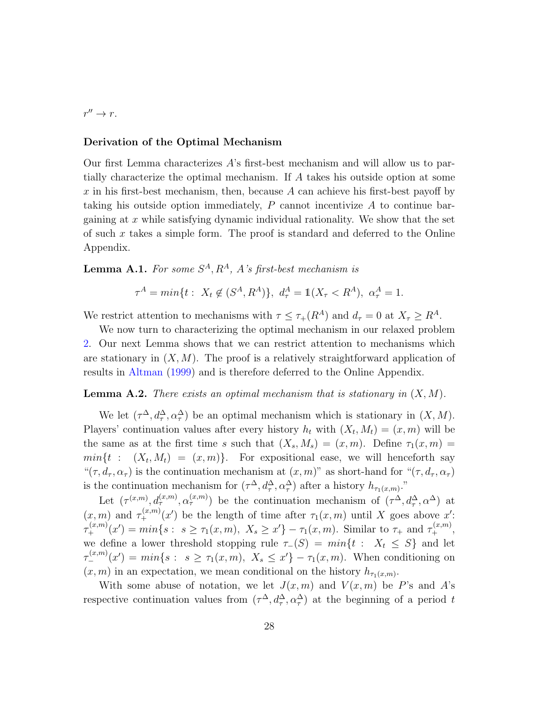$r'' \to r$ .

#### Derivation of the Optimal Mechanism

Our first Lemma characterizes A's first-best mechanism and will allow us to partially characterize the optimal mechanism. If A takes his outside option at some  $x$  in his first-best mechanism, then, because  $A$  can achieve his first-best payoff by taking his outside option immediately,  $P$  cannot incentivize  $A$  to continue bargaining at  $x$  while satisfying dynamic individual rationality. We show that the set of such  $x$  takes a simple form. The proof is standard and deferred to the Online Appendix.

<span id="page-27-0"></span>**Lemma A.1.** For some  $S^A$ ,  $R^A$ , A's first-best mechanism is

$$
\tau^{A} = \min\{t : X_{t} \notin (S^{A}, R^{A})\}, \ d_{\tau}^{A} = \mathbb{1}(X_{\tau} < R^{A}), \ \alpha_{\tau}^{A} = 1.
$$

We restrict attention to mechanisms with  $\tau \leq \tau_+(R^A)$  and  $d_{\tau} = 0$  at  $X_{\tau} \geq R^A$ .

We now turn to characterizing the optimal mechanism in our relaxed problem [2.](#page-15-0) Our next Lemma shows that we can restrict attention to mechanisms which are stationary in  $(X, M)$ . The proof is a relatively straightforward application of results in [Altman](#page-23-6) [\(1999\)](#page-23-6) and is therefore deferred to the Online Appendix.

#### <span id="page-27-1"></span>**Lemma A.2.** There exists an optimal mechanism that is stationary in  $(X, M)$ .

We let  $(\tau^{\Delta}, d_{\tau}^{\Delta}, \alpha_{\tau}^{\Delta})$  be an optimal mechanism which is stationary in  $(X, M)$ . Players' continuation values after every history  $h_t$  with  $(X_t, M_t) = (x, m)$  will be the same as at the first time s such that  $(X_s, M_s) = (x, m)$ . Define  $\tau_1(x, m) =$  $min{t : (X_t, M_t) = (x, m)}$ . For expositional ease, we will henceforth say " $(\tau, d_{\tau}, \alpha_{\tau})$  is the continuation mechanism at  $(x, m)$ " as short-hand for " $(\tau, d_{\tau}, \alpha_{\tau})$ " is the continuation mechanism for  $(\tau^{\Delta}, d^{\Delta}_{\tau}, \alpha^{\Delta}_{\tau})$  after a history  $h_{\tau_1(x,m)}$ ."

Let  $(\tau^{(x,m)}, d_{\tau}^{(x,m)}, \alpha_{\tau}^{(x,m)})$  be the continuation mechanism of  $(\tau^{\Delta}, d_{\tau}^{\Delta}, \alpha^{\Delta})$  at  $(x, m)$  and  $\tau_+^{(x,m)}(x')$  be the length of time after  $\tau_1(x, m)$  until X goes above x':  $\tau^{(x,m)}_+(x') = \min\{s : s \geq \tau_1(x,m), \ X_s \geq x'\} - \tau_1(x,m)$ . Similar to  $\tau_+$  and  $\tau^{(x,m)}_+$ , we define a lower threshold stopping rule  $\tau_-(S) = min\{t : X_t \leq S\}$  and let  $\tau_{-}^{(x,m)}(x') = min\{s : s \geq \tau_1(x,m), X_s \leq x'\} - \tau_1(x,m)$ . When conditioning on  $(x, m)$  in an expectation, we mean conditional on the history  $h_{\tau_1(x,m)}$ .

With some abuse of notation, we let  $J(x, m)$  and  $V(x, m)$  be P's and A's respective continuation values from  $(\tau^{\Delta}, d^{\Delta}_{\tau}, \alpha^{\Delta}_{\tau})$  at the beginning of a period t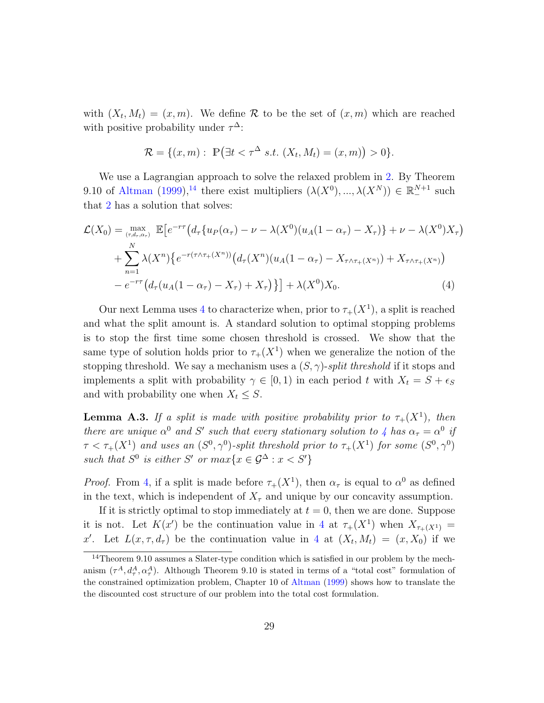with  $(X_t, M_t) = (x, m)$ . We define R to be the set of  $(x, m)$  which are reached with positive probability under  $\tau^{\Delta}$ :

<span id="page-28-1"></span>
$$
\mathcal{R} = \{ (x, m) : \mathbb{P} \big( \exists t < \tau^{\Delta} \ s.t. \ (X_t, M_t) = (x, m) \big) > 0 \}.
$$

We use a Lagrangian approach to solve the relaxed problem in [2.](#page-15-0) By Theorem 9.10 of [Altman](#page-23-6) [\(1999\)](#page-23-6),<sup>[14](#page-28-0)</sup> there exist multipliers  $(\lambda(X^0), ..., \lambda(X^N)) \in \mathbb{R}^{N+1}$  such that [2](#page-15-0) has a solution that solves:

$$
\mathcal{L}(X_0) = \max_{(\tau, d_\tau, \alpha_\tau)} \mathbb{E} \left[ e^{-r\tau} \left( d_\tau \{ u_P(\alpha_\tau) - \nu - \lambda(X^0) (u_A(1 - \alpha_\tau) - X_\tau) \} + \nu - \lambda(X^0) X_\tau \right) \right. \\
\left. + \sum_{n=1}^N \lambda(X^n) \left\{ e^{-r(\tau \wedge \tau_+(X^n))} \left( d_\tau (X^n) (u_A(1 - \alpha_\tau) - X_{\tau \wedge \tau_+(X^n)}) + X_{\tau \wedge \tau_+(X^n)} \right) \right. \\
\left. - e^{-r\tau} \left( d_\tau (u_A(1 - \alpha_\tau) - X_\tau) + X_\tau \right) \right\} \right] + \lambda(X^0) X_0.
$$
\n(4)

Our next Lemma uses [4](#page-28-1) to characterize when, prior to  $\tau_+(X^1)$ , a split is reached and what the split amount is. A standard solution to optimal stopping problems is to stop the first time some chosen threshold is crossed. We show that the same type of solution holds prior to  $\tau_+(X^1)$  when we generalize the notion of the stopping threshold. We say a mechanism uses a  $(S, \gamma)$ -split threshold if it stops and implements a split with probability  $\gamma \in [0, 1)$  in each period t with  $X_t = S + \epsilon_S$ and with probability one when  $X_t \leq S$ .

<span id="page-28-2"></span>**Lemma A.3.** If a split is made with positive probability prior to  $\tau_+(X^1)$ , then there are unique  $\alpha^0$  and S' such that every stationary solution to [4](#page-28-1) has  $\alpha_\tau = \alpha^0$  if  $\tau < \tau_+(X^1)$  and uses an  $(S^0, \gamma^0)$ -split threshold prior to  $\tau_+(X^1)$  for some  $(S^0, \gamma^0)$ such that  $S^0$  is either S' or  $max\{x \in \mathcal{G}^{\Delta}: x < S'\}$ 

*Proof.* From [4,](#page-28-1) if a split is made before  $\tau_+(X^1)$ , then  $\alpha_{\tau}$  is equal to  $\alpha^0$  as defined in the text, which is independent of  $X_\tau$  and unique by our concavity assumption.

If it is strictly optimal to stop immediately at  $t = 0$ , then we are done. Suppose it is not. Let  $K(x')$  be the continuation value in [4](#page-28-1) at  $\tau_+(X^1)$  when  $X_{\tau_+(X^1)} =$ x'. Let  $L(x, \tau, d_\tau)$  be the continuation value in [4](#page-28-1) at  $(X_t, M_t) = (x, X_0)$  if we

<span id="page-28-0"></span> $14$ Theorem 9.10 assumes a Slater-type condition which is satisfied in our problem by the mechanism  $(\tau^A, d^A_\tau, \alpha^A_\tau)$ . Although Theorem 9.10 is stated in terms of a "total cost" formulation of the constrained optimization problem, Chapter 10 of [Altman](#page-23-6) [\(1999\)](#page-23-6) shows how to translate the the discounted cost structure of our problem into the total cost formulation.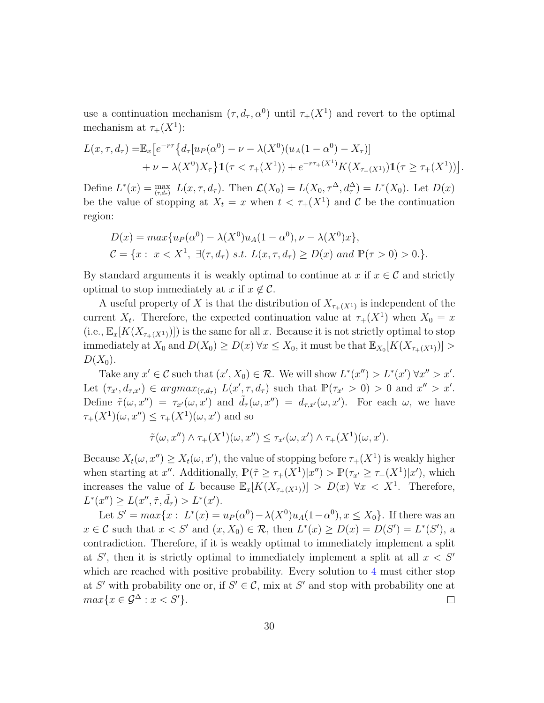use a continuation mechanism  $(\tau, d_\tau, \alpha^0)$  until  $\tau_+(X^1)$  and revert to the optimal mechanism at  $\tau_+(X^1)$ :

$$
L(x,\tau,d_{\tau}) = \mathbb{E}_{x} \left[ e^{-r\tau} \left\{ d_{\tau} [u_{P}(\alpha^{0}) - \nu - \lambda(X^{0})(u_{A}(1-\alpha^{0}) - X_{\tau})] \right. \\ \left. + \nu - \lambda(X^{0})X_{\tau} \right\} \mathbb{1}(\tau < \tau_{+}(X^{1})) + e^{-r\tau_{+}(X^{1})} K(X_{\tau_{+}(X^{1})}) \mathbb{1}(\tau \ge \tau_{+}(X^{1})) \right].
$$

Define  $L^*(x) = \max_{(\tau,d_{\tau})} L(x,\tau,d_{\tau})$ . Then  $\mathcal{L}(X_0) = L(X_0,\tau^{\Delta},d_{\tau}^{\Delta}) = L^*(X_0)$ . Let  $D(x)$ be the value of stopping at  $X_t = x$  when  $t < \tau_+(X^1)$  and C be the continuation region:

$$
D(x) = \max\{u_P(\alpha^0) - \lambda(X^0)u_A(1 - \alpha^0), \nu - \lambda(X^0)x\},
$$
  
\n
$$
C = \{x : x < X^1, \exists (\tau, d_\tau) \text{ s.t. } L(x, \tau, d_\tau) \ge D(x) \text{ and } \mathbb{P}(\tau > 0) > 0.\}.
$$

By standard arguments it is weakly optimal to continue at x if  $x \in \mathcal{C}$  and strictly optimal to stop immediately at x if  $x \notin \mathcal{C}$ .

A useful property of X is that the distribution of  $X_{\tau+(X^1)}$  is independent of the current  $X_t$ . Therefore, the expected continuation value at  $\tau_+(X^1)$  when  $X_0 = x$  $(i.e., \mathbb{E}_x[K(X_{\tau_+(X^1)})])$  is the same for all x. Because it is not strictly optimal to stop immediately at  $X_0$  and  $D(X_0) \ge D(x)$   $\forall x \le X_0$ , it must be that  $\mathbb{E}_{X_0}[K(X_{\tau_+(X^1)})] >$  $D(X_0)$ .

Take any  $x' \in \mathcal{C}$  such that  $(x', X_0) \in \mathcal{R}$ . We will show  $L^*(x'') > L^*(x') \forall x'' > x'$ . Let  $(\tau_{x'}, d_{\tau,x'}) \in argmax_{(\tau,d_{\tau})} L(x', \tau, d_{\tau})$  such that  $\mathbb{P}(\tau_{x'} > 0) > 0$  and  $x'' > x'$ . Define  $\tilde{\tau}(\omega, x'') = \tau_{x'}(\omega, x')$  and  $\tilde{d}_{\tau}(\omega, x'') = d_{\tau, x'}(\omega, x')$ . For each  $\omega$ , we have  $\tau_+(X^1)(\omega, x'') \leq \tau_+(X^1)(\omega, x')$  and so

$$
\tilde{\tau}(\omega, x'') \wedge \tau_+(X^1)(\omega, x'') \le \tau_{x'}(\omega, x') \wedge \tau_+(X^1)(\omega, x').
$$

Because  $X_t(\omega, x'') \ge X_t(\omega, x')$ , the value of stopping before  $\tau_+(X^1)$  is weakly higher when starting at x''. Additionally,  $\mathbb{P}(\tilde{\tau} \geq \tau_+(X^1)|x'') > \mathbb{P}(\tau_{x'} \geq \tau_+(X^1)|x')$ , which increases the value of L because  $\mathbb{E}_x[K(X_{\tau_+(X^1)})] > D(x)$   $\forall x < X^1$ . Therefore,  $L^*(x'') \ge L(x'', \tilde{\tau}, \tilde{d}_{\tau}) > L^*(x').$ 

Let  $S' = max\{x : L^*(x) = u_P(\alpha^0) - \lambda(X^0)u_A(1-\alpha^0), x \le X_0\}$ . If there was an  $x \in \mathcal{C}$  such that  $x < S'$  and  $(x, X_0) \in \mathcal{R}$ , then  $L^*(x) \ge D(x) = D(S') = L^*(S')$ , a contradiction. Therefore, if it is weakly optimal to immediately implement a split at  $S'$ , then it is strictly optimal to immediately implement a split at all  $x < S'$ which are reached with positive probability. Every solution to [4](#page-28-1) must either stop at S' with probability one or, if  $S' \in \mathcal{C}$ , mix at S' and stop with probability one at  $max{x \in \mathcal{G}^{\Delta} : x < S'}$ .  $\Box$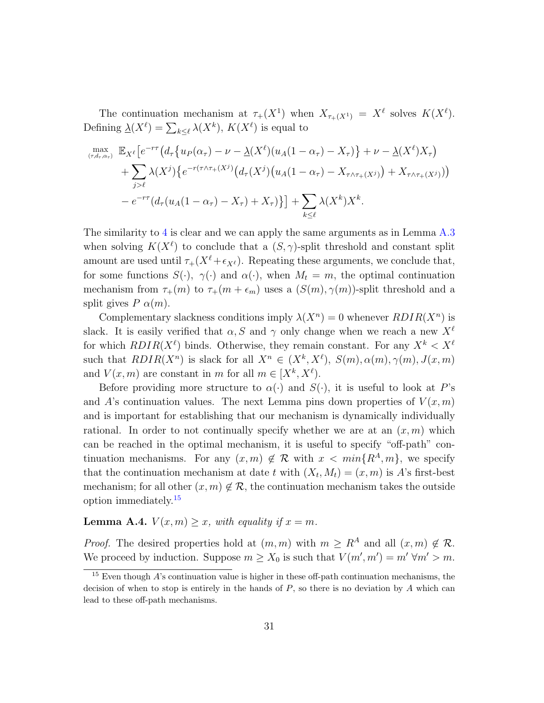The continuation mechanism at  $\tau_+(X^1)$  when  $X_{\tau_+(X^1)} = X^{\ell}$  solves  $K(X^{\ell})$ . Defining  $\underline{\lambda}(X^{\ell}) = \sum_{k \leq \ell} \lambda(X^k)$ ,  $K(X^{\ell})$  is equal to

$$
\max_{(\tau,d_{\tau},\alpha_{\tau})} \mathbb{E}_{X^{\ell}} \left[ e^{-r\tau} \left( d_{\tau} \left\{ u_{P}(\alpha_{\tau}) - \nu - \underline{\lambda}(X^{\ell}) (u_{A}(1-\alpha_{\tau}) - X_{\tau}) \right\} + \nu - \underline{\lambda}(X^{\ell}) X_{\tau} \right) \right. \\
\left. + \sum_{j>\ell} \lambda(X^{j}) \left\{ e^{-r(\tau \wedge \tau_{+}(X^{j})} \left( d_{\tau}(X^{j}) (u_{A}(1-\alpha_{\tau}) - X_{\tau \wedge \tau_{+}(X^{j})}) + X_{\tau \wedge \tau_{+}(X^{j})} \right) \right) \right. \\
\left. - e^{-r\tau} \left( d_{\tau} (u_{A}(1-\alpha_{\tau}) - X_{\tau}) + X_{\tau} \right) \right\} \right] + \sum_{k \leq \ell} \lambda(X^{k}) X^{k}.
$$

The similarity to [4](#page-28-1) is clear and we can apply the same arguments as in Lemma [A.3](#page-28-2) when solving  $K(X^{\ell})$  to conclude that a  $(S, \gamma)$ -split threshold and constant split amount are used until  $\tau_+(X^\ell + \epsilon_{X^\ell})$ . Repeating these arguments, we conclude that, for some functions  $S(\cdot)$ ,  $\gamma(\cdot)$  and  $\alpha(\cdot)$ , when  $M_t = m$ , the optimal continuation mechanism from  $\tau_{+}(m)$  to  $\tau_{+}(m + \epsilon_m)$  uses a  $(S(m), \gamma(m))$ -split threshold and a split gives  $P \alpha(m)$ .

Complementary slackness conditions imply  $\lambda(X^n) = 0$  whenever  $RDIR(X^n)$  is slack. It is easily verified that  $\alpha$ , S and  $\gamma$  only change when we reach a new  $X^{\ell}$ for which  $RDIR(X^{\ell})$  binds. Otherwise, they remain constant. For any  $X^{k} < X^{\ell}$ such that  $RDIR(X^n)$  is slack for all  $X^n \in (X^k, X^{\ell}), S(m), \alpha(m), \gamma(m), J(x, m)$ and  $V(x, m)$  are constant in m for all  $m \in [X^k, X^{\ell})$ .

Before providing more structure to  $\alpha(\cdot)$  and  $S(\cdot)$ , it is useful to look at P's and A's continuation values. The next Lemma pins down properties of  $V(x, m)$ and is important for establishing that our mechanism is dynamically individually rational. In order to not continually specify whether we are at an  $(x, m)$  which can be reached in the optimal mechanism, it is useful to specify "off-path" continuation mechanisms. For any  $(x, m) \notin \mathcal{R}$  with  $x < min\{R^A, m\}$ , we specify that the continuation mechanism at date t with  $(X_t, M_t) = (x, m)$  is A's first-best mechanism; for all other  $(x, m) \notin \mathcal{R}$ , the continuation mechanism takes the outside option immediately.[15](#page-30-0)

<span id="page-30-1"></span>**Lemma A.4.**  $V(x, m) \geq x$ , with equality if  $x = m$ .

*Proof.* The desired properties hold at  $(m, m)$  with  $m \geq R^A$  and all  $(x, m) \notin \mathcal{R}$ . We proceed by induction. Suppose  $m \ge X_0$  is such that  $V(m', m') = m' \forall m' > m$ .

<span id="page-30-0"></span> $15$  Even though  $\overline{A}$ 's continuation value is higher in these off-path continuation mechanisms, the decision of when to stop is entirely in the hands of  $P$ , so there is no deviation by  $A$  which can lead to these off-path mechanisms.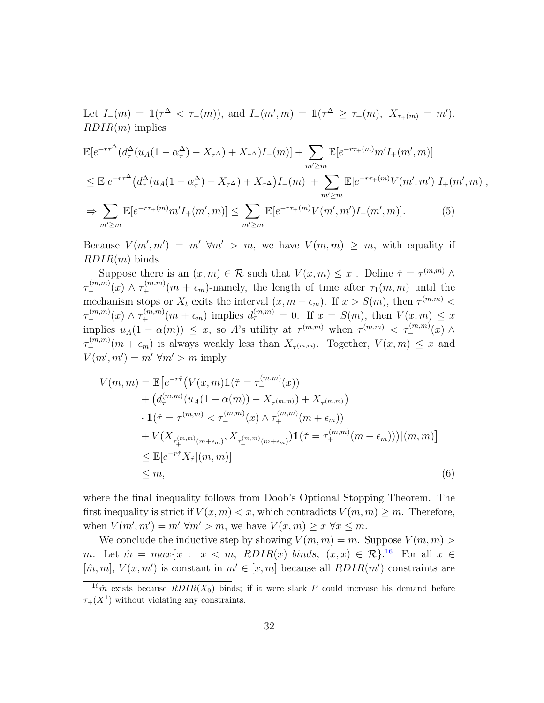Let  $I_-(m) = 1$  $(\tau^{\Delta} < \tau_+(m))$ , and  $I_+(m', m) = 1$  $(\tau^{\Delta} \ge \tau_+(m), X_{\tau_+(m)} = m')$ .  $RDIR(m)$  implies

$$
\mathbb{E}[e^{-r\tau^{\Delta}}(d_{\tau}^{\Delta}(u_{A}(1-\alpha_{\tau}^{\Delta})-X_{\tau^{\Delta}})+X_{\tau^{\Delta}})I_{-}(m)] + \sum_{m'\geq m} \mathbb{E}[e^{-r\tau_{+}(m)}m'I_{+}(m',m)]
$$
  
\n
$$
\leq \mathbb{E}[e^{-r\tau^{\Delta}}(d_{\tau}^{\Delta}(u_{A}(1-\alpha_{\tau}^{\Delta})-X_{\tau^{\Delta}})+X_{\tau^{\Delta}})I_{-}(m)] + \sum_{m'\geq m} \mathbb{E}[e^{-r\tau_{+}(m)}V(m',m') I_{+}(m',m)],
$$
  
\n
$$
\Rightarrow \sum_{m'\geq m} \mathbb{E}[e^{-r\tau_{+}(m)}m'I_{+}(m',m)] \leq \sum_{m'\geq m} \mathbb{E}[e^{-r\tau_{+}(m)}V(m',m')I_{+}(m',m)]. \tag{5}
$$

<span id="page-31-2"></span>Because  $V(m', m') = m' \forall m' > m$ , we have  $V(m, m) \geq m$ , with equality if  $RDIR(m)$  binds.

Suppose there is an  $(x, m) \in \mathcal{R}$  such that  $V(x, m) \leq x$ . Define  $\check{\tau} = \tau^{(m,m)} \wedge$  $\tau^{(m,m)}_-(x) \wedge \tau^{(m,m)}_+(m + \epsilon_m)$ -namely, the length of time after  $\tau_1(m,m)$  until the mechanism stops or  $X_t$  exits the interval  $(x, m + \epsilon_m)$ . If  $x > S(m)$ , then  $\tau^{(m,m)}$  $\tau^{(m,m)}_-(x) \wedge \tau^{(m,m)}_+(m+\epsilon_m)$  implies  $d_{\tau}^{(m,m)}=0$ . If  $x = S(m)$ , then  $V(x,m) \leq x$ implies  $u_A(1-\alpha(m)) \leq x$ , so A's utility at  $\tau^{(m,m)}$  when  $\tau^{(m,m)} < \tau^{(m,m)}_-(x)$   $\wedge$  $\tau^{(m,m)}_+(m+\epsilon_m)$  is always weakly less than  $X_{\tau^{(m,m)}}$ . Together,  $V(x,m) \leq x$  and  $V(m', m') = m' \forall m' > m$  imply

<span id="page-31-1"></span>
$$
V(m, m) = \mathbb{E}\left[e^{-r\tilde{\tau}}\left(V(x, m)\mathbb{1}(\tilde{\tau} = \tau_{-}^{(m, m)}(x)\right)\right.+ \left(d_{\tau}^{(m, m)}(u_{A}(1 - \alpha(m)) - X_{\tau^{(m, m)}}) + X_{\tau^{(m, m)}}\right)\cdot \mathbb{1}(\tilde{\tau} = \tau^{(m, m)} < \tau_{-}^{(m, m)}(x) \wedge \tau_{+}^{(m, m)}(m + \epsilon_{m}))+ V(X_{\tau_{+}^{(m, m)}(m + \epsilon_{m})}, X_{\tau_{+}^{(m, m)}(m + \epsilon_{m})})\mathbb{1}(\tilde{\tau} = \tau_{+}^{(m, m)}(m + \epsilon_{m}))\right)(m, m)\leq \mathbb{E}\left[e^{-r\tilde{\tau}}X_{\tilde{\tau}}|(m, m)\right]\leq m,
$$
\n(6)

where the final inequality follows from Doob's Optional Stopping Theorem. The first inequality is strict if  $V(x, m) < x$ , which contradicts  $V(m, m) \geq m$ . Therefore, when  $V(m', m') = m' \forall m' > m$ , we have  $V(x, m) \geq x \forall x \leq m$ .

We conclude the inductive step by showing  $V(m, m) = m$ . Suppose  $V(m, m) >$ m. Let  $\hat{m} = max\{x : x < m, \quad RDIR(x) \; binds, \; (x, x) \in \mathcal{R}\}$ .<sup>[16](#page-31-0)</sup> For all  $x \in \mathcal{R}$  $[\hat{m}, m], V(x, m')$  is constant in  $m' \in [x, m]$  because all  $RDIR(m')$  constraints are

<span id="page-31-0"></span> $16\hat{m}$  exists because  $RDIR(X_0)$  binds; if it were slack P could increase his demand before  $\tau_{+}(X^{1})$  without violating any constraints.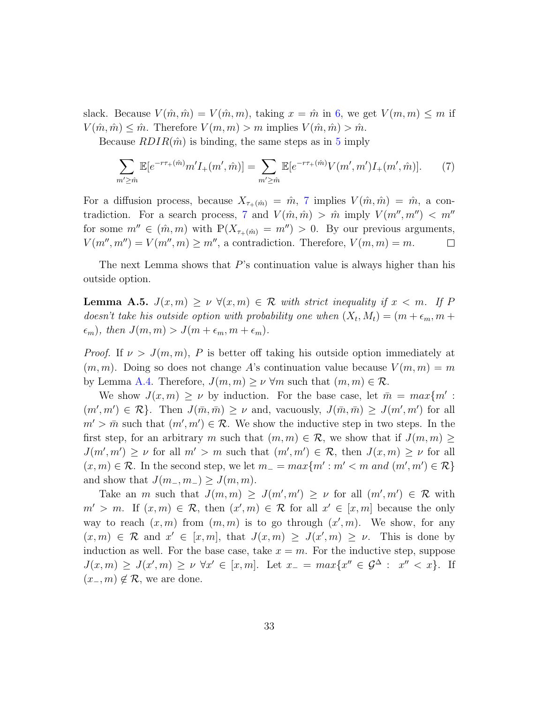slack. Because  $V(\hat{m}, \hat{m}) = V(\hat{m}, m)$ , taking  $x = \hat{m}$  in [6,](#page-31-1) we get  $V(m, m) \leq m$  if  $V(\hat{m}, \hat{m}) \leq \hat{m}$ . Therefore  $V(m, m) > m$  implies  $V(\hat{m}, \hat{m}) > \hat{m}$ .

Because  $RDIR(\hat{m})$  is binding, the same steps as in [5](#page-31-2) imply

<span id="page-32-0"></span>
$$
\sum_{m'\geq \hat{m}} \mathbb{E}[e^{-r\tau_{+}(\hat{m})}m'I_{+}(m',\hat{m})] = \sum_{m'\geq \hat{m}} \mathbb{E}[e^{-r\tau_{+}(\hat{m})}V(m',m')I_{+}(m',\hat{m})].
$$
 (7)

For a diffusion process, because  $X_{\tau_+(\hat{m})} = \hat{m}$ , [7](#page-32-0) implies  $V(\hat{m}, \hat{m}) = \hat{m}$ , a con-tradiction. For a search process, [7](#page-32-0) and  $V(\hat{m}, \hat{m}) > \hat{m}$  imply  $V(m'', m'') < m''$ for some  $m'' \in (\hat{m}, m)$  with  $\mathbb{P}(X_{\tau^+(\hat{m})} = m'') > 0$ . By our previous arguments,  $V(m'', m'') = V(m'', m) \ge m''$ , a contradiction. Therefore,  $V(m, m) = m$ .  $\Box$ 

The next Lemma shows that  $P$ 's continuation value is always higher than his outside option.

<span id="page-32-1"></span>**Lemma A.5.**  $J(x,m) \geq \nu \ \forall (x,m) \in \mathcal{R}$  with strict inequality if  $x < m$ . If P doesn't take his outside option with probability one when  $(X_t, M_t) = (m + \epsilon_m, m +$  $(\epsilon_m)$ , then  $J(m, m) > J(m + \epsilon_m, m + \epsilon_m)$ .

*Proof.* If  $\nu > J(m, m)$ , P is better off taking his outside option immediately at  $(m, m)$ . Doing so does not change A's continuation value because  $V(m, m) = m$ by Lemma [A.4.](#page-30-1) Therefore,  $J(m, m) \geq \nu \forall m$  such that  $(m, m) \in \mathcal{R}$ .

We show  $J(x,m) \ge \nu$  by induction. For the base case, let  $\bar{m} = max\{m' :$  $(m', m') \in \mathcal{R}$ . Then  $J(\bar{m}, \bar{m}) \geq \nu$  and, vacuously,  $J(\bar{m}, \bar{m}) \geq J(m', m')$  for all  $m' > \bar{m}$  such that  $(m', m') \in \mathcal{R}$ . We show the inductive step in two steps. In the first step, for an arbitrary m such that  $(m, m) \in \mathcal{R}$ , we show that if  $J(m, m) \geq$  $J(m', m') \geq \nu$  for all  $m' > m$  such that  $(m', m') \in \mathcal{R}$ , then  $J(x, m) \geq \nu$  for all  $(x, m) \in \mathcal{R}$ . In the second step, we let  $m_{-} = max\{m' : m' < m \text{ and } (m', m') \in \mathcal{R}\}\$ and show that  $J(m_-, m_-) \geq J(m, m)$ .

Take an m such that  $J(m, m) \geq J(m', m') \geq \nu$  for all  $(m', m') \in \mathcal{R}$  with  $m' > m$ . If  $(x,m) \in \mathcal{R}$ , then  $(x',m) \in \mathcal{R}$  for all  $x' \in [x,m]$  because the only way to reach  $(x, m)$  from  $(m, m)$  is to go through  $(x', m)$ . We show, for any  $(x, m) \in \mathcal{R}$  and  $x' \in [x, m]$ , that  $J(x, m) \geq J(x', m) \geq \nu$ . This is done by induction as well. For the base case, take  $x = m$ . For the inductive step, suppose  $J(x,m) \geq J(x',m) \geq \nu \ \forall x' \in [x,m].$  Let  $x_- = max\{x'' \in \mathcal{G}^\Delta : x'' < x\}.$  If  $(x_-, m) \notin \mathcal{R}$ , we are done.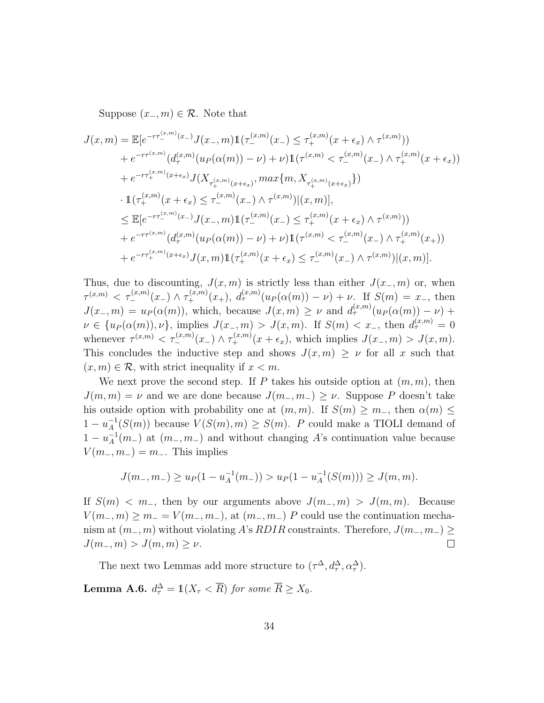Suppose  $(x_-, m) \in \mathcal{R}$ . Note that

$$
J(x,m) = \mathbb{E}[e^{-r\tau_{-}^{(x,m)}(x_{-})}J(x_{-},m)\mathbb{1}(\tau_{-}^{(x,m)}(x_{-}) \leq \tau_{+}^{(x,m)}(x+\epsilon_{x}) \wedge \tau^{(x,m)})
$$
  
\n
$$
+ e^{-r\tau_{+}^{(x,m)}(d_{\tau}^{(x,m)}(u_{P}(\alpha(m)) - \nu) + \nu)\mathbb{1}(\tau^{(x,m)} < \tau_{-}^{(x,m)}(x_{-}) \wedge \tau_{+}^{(x,m)}(x+\epsilon_{x}))
$$
  
\n
$$
+ e^{-r\tau_{+}^{(x,m)}(x+\epsilon_{x})}J(X_{\tau_{+}^{(x,m)}(x+\epsilon_{x})},\max\{m,X_{\tau_{+}^{(x,m)}(x+\epsilon_{x})}\})
$$
  
\n
$$
\cdot \mathbb{1}(\tau_{+}^{(x,m)}(x+\epsilon_{x}) \leq \tau_{-}^{(x,m)}(x_{-}) \wedge \tau^{(x,m)})|(x,m)],
$$
  
\n
$$
\leq \mathbb{E}[e^{-r\tau_{-}^{(x,m)}(x_{-})}J(x_{-},m)\mathbb{1}(\tau_{-}^{(x,m)}(x_{-}) \leq \tau_{+}^{(x,m)}(x+\epsilon_{x}) \wedge \tau^{(x,m)})
$$
  
\n
$$
+ e^{-r\tau_{+}^{(x,m)}(d_{\tau}^{(x,m)}(u_{P}(\alpha(m)) - \nu) + \nu)\mathbb{1}(\tau_{+}^{(x,m)} < \tau_{-}^{(x,m)}(x_{-}) \wedge \tau_{+}^{(x,m)}(x_{+}))
$$
  
\n
$$
+ e^{-r\tau_{+}^{(x,m)}(x+\epsilon_{x})}J(x,m)\mathbb{1}(\tau_{+}^{(x,m)}(x+\epsilon_{x}) \leq \tau_{-}^{(x,m)}(x_{-}) \wedge \tau^{(x,m)})|(x,m)].
$$

Thus, due to discounting,  $J(x, m)$  is strictly less than either  $J(x_-, m)$  or, when  $\tau^{(x,m)} < \tau^{(x,m)}_-(x_-) \wedge \tau^{(x,m)}_+(x_+), d^{(x,m)}_\tau(u_P(\alpha(m)) - \nu) + \nu.$  If  $S(m) = x_-,$  then  $J(x_-, m) = u_P(\alpha(m))$ , which, because  $J(x, m) \ge \nu$  and  $d_{\tau}^{(x,m)}(u_P(\alpha(m)) - \nu)$  +  $\nu \in \{u_P(\alpha(m)), \nu\},\$ implies  $J(x_-, m) > J(x, m)$ . If  $S(m) < x_-,$  then  $d_{\tau}^{(x,m)} = 0$ whenever  $\tau^{(x,m)} < \tau^{(x,m)}_{-}(x_-) \wedge \tau^{(x,m)}_{+}(x+\epsilon_x)$ , which implies  $J(x_-, m) > J(x, m)$ . This concludes the inductive step and shows  $J(x, m) \geq \nu$  for all x such that  $(x, m) \in \mathcal{R}$ , with strict inequality if  $x < m$ .

We next prove the second step. If P takes his outside option at  $(m, m)$ , then  $J(m, m) = \nu$  and we are done because  $J(m_-, m_-) \geq \nu$ . Suppose P doesn't take his outside option with probability one at  $(m, m)$ . If  $S(m) \geq m$ , then  $\alpha(m) \leq$  $1 - u_A^{-1}$  $\chi_A^{-1}(S(m))$  because  $V(S(m), m) \geq S(m)$ . P could make a TIOLI demand of  $1 - u_A^{-1}$  $A^{-1}(m)$  at  $(m_-, m_-)$  and without changing A's continuation value because  $V(m_-, m_-) = m_-.$  This implies

$$
J(m_-, m_-) \ge u_P(1 - u_A^{-1}(m_-)) > u_P(1 - u_A^{-1}(S(m))) \ge J(m, m).
$$

If  $S(m) < m_-,$  then by our arguments above  $J(m_-, m) > J(m, m)$ . Because  $V(m_-, m) \ge m_- = V(m_-, m_-),$  at  $(m_-, m_-)$  P could use the continuation mechanism at  $(m_-, m)$  without violating A's RDIR constraints. Therefore,  $J(m_-, m_-) \geq$  $J(m_-, m) > J(m, m) \geq \nu$ .  $\Box$ 

The next two Lemmas add more structure to  $(\tau^{\Delta}, d_{\tau}^{\Delta}, \alpha_{\tau}^{\Delta})$ .

**Lemma A.6.**  $d_{\tau}^{\Delta} = \mathbb{1}(X_{\tau} < \overline{R})$  for some  $\overline{R} \ge X_0$ .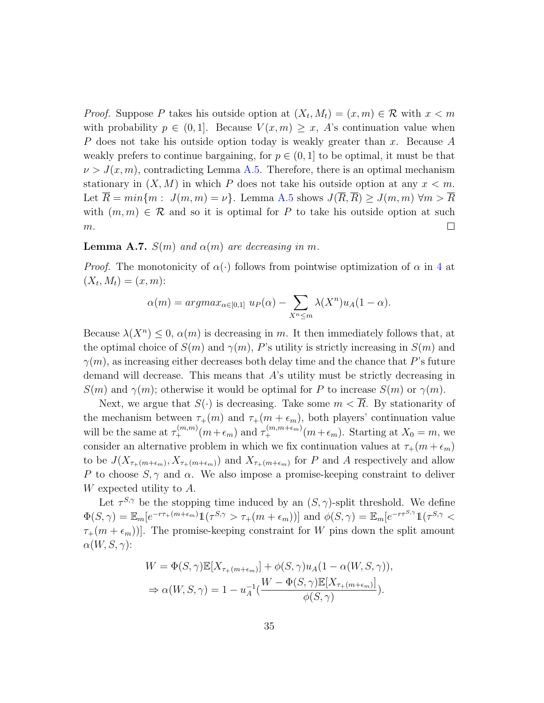*Proof.* Suppose P takes his outside option at  $(X_t, M_t) = (x, m) \in \mathcal{R}$  with  $x < m$ with probability  $p \in (0,1]$ . Because  $V(x,m) \geq x$ , A's continuation value when P does not take his outside option today is weakly greater than x. Because A weakly prefers to continue bargaining, for  $p \in (0,1]$  to be optimal, it must be that  $\nu > J(x, m)$ , contradicting Lemma [A.5.](#page-32-1) Therefore, there is an optimal mechanism stationary in  $(X, M)$  in which P does not take his outside option at any  $x < m$ . Let  $\overline{R} = min\{m : J(m, m) = \nu\}$ . Lemma [A.5](#page-32-1) shows  $J(\overline{R}, \overline{R}) \ge J(m, m) \ \forall m > \overline{R}$ with  $(m, m) \in \mathcal{R}$  and so it is optimal for P to take his outside option at such  $\Box$  $m.$ 

### <span id="page-34-0"></span>**Lemma A.7.**  $S(m)$  and  $\alpha(m)$  are decreasing in m.

*Proof.* The monotonicity of  $\alpha(\cdot)$  follows from pointwise optimization of  $\alpha$  in [4](#page-28-1) at  $(X_t, M_t) = (x, m)$ :

$$
\alpha(m) = argmax_{\alpha \in [0,1]} u_P(\alpha) - \sum_{X^n \le m} \lambda(X^n) u_A(1-\alpha).
$$

Because  $\lambda(X^n) \leq 0$ ,  $\alpha(m)$  is decreasing in m. It then immediately follows that, at the optimal choice of  $S(m)$  and  $\gamma(m)$ , P's utility is strictly increasing in  $S(m)$  and  $\gamma(m)$ , as increasing either decreases both delay time and the chance that P's future demand will decrease. This means that A's utility must be strictly decreasing in  $S(m)$  and  $\gamma(m)$ ; otherwise it would be optimal for P to increase  $S(m)$  or  $\gamma(m)$ .

Next, we argue that  $S(\cdot)$  is decreasing. Take some  $m < \overline{R}$ . By stationarity of the mechanism between  $\tau_{+}(m)$  and  $\tau_{+}(m + \epsilon_m)$ , both players' continuation value will be the same at  $\tau_{+}^{(m,m)}(m+\epsilon_m)$  and  $\tau_{+}^{(m,m+\epsilon_m)}(m+\epsilon_m)$ . Starting at  $X_0 = m$ , we consider an alternative problem in which we fix continuation values at  $\tau_+(m + \epsilon_m)$ to be  $J(X_{\tau+(m+\epsilon_m)}, X_{\tau+(m+\epsilon_m)})$  and  $X_{\tau+(m+\epsilon_m)}$  for P and A respectively and allow P to choose  $S, \gamma$  and  $\alpha$ . We also impose a promise-keeping constraint to deliver W expected utility to A.

Let  $\tau^{S,\gamma}$  be the stopping time induced by an  $(S,\gamma)$ -split threshold. We define  $\Phi(S,\gamma) = \mathbb{E}_m[e^{-r\tau_+(m+\epsilon_m)}1(\tau^{S,\gamma} > \tau_+(m+\epsilon_m))]$  and  $\phi(S,\gamma) = \mathbb{E}_m[e^{-r\tau^{S,\gamma}}1(\tau^{S,\gamma} <$  $\tau_{+}(m + \epsilon_{m})$ ]. The promise-keeping constraint for W pins down the split amount  $\alpha(W, S, \gamma)$ :

$$
W = \Phi(S, \gamma) \mathbb{E}[X_{\tau_{+}(m+\epsilon_{m})}] + \phi(S, \gamma)u_{A}(1 - \alpha(W, S, \gamma)),
$$
  

$$
\Rightarrow \alpha(W, S, \gamma) = 1 - u_{A}^{-1}(\frac{W - \Phi(S, \gamma) \mathbb{E}[X_{\tau_{+}(m+\epsilon_{m})}]}{\phi(S, \gamma)}).
$$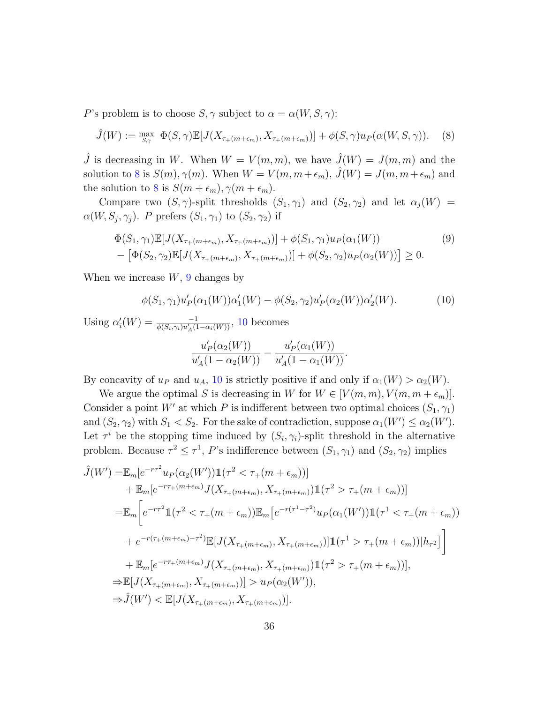P's problem is to choose  $S, \gamma$  subject to  $\alpha = \alpha(W, S, \gamma)$ :

$$
\hat{J}(W) := \max_{S,\gamma} \ \Phi(S,\gamma) \mathbb{E}[J(X_{\tau+(m+\epsilon_m)}, X_{\tau+(m+\epsilon_m)})] + \phi(S,\gamma) u_P(\alpha(W,S,\gamma)). \tag{8}
$$

 $\hat{J}$  is decreasing in W. When  $W = V(m, m)$ , we have  $\hat{J}(W) = J(m, m)$  and the solution to [8](#page-35-0) is  $S(m)$ ,  $\gamma(m)$ . When  $W = V(m, m + \epsilon_m)$ ,  $\hat{J}(W) = J(m, m + \epsilon_m)$  and the solution to [8](#page-35-0) is  $S(m + \epsilon_m), \gamma(m + \epsilon_m)$ .

Compare two  $(S, \gamma)$ -split thresholds  $(S_1, \gamma_1)$  and  $(S_2, \gamma_2)$  and let  $\alpha_j(W)$  =  $\alpha(W, S_j, \gamma_j)$ . P prefers  $(S_1, \gamma_1)$  to  $(S_2, \gamma_2)$  if

$$
\Phi(S_1, \gamma_1) \mathbb{E}[J(X_{\tau_+(m+\epsilon_m)}, X_{\tau_+(m+\epsilon_m)})] + \phi(S_1, \gamma_1) u_P(\alpha_1(W))
$$
\n
$$
- \left[ \Phi(S_2, \gamma_2) \mathbb{E}[J(X_{\tau_+(m+\epsilon_m)}, X_{\tau_+(m+\epsilon_m)})] + \phi(S_2, \gamma_2) u_P(\alpha_2(W)) \right] \ge 0.
$$
\n
$$
(9)
$$

When we increase  $W$ , [9](#page-35-1) changes by

$$
\phi(S_1, \gamma_1)u'_P(\alpha_1(W))\alpha'_1(W) - \phi(S_2, \gamma_2)u'_P(\alpha_2(W))\alpha'_2(W). \tag{10}
$$

Using  $\alpha'_i(W) = \frac{-1}{\phi(S_i, \gamma_i)u'_A(1-\alpha_i(W))}$ , [10](#page-35-2) becomes

<span id="page-35-2"></span><span id="page-35-1"></span><span id="page-35-0"></span>
$$
\frac{u'_P(\alpha_2(W))}{u'_A(1-\alpha_2(W))} - \frac{u'_P(\alpha_1(W))}{u'_A(1-\alpha_1(W))}.
$$

By concavity of  $u_P$  and  $u_A$ , [10](#page-35-2) is strictly positive if and only if  $\alpha_1(W) > \alpha_2(W)$ .

We argue the optimal S is decreasing in W for  $W \in [V(m, m), V(m, m + \epsilon_m)]$ . Consider a point W' at which P is indifferent between two optimal choices  $(S_1, \gamma_1)$ and  $(S_2, \gamma_2)$  with  $S_1 < S_2$ . For the sake of contradiction, suppose  $\alpha_1(W') \leq \alpha_2(W')$ . Let  $\tau^i$  be the stopping time induced by  $(S_i, \gamma_i)$ -split threshold in the alternative problem. Because  $\tau^2 \leq \tau^1$ , P's indifference between  $(S_1, \gamma_1)$  and  $(S_2, \gamma_2)$  implies

$$
\hat{J}(W') = \mathbb{E}_{m}[e^{-r\tau^{2}}u_{P}(\alpha_{2}(W'))\mathbb{1}(\tau^{2} < \tau_{+}(m+\epsilon_{m}))]
$$
\n
$$
+ \mathbb{E}_{m}[e^{-r\tau_{+}(m+\epsilon_{m})}J(X_{\tau_{+}(m+\epsilon_{m})}, X_{\tau_{+}(m+\epsilon_{m})})\mathbb{1}(\tau^{2} > \tau_{+}(m+\epsilon_{m}))]
$$
\n
$$
= \mathbb{E}_{m}\bigg[e^{-r\tau^{2}}\mathbb{1}(\tau^{2} < \tau_{+}(m+\epsilon_{m}))\mathbb{E}_{m}\big[e^{-r(\tau^{1}-\tau^{2})}u_{P}(\alpha_{1}(W'))\mathbb{1}(\tau^{1} < \tau_{+}(m+\epsilon_{m}))
$$
\n
$$
+ e^{-r(\tau_{+}(m+\epsilon_{m})-\tau^{2})}\mathbb{E}[J(X_{\tau_{+}(m+\epsilon_{m})}, X_{\tau_{+}(m+\epsilon_{m})})]\mathbb{1}(\tau^{1} > \tau_{+}(m+\epsilon_{m}))|h_{\tau^{2}}]\bigg]
$$
\n
$$
+ \mathbb{E}_{m}[e^{-r\tau_{+}(m+\epsilon_{m})}J(X_{\tau_{+}(m+\epsilon_{m})}, X_{\tau_{+}(m+\epsilon_{m})})\mathbb{1}(\tau^{2} > \tau_{+}(m+\epsilon_{m}))],
$$
\n
$$
\Rightarrow \mathbb{E}[J(X_{\tau_{+}(m+\epsilon_{m})}, X_{\tau_{+}(m+\epsilon_{m})})] > u_{P}(\alpha_{2}(W')),
$$
\n
$$
\Rightarrow \hat{J}(W') < \mathbb{E}[J(X_{\tau_{+}(m+\epsilon_{m})}, X_{\tau_{+}(m+\epsilon_{m})})].
$$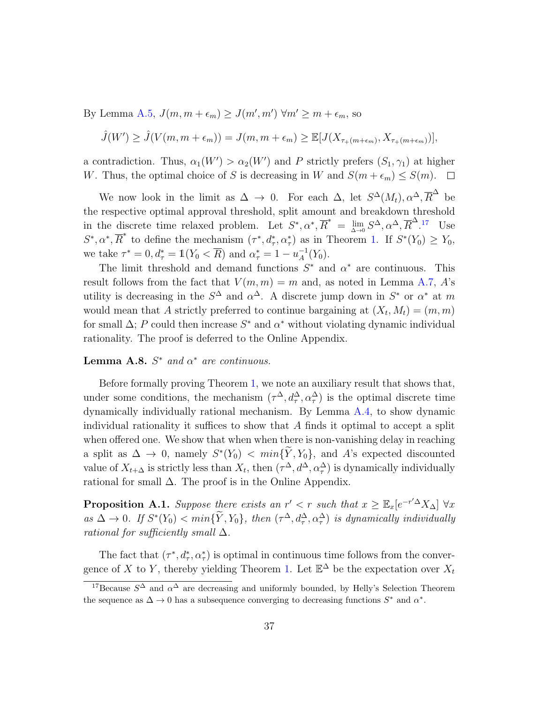By Lemma [A.5,](#page-32-1)  $J(m, m + \epsilon_m) \ge J(m', m') \forall m' \ge m + \epsilon_m$ , so

$$
\hat{J}(W') \geq \hat{J}(V(m, m + \epsilon_m)) = J(m, m + \epsilon_m) \geq \mathbb{E}[J(X_{\tau_{+}(m + \epsilon_m)}, X_{\tau_{+}(m + \epsilon_m)})],
$$

a contradiction. Thus,  $\alpha_1(W') > \alpha_2(W')$  and P strictly prefers  $(S_1, \gamma_1)$  at higher W. Thus, the optimal choice of S is decreasing in W and  $S(m + \epsilon_m) \leq S(m)$ .  $\Box$ 

We now look in the limit as  $\Delta \to 0$ . For each  $\Delta$ , let  $S^{\Delta}(M_t), \alpha^{\Delta}, \overline{R}^{\Delta}$  be the respective optimal approval threshold, split amount and breakdown threshold in the discrete time relaxed problem. Let  $S^*, \alpha^*, \overline{R}^* = \lim_{\Delta \to 0} S^{\Delta}, \alpha^{\Delta}, \overline{R}^{\Delta}$ .<sup>[17](#page-36-0)</sup> Use  $S^*, \alpha^*, \overline{R}^*$  to define the mechanism  $(\tau^*, d^*, \alpha^*_\tau)$  as in Theorem [1.](#page-12-0) If  $S^*(Y_0) \ge Y_0$ , we take  $\tau^* = 0, d^*_{\tau} = \mathbb{1}(Y_0 < \overline{R})$  and  $\alpha^*_{\tau} = 1 - u_A^{-1}$  $_{A}^{-1}(Y_0).$ 

The limit threshold and demand functions  $S^*$  and  $\alpha^*$  are continuous. This result follows from the fact that  $V(m, m) = m$  and, as noted in Lemma [A.7,](#page-34-0) A's utility is decreasing in the  $S^{\Delta}$  and  $\alpha^{\Delta}$ . A discrete jump down in  $S^*$  or  $\alpha^*$  at m would mean that A strictly preferred to continue bargaining at  $(X_t, M_t) = (m, m)$ for small  $\Delta$ ; P could then increase  $S^*$  and  $\alpha^*$  without violating dynamic individual rationality. The proof is deferred to the Online Appendix.

### <span id="page-36-1"></span>**Lemma A.8.**  $S^*$  and  $\alpha^*$  are continuous.

Before formally proving Theorem [1,](#page-12-0) we note an auxiliary result that shows that, under some conditions, the mechanism  $(\tau^{\Delta}, d^{\Delta}_{\tau}, \alpha^{\Delta}_{\tau})$  is the optimal discrete time dynamically individually rational mechanism. By Lemma [A.4,](#page-30-1) to show dynamic individual rationality it suffices to show that A finds it optimal to accept a split when offered one. We show that when when there is non-vanishing delay in reaching a split as  $\Delta \to 0$ , namely  $S^*(Y_0) < min\{Y, Y_0\}$ , and A's expected discounted value of  $X_{t+\Delta}$  is strictly less than  $X_t$ , then  $(\tau^{\Delta}, d^{\Delta}, \alpha^{\Delta}_\tau)$  is dynamically individually rational for small  $\Delta$ . The proof is in the Online Appendix.

**Proposition A.1.** Suppose there exists an  $r' < r$  such that  $x \geq \mathbb{E}_x[e^{-r'\Delta}X_\Delta]$   $\forall x$ as  $\Delta \to 0$ . If  $S^*(Y_0) < min\{\tilde{Y}, Y_0\}$ , then  $(\tau^{\Delta}, d^{\Delta}_{\tau}, \alpha^{\Delta}_{\tau})$  is dynamically individually rational for sufficiently small  $\Delta$ .

The fact that  $(\tau^*, d^*_\tau, \alpha^*_\tau)$  is optimal in continuous time follows from the conver-gence of X to Y, thereby yielding Theorem [1.](#page-12-0) Let  $\mathbb{E}^{\Delta}$  be the expectation over  $X_t$ 

<span id="page-36-0"></span><sup>&</sup>lt;sup>17</sup>Because  $S^{\Delta}$  and  $\alpha^{\Delta}$  are decreasing and uniformly bounded, by Helly's Selection Theorem the sequence as  $\Delta \to 0$  has a subsequence converging to decreasing functions  $S^*$  and  $\alpha^*$ .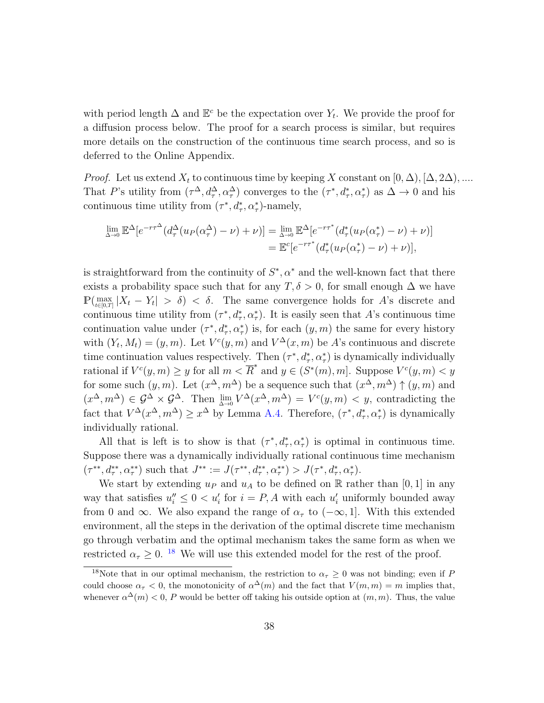with period length  $\Delta$  and  $\mathbb{E}^c$  be the expectation over  $Y_t$ . We provide the proof for a diffusion process below. The proof for a search process is similar, but requires more details on the construction of the continuous time search process, and so is deferred to the Online Appendix.

*Proof.* Let us extend  $X_t$  to continuous time by keeping X constant on  $[0, \Delta), [\Delta, 2\Delta), ....$ That P's utility from  $(\tau^{\Delta}, d^{\Delta}_{\tau}, \alpha^{\Delta}_{\tau})$  converges to the  $(\tau^*, d^*_{\tau}, \alpha^*_{\tau})$  as  $\Delta \to 0$  and his continuous time utility from  $(\tau^*, d^*_\tau, \alpha^*_\tau)$ -namely,

$$
\lim_{\Delta \to 0} \mathbb{E}^{\Delta} [e^{-r\tau^{\Delta}} (d_{\tau}^{\Delta}(u_P(\alpha_{\tau}^{\Delta}) - \nu) + \nu)] = \lim_{\Delta \to 0} \mathbb{E}^{\Delta} [e^{-r\tau^*} (d_{\tau}^*(u_P(\alpha_{\tau}^*) - \nu) + \nu)]
$$
  
=  $\mathbb{E}^c [e^{-r\tau^*} (d_{\tau}^*(u_P(\alpha_{\tau}^*) - \nu) + \nu)],$ 

is straightforward from the continuity of  $S^*$ ,  $\alpha^*$  and the well-known fact that there exists a probability space such that for any  $T, \delta > 0$ , for small enough  $\Delta$  we have  $\mathbb{P}(\max_{t\in[0,T]} |X_t - Y_t| > \delta) < \delta$ . The same convergence holds for A's discrete and continuous time utility from  $(\tau^*, d^*_\tau, \alpha^*_\tau)$ . It is easily seen that A's continuous time continuation value under  $(\tau^*, d^*_\tau, \alpha^*_\tau)$  is, for each  $(y, m)$  the same for every history with  $(Y_t, M_t) = (y, m)$ . Let  $V^c(y, m)$  and  $V^{\Delta}(x, m)$  be A's continuous and discrete time continuation values respectively. Then  $(\tau^*, d^*_\tau, \alpha^*_\tau)$  is dynamically individually rational if  $V^{c}(y, m) \geq y$  for all  $m < \overline{R}^{*}$  and  $y \in (S^{*}(m), m]$ . Suppose  $V^{c}(y, m) < y$ for some such  $(y, m)$ . Let  $(x^{\Delta}, m^{\Delta})$  be a sequence such that  $(x^{\Delta}, m^{\Delta}) \uparrow (y, m)$  and  $(x^{\Delta}, m^{\Delta}) \in \mathcal{G}^{\Delta} \times \mathcal{G}^{\Delta}$ . Then  $\lim_{\Delta \to 0} V^{\Delta}(x^{\Delta}, m^{\Delta}) = V^{c}(y, m) < y$ , contradicting the fact that  $V^{\Delta}(x^{\Delta}, m^{\Delta}) \geq x^{\Delta}$  by Lemma [A.4.](#page-30-1) Therefore,  $(\tau^*, d^*_\tau, \alpha^*_\tau)$  is dynamically individually rational.

All that is left is to show is that  $(\tau^*, d^*_\tau, \alpha^*_\tau)$  is optimal in continuous time. Suppose there was a dynamically individually rational continuous time mechanism  $(\tau^{**}, d^{**}_{\tau}, \alpha^{**}_{\tau})$  such that  $J^{**} := J(\tau^{**}, d^{**}_{\tau}, \alpha^{**}_{\tau}) > J(\tau^{*}, d^{*}_{\tau}, \alpha^{*}_{\tau}).$ 

We start by extending  $u_P$  and  $u_A$  to be defined on R rather than [0, 1] in any way that satisfies  $u''_i \leq 0 < u'_i$  for  $i = P, A$  with each  $u'_i$  uniformly bounded away from 0 and  $\infty$ . We also expand the range of  $\alpha_{\tau}$  to  $(-\infty, 1]$ . With this extended environment, all the steps in the derivation of the optimal discrete time mechanism go through verbatim and the optimal mechanism takes the same form as when we restricted  $\alpha_{\tau} \geq 0$ . <sup>[18](#page-37-0)</sup> We will use this extended model for the rest of the proof.

<span id="page-37-0"></span><sup>&</sup>lt;sup>18</sup>Note that in our optimal mechanism, the restriction to  $\alpha_{\tau} \geq 0$  was not binding; even if P could choose  $\alpha_{\tau} < 0$ , the monotonicity of  $\alpha^{\Delta}(m)$  and the fact that  $V(m, m) = m$  implies that, whenever  $\alpha^{\Delta}(m) < 0$ , P would be better off taking his outside option at  $(m, m)$ . Thus, the value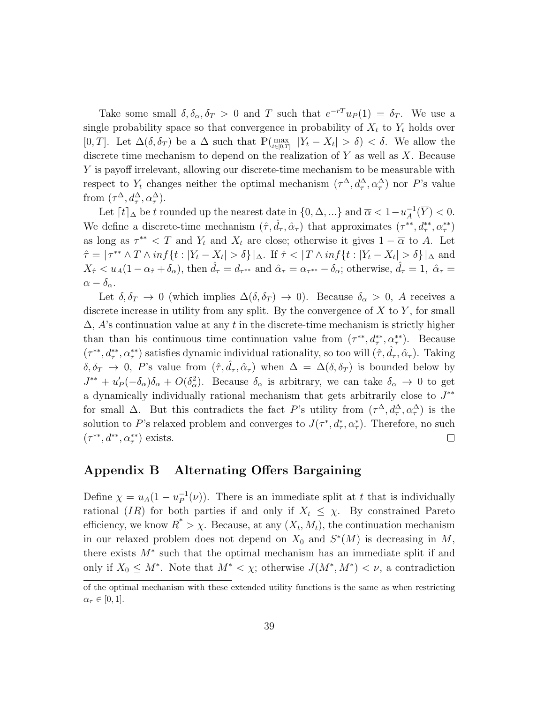Take some small  $\delta, \delta_{\alpha}, \delta_T > 0$  and T such that  $e^{-rT}u_P(1) = \delta_T$ . We use a single probability space so that convergence in probability of  $X_t$  to  $Y_t$  holds over [0, T]. Let  $\Delta(\delta, \delta_T)$  be a  $\Delta$  such that  $\mathbb{P}(\max_{t \in [0,T]} |Y_t - X_t| > \delta) < \delta$ . We allow the discrete time mechanism to depend on the realization of  $Y$  as well as  $X$ . Because Y is payoff irrelevant, allowing our discrete-time mechanism to be measurable with respect to  $Y_t$  changes neither the optimal mechanism  $(\tau^{\Delta}, d^{\Delta}_{\tau}, \alpha^{\Delta}_{\tau})$  nor P's value from  $(\tau^{\Delta}, d_{\tau}^{\Delta}, \alpha_{\tau}^{\Delta})$ .

Let  $\lceil t \rceil_{\Delta}$  be t rounded up the nearest date in  $\{0, \Delta, ...\}$  and  $\overline{\alpha} < 1 - u_A^{-1}$  $_{A}^{-1}(Y) < 0.$ We define a discrete-time mechanism  $(\hat{\tau}, \hat{d}_{\tau}, \hat{\alpha}_{\tau})$  that approximates  $(\tau^{**}, d^{**}_{\tau}, \alpha^{**}_{\tau})$ as long as  $\tau^{**} < T$  and  $Y_t$  and  $X_t$  are close; otherwise it gives  $1 - \overline{\alpha}$  to A. Let  $\hat{\tau} = [\tau^{**} \wedge T \wedge inf\{t : |Y_t - X_t| > \delta\}]_{\Delta}$ . If  $\hat{\tau} < [T \wedge inf\{t : |Y_t - X_t| > \delta\}]_{\Delta}$  and  $X_{\hat{\tau}} < u_A(1-\alpha_{\hat{\tau}}+\delta_{\alpha})$ , then  $\hat{d}_{\tau} = d_{\tau^{**}}$  and  $\hat{\alpha}_{\tau} = \alpha_{\tau^{**}} - \delta_{\alpha}$ ; otherwise,  $\hat{d}_{\tau} = 1$ ,  $\hat{\alpha}_{\tau} =$  $\overline{\alpha} - \delta_{\alpha}$ .

Let  $\delta, \delta_T \to 0$  (which implies  $\Delta(\delta, \delta_T) \to 0$ ). Because  $\delta_\alpha > 0$ , A receives a discrete increase in utility from any split. By the convergence of  $X$  to  $Y$ , for small  $\Delta$ , A's continuation value at any t in the discrete-time mechanism is strictly higher than than his continuous time continuation value from  $(\tau^{**}, d^{**}, \alpha^{**}_\tau)$ . Because  $(\tau^{**}, d^{**}_{\tau}, \alpha^{**}_{\tau})$  satisfies dynamic individual rationality, so too will  $(\hat{\tau}, \hat{d}_{\tau}, \hat{\alpha}_{\tau})$ . Taking  $\delta, \delta_T \to 0$ , P's value from  $(\hat{\tau}, \hat{d}_{\tau}, \hat{\alpha}_{\tau})$  when  $\Delta = \Delta(\delta, \delta_T)$  is bounded below by  $J^{**} + u'_P(-\delta_\alpha)\delta_\alpha + O(\delta_\alpha^2)$ . Because  $\delta_\alpha$  is arbitrary, we can take  $\delta_\alpha \to 0$  to get a dynamically individually rational mechanism that gets arbitrarily close to  $J^{**}$ for small  $\Delta$ . But this contradicts the fact P's utility from  $(\tau^{\Delta}, d_{\tau}^{\Delta}, \alpha_{\tau}^{\Delta})$  is the solution to P's relaxed problem and converges to  $J(\tau^*, d^*_\tau, \alpha^*_\tau)$ . Therefore, no such  $(\tau^{**}, d^{**}, \alpha^{**}_\tau)$  exists.  $\Box$ 

### Appendix B Alternating Offers Bargaining

Define  $\chi = u_A(1 - u_P^{-1})$  $P^{-1}(\nu)$ . There is an immediate split at t that is individually rational (IR) for both parties if and only if  $X_t \leq \chi$ . By constrained Pareto efficiency, we know  $\overline{R}^* > \chi$ . Because, at any  $(X_t, M_t)$ , the continuation mechanism in our relaxed problem does not depend on  $X_0$  and  $S^*(M)$  is decreasing in M, there exists  $M^*$  such that the optimal mechanism has an immediate split if and only if  $X_0 \leq M^*$ . Note that  $M^* < \chi$ ; otherwise  $J(M^*, M^*) < \nu$ , a contradiction

of the optimal mechanism with these extended utility functions is the same as when restricting  $\alpha_{\tau} \in [0,1].$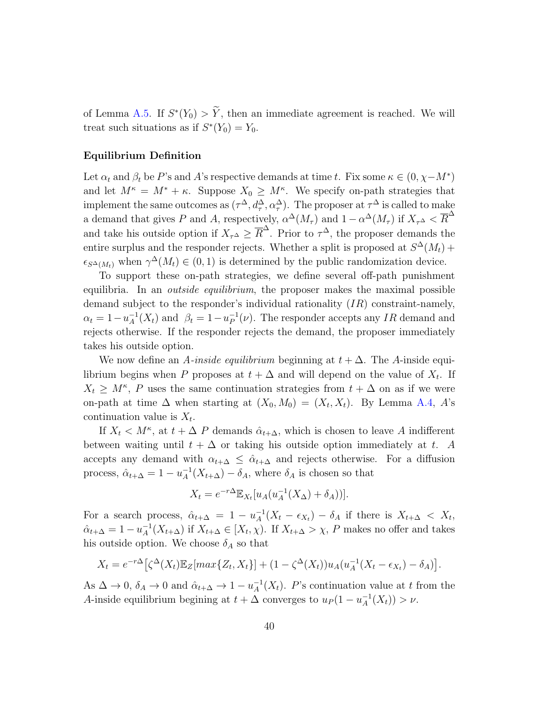of Lemma [A.5.](#page-32-1) If  $S^*(Y_0) > \tilde{Y}$ , then an immediate agreement is reached. We will treat such situations as if  $S^*(Y_0) = Y_0$ .

### Equilibrium Definition

Let  $\alpha_t$  and  $\beta_t$  be P's and A's respective demands at time t. Fix some  $\kappa \in (0, \chi - M^*)$ and let  $M^{\kappa} = M^* + \kappa$ . Suppose  $X_0 \geq M^{\kappa}$ . We specify on-path strategies that implement the same outcomes as  $(\tau^{\Delta}, d^{\Delta}_{\tau}, \alpha^{\Delta}_{\tau}).$  The proposer at  $\tau^{\Delta}$  is called to make a demand that gives P and A, respectively,  $\alpha^{\Delta}(M_{\tau})$  and  $1-\alpha^{\Delta}(M_{\tau})$  if  $X_{\tau^{\Delta}} < \overline{R}^{\Delta}$ and take his outside option if  $X_{\tau^{\Delta}} \geq \overline{R}^{\Delta}$ . Prior to  $\tau^{\Delta}$ , the proposer demands the entire surplus and the responder rejects. Whether a split is proposed at  $S^{\Delta}(M_t)$  +  $\epsilon_{S^{\Delta}(M_t)}$  when  $\gamma^{\Delta}(M_t) \in (0,1)$  is determined by the public randomization device.

To support these on-path strategies, we define several off-path punishment equilibria. In an *outside equilibrium*, the proposer makes the maximal possible demand subject to the responder's individual rationality (IR) constraint-namely,  $\alpha_t = 1 - u_A^{-1}$  $_{A}^{-1}(X_{t})$  and  $\beta_{t} = 1 - u_{P}^{-1}$  $P^{-1}(\nu)$ . The responder accepts any *IR* demand and rejects otherwise. If the responder rejects the demand, the proposer immediately takes his outside option.

We now define an A-inside equilibrium beginning at  $t + \Delta$ . The A-inside equilibrium begins when P proposes at  $t + \Delta$  and will depend on the value of  $X_t$ . If  $X_t \geq M^{\kappa}$ , P uses the same continuation strategies from  $t + \Delta$  on as if we were on-path at time  $\Delta$  when starting at  $(X_0, M_0) = (X_t, X_t)$ . By Lemma [A.4,](#page-30-1) A's continuation value is  $X_t$ .

If  $X_t \nvert A^{\kappa}$ , at  $t + \Delta P$  demands  $\hat{\alpha}_{t+\Delta}$ , which is chosen to leave A indifferent between waiting until  $t + \Delta$  or taking his outside option immediately at t. A accepts any demand with  $\alpha_{t+\Delta} \leq \hat{\alpha}_{t+\Delta}$  and rejects otherwise. For a diffusion process,  $\hat{\alpha}_{t+\Delta} = 1 - u_A^{-1}$  $_{A}^{-1}(X_{t+\Delta}) - \delta_{A}$ , where  $\delta_{A}$  is chosen so that

$$
X_t = e^{-r\Delta} \mathbb{E}_{X_t}[u_A(u_A^{-1}(X_\Delta) + \delta_A))].
$$

For a search process,  $\hat{\alpha}_{t+\Delta} = 1 - u_A^{-1}$  $\frac{1}{A}(X_t - \epsilon_{X_t}) - \delta_A$  if there is  $X_{t+\Delta} < X_t$ ,  $\hat{\alpha}_{t+\Delta} = 1 - u_A^{-1}$  $_{A}^{-1}(X_{t+\Delta})$  if  $X_{t+\Delta} \in [X_t, \chi)$ . If  $X_{t+\Delta} > \chi$ , P makes no offer and takes his outside option. We choose  $\delta_A$  so that

$$
X_t = e^{-r\Delta} \left[ \zeta^{\Delta}(X_t) \mathbb{E}_Z[max\{Z_t, X_t\}] + (1 - \zeta^{\Delta}(X_t))u_A(u_A^{-1}(X_t - \epsilon_{X_t}) - \delta_A) \right].
$$

As  $\Delta \to 0$ ,  $\delta_A \to 0$  and  $\hat{\alpha}_{t+\Delta} \to 1 - u_A^{-1}$  $_{A}^{-1}(X_{t})$ . P's continuation value at t from the A-inside equilibrium begining at  $t + \Delta$  converges to  $u_P(1 - u_A^{-1})$  $_{A}^{-1}(X_{t})) > \nu.$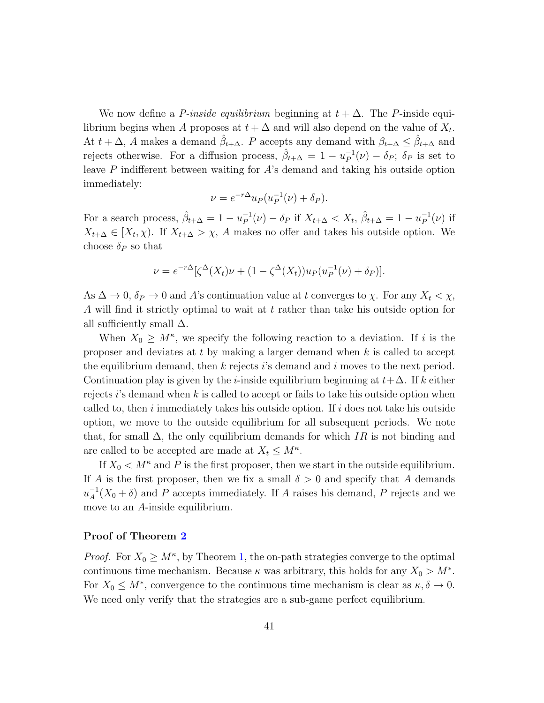We now define a *P-inside equilibrium* beginning at  $t + \Delta$ . The *P*-inside equilibrium begins when A proposes at  $t + \Delta$  and will also depend on the value of  $X_t$ . At  $t + \Delta$ , A makes a demand  $\hat{\beta}_{t+\Delta}$ . P accepts any demand with  $\beta_{t+\Delta} \leq \hat{\beta}_{t+\Delta}$  and rejects otherwise. For a diffusion process,  $\hat{\beta}_{t+\Delta} = 1 - u_P^{-1}$  $P^{-1}(\nu) - \delta_P; \delta_P$  is set to leave P indifferent between waiting for A's demand and taking his outside option immediately:

$$
\nu = e^{-r\Delta} u_P(u_P^{-1}(\nu) + \delta_P).
$$

For a search process,  $\hat{\beta}_{t+\Delta} = 1 - u_P^{-1}$  $P_P^{-1}(\nu) - \delta_P$  if  $X_{t+\Delta} < X_t$ ,  $\hat{\beta}_{t+\Delta} = 1 - u_P^{-1}$  $_P^{-1}(\nu)$  if  $X_{t+\Delta} \in [X_t, \chi)$ . If  $X_{t+\Delta} > \chi$ , A makes no offer and takes his outside option. We choose  $\delta_P$  so that

$$
\nu = e^{-r\Delta} [\zeta^{\Delta}(X_t)\nu + (1 - \zeta^{\Delta}(X_t))u_P(u_P^{-1}(\nu) + \delta_P)].
$$

As  $\Delta \to 0$ ,  $\delta_P \to 0$  and A's continuation value at t converges to  $\chi$ . For any  $X_t < \chi$ , A will find it strictly optimal to wait at t rather than take his outside option for all sufficiently small  $\Delta$ .

When  $X_0 \geq M^{\kappa}$ , we specify the following reaction to a deviation. If i is the proposer and deviates at  $t$  by making a larger demand when  $k$  is called to accept the equilibrium demand, then  $k$  rejects is demand and i moves to the next period. Continuation play is given by the *i*-inside equilibrium beginning at  $t + \Delta$ . If k either rejects  $i$ 's demand when k is called to accept or fails to take his outside option when called to, then i immediately takes his outside option. If i does not take his outside option, we move to the outside equilibrium for all subsequent periods. We note that, for small  $\Delta$ , the only equilibrium demands for which IR is not binding and are called to be accepted are made at  $X_t \leq M^{\kappa}$ .

If  $X_0 \lt M^{\kappa}$  and P is the first proposer, then we start in the outside equilibrium. If A is the first proposer, then we fix a small  $\delta > 0$  and specify that A demands  $u_A^{-1}$  $_A^{-1}(X_0 + \delta)$  and P accepts immediately. If A raises his demand, P rejects and we move to an A-inside equilibrium.

#### Proof of Theorem [2](#page-22-0)

*Proof.* For  $X_0 \geq M^{\kappa}$ , by Theorem [1,](#page-12-0) the on-path strategies converge to the optimal continuous time mechanism. Because  $\kappa$  was arbitrary, this holds for any  $X_0 > M^*$ . For  $X_0 \leq M^*$ , convergence to the continuous time mechanism is clear as  $\kappa, \delta \to 0$ . We need only verify that the strategies are a sub-game perfect equilibrium.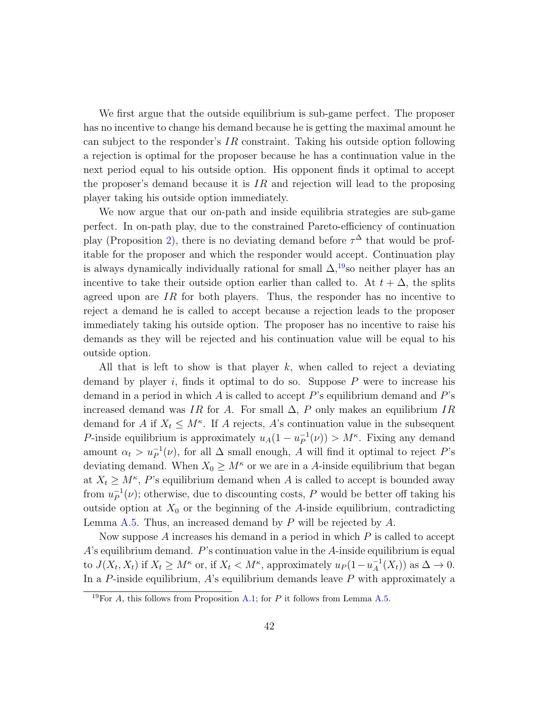We first argue that the outside equilibrium is sub-game perfect. The proposer has no incentive to change his demand because he is getting the maximal amount he can subject to the responder's  $IR$  constraint. Taking his outside option following a rejection is optimal for the proposer because he has a continuation value in the next period equal to his outside option. His opponent finds it optimal to accept the proposer's demand because it is  $IR$  and rejection will lead to the proposing player taking his outside option immediately.

We now argue that our on-path and inside equilibria strategies are sub-game perfect. In on-path play, due to the constrained Pareto-efficiency of continuation play (Proposition [2\)](#page-18-0), there is no deviating demand before  $\tau^{\Delta}$  that would be profitable for the proposer and which the responder would accept. Continuation play is always dynamically individually rational for small  $\Delta$ ,<sup>[19](#page-41-0)</sup>so neither player has an incentive to take their outside option earlier than called to. At  $t + \Delta$ , the splits agreed upon are  $IR$  for both players. Thus, the responder has no incentive to reject a demand he is called to accept because a rejection leads to the proposer immediately taking his outside option. The proposer has no incentive to raise his demands as they will be rejected and his continuation value will be equal to his outside option.

All that is left to show is that player  $k$ , when called to reject a deviating demand by player i, finds it optimal to do so. Suppose  $P$  were to increase his demand in a period in which A is called to accept  $P$ 's equilibrium demand and  $P$ 's increased demand was IR for A. For small  $\Delta$ , P only makes an equilibrium IR demand for A if  $X_t \leq M^{\kappa}$ . If A rejects, A's continuation value in the subsequent P-inside equilibrium is approximately  $u_A(1-u_P^{-1})$  $_P^{-1}(\nu) > M^{\kappa}$ . Fixing any demand amount  $\alpha_t > u_P^{-1}(\nu)$ , for all  $\Delta$  small enough, A will find it optimal to reject P's deviating demand. When  $X_0 \geq M^{\kappa}$  or we are in a A-inside equilibrium that began at  $X_t \geq M^{\kappa}$ , P's equilibrium demand when A is called to accept is bounded away from  $u_P^{-1}$  $P^{-1}(v)$ ; otherwise, due to discounting costs, P would be better off taking his outside option at  $X_0$  or the beginning of the A-inside equilibrium, contradicting Lemma [A.5.](#page-32-1) Thus, an increased demand by  $P$  will be rejected by  $A$ .

Now suppose  $A$  increases his demand in a period in which  $P$  is called to accept  $A$ 's equilibrium demand.  $P$ 's continuation value in the  $A$ -inside equilibrium is equal to  $J(X_t, X_t)$  if  $X_t \geq M^{\kappa}$  or, if  $X_t < M^{\kappa}$ , approximately  $u_P(1-u_A^{-1})$  $_{A}^{-1}(X_{t})$  as  $\Delta \rightarrow 0$ . In a P-inside equilibrium,  $A$ 's equilibrium demands leave  $P$  with approximately a

<span id="page-41-0"></span><sup>&</sup>lt;sup>19</sup>For A, this follows from Proposition [A.1;](#page-11-1) for P it follows from Lemma [A.5.](#page-32-1)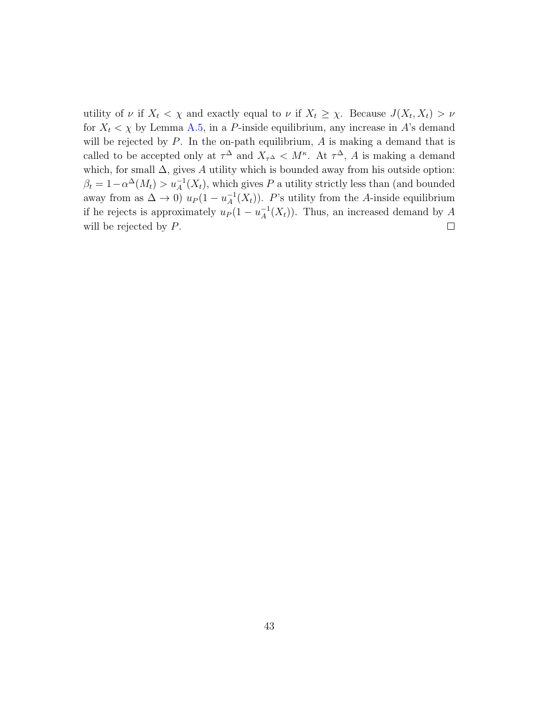utility of  $\nu$  if  $X_t < \chi$  and exactly equal to  $\nu$  if  $X_t \geq \chi$ . Because  $J(X_t, X_t) > \nu$ for  $X_t < \chi$  by Lemma [A.5,](#page-32-1) in a P-inside equilibrium, any increase in A's demand will be rejected by  $P$ . In the on-path equilibrium,  $A$  is making a demand that is called to be accepted only at  $\tau^{\Delta}$  and  $X_{\tau^{\Delta}} < M^{\kappa}$ . At  $\tau^{\Delta}$ , A is making a demand which, for small  $\Delta$ , gives A utility which is bounded away from his outside option:  $\beta_t = 1 - \alpha^{\Delta}(M_t) > u_A^{-1}(X_t)$ , which gives P a utility strictly less than (and bounded away from as  $\Delta \to 0$ )  $u_P (1 - u_A^{-1})$  $_{A}^{-1}(X_{t})$ ). P's utility from the A-inside equilibrium if he rejects is approximately  $u_P(1-u_A^{-1})$  $_{A}^{-1}(X_{t})$ ). Thus, an increased demand by A will be rejected by  $P$ .  $\Box$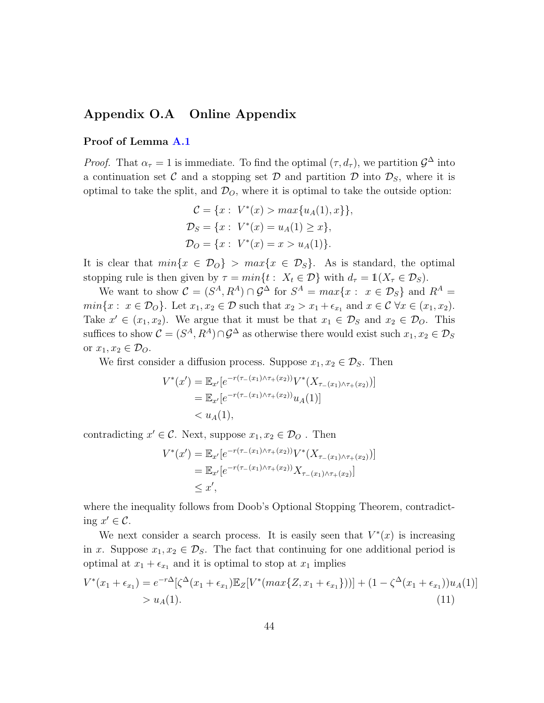### Appendix O.A Online Appendix

### Proof of Lemma [A.1](#page-27-0)

*Proof.* That  $\alpha_{\tau} = 1$  is immediate. To find the optimal  $(\tau, d_{\tau})$ , we partition  $\mathcal{G}^{\Delta}$  into a continuation set C and a stopping set D and partition D into  $\mathcal{D}_S$ , where it is optimal to take the split, and  $\mathcal{D}_{\scriptscriptstyle O}$ , where it is optimal to take the outside option:

$$
C = \{x : V^*(x) > max\{u_A(1), x\}\},\
$$
  
\n
$$
\mathcal{D}_S = \{x : V^*(x) = u_A(1) \ge x\},\
$$
  
\n
$$
\mathcal{D}_O = \{x : V^*(x) = x > u_A(1)\}.
$$

It is clear that  $min\{x \in \mathcal{D}_0\} > max\{x \in \mathcal{D}_S\}$ . As is standard, the optimal stopping rule is then given by  $\tau = min\{t : X_t \in \mathcal{D}\}\$  with  $d_{\tau} = 1(X_{\tau} \in \mathcal{D}_S)$ .

We want to show  $\mathcal{C} = (S^A, R^A) \cap \mathcal{G}^\Delta$  for  $S^A = max\{x : x \in \mathcal{D}_S\}$  and  $R^A =$  $min\{x: x \in \mathcal{D}_O\}$ . Let  $x_1, x_2 \in \mathcal{D}$  such that  $x_2 > x_1 + \epsilon_{x_1}$  and  $x \in \mathcal{C} \ \forall x \in (x_1, x_2)$ . Take  $x' \in (x_1, x_2)$ . We argue that it must be that  $x_1 \in \mathcal{D}_S$  and  $x_2 \in \mathcal{D}_O$ . This suffices to show  $\mathcal{C} = (S^A, R^A) \cap \mathcal{G}^\Delta$  as otherwise there would exist such  $x_1, x_2 \in \mathcal{D}_S$ or  $x_1, x_2 \in \mathcal{D}_O$ .

We first consider a diffusion process. Suppose  $x_1, x_2 \in \mathcal{D}_S$ . Then

$$
V^*(x') = \mathbb{E}_{x'}[e^{-r(\tau_-(x_1)\wedge\tau_+(x_2))}V^*(X_{\tau_-(x_1)\wedge\tau_+(x_2)})]
$$
  
=  $\mathbb{E}_{x'}[e^{-r(\tau_-(x_1)\wedge\tau_+(x_2))}u_A(1)]$   
<  $u_A(1),$ 

contradicting  $x' \in \mathcal{C}$ . Next, suppose  $x_1, x_2 \in \mathcal{D}_O$ . Then

<span id="page-43-0"></span>
$$
V^*(x') = \mathbb{E}_{x'}[e^{-r(\tau_-(x_1)\wedge \tau_+(x_2))}V^*(X_{\tau_-(x_1)\wedge \tau_+(x_2)})]
$$
  
=  $\mathbb{E}_{x'}[e^{-r(\tau_-(x_1)\wedge \tau_+(x_2))}X_{\tau_-(x_1)\wedge \tau_+(x_2)}]$   
 $\leq x',$ 

where the inequality follows from Doob's Optional Stopping Theorem, contradicting  $x' \in \mathcal{C}$ .

We next consider a search process. It is easily seen that  $V^*(x)$  is increasing in x. Suppose  $x_1, x_2 \in \mathcal{D}_S$ . The fact that continuing for one additional period is optimal at  $x_1 + \epsilon_{x_1}$  and it is optimal to stop at  $x_1$  implies

$$
V^*(x_1 + \epsilon_{x_1}) = e^{-r\Delta}[\zeta^{\Delta}(x_1 + \epsilon_{x_1})\mathbb{E}_Z[V^*(max\{Z, x_1 + \epsilon_{x_1}\})]] + (1 - \zeta^{\Delta}(x_1 + \epsilon_{x_1}))u_A(1)]
$$
  
>  $u_A(1).$  (11)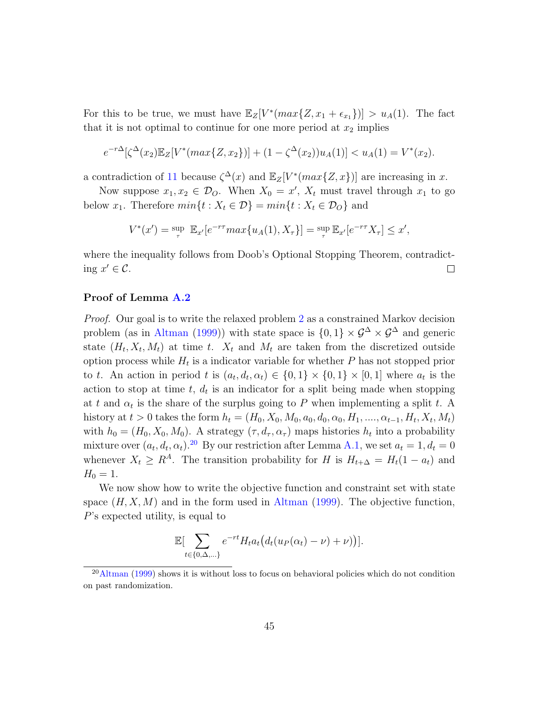For this to be true, we must have  $\mathbb{E}_Z[V^*(max\{Z, x_1 + \epsilon_{x_1}\})] > u_A(1)$ . The fact that it is not optimal to continue for one more period at  $x_2$  implies

$$
e^{-r\Delta}[\zeta^{\Delta}(x_2)\mathbb{E}_Z[V^*(max\{Z,x_2\})]+(1-\zeta^{\Delta}(x_2))u_A(1)] < u_A(1) = V^*(x_2).
$$

a contradiction of [11](#page-43-0) because  $\zeta^{\Delta}(x)$  and  $\mathbb{E}_Z[V^*(max\{Z, x\})]$  are increasing in x.

Now suppose  $x_1, x_2 \in \mathcal{D}_O$ . When  $X_0 = x'$ ,  $X_t$  must travel through  $x_1$  to go below  $x_1$ . Therefore  $min\{t : X_t \in \mathcal{D}\} = min\{t : X_t \in \mathcal{D}_0\}$  and

$$
V^*(x') = \sup_{\tau} \mathbb{E}_{x'}[e^{-r\tau} \max\{u_A(1), X_{\tau}\}] = \sup_{\tau} \mathbb{E}_{x'}[e^{-r\tau} X_{\tau}] \leq x',
$$

where the inequality follows from Doob's Optional Stopping Theorem, contradicting  $x' \in \mathcal{C}$ .  $\Box$ 

### Proof of Lemma [A.2](#page-27-1)

Proof. Our goal is to write the relaxed problem [2](#page-15-0) as a constrained Markov decision problem (as in [Altman](#page-23-6) [\(1999\)](#page-23-6)) with state space is  $\{0, 1\} \times \mathcal{G}^{\Delta} \times \mathcal{G}^{\Delta}$  and generic state  $(H_t, X_t, M_t)$  at time t.  $X_t$  and  $M_t$  are taken from the discretized outside option process while  $H_t$  is a indicator variable for whether  $P$  has not stopped prior to t. An action in period t is  $(a_t, d_t, \alpha_t) \in \{0, 1\} \times \{0, 1\} \times [0, 1]$  where  $a_t$  is the action to stop at time  $t, d_t$  is an indicator for a split being made when stopping at t and  $\alpha_t$  is the share of the surplus going to P when implementing a split t. A history at  $t > 0$  takes the form  $h_t = (H_0, X_0, M_0, a_0, d_0, \alpha_0, H_1, \dots, \alpha_{t-1}, H_t, X_t, M_t)$ with  $h_0 = (H_0, X_0, M_0)$ . A strategy  $(\tau, d_\tau, \alpha_\tau)$  maps histories  $h_t$  into a probability mixture over  $(a_t, d_t, \alpha_t)$ .<sup>[20](#page-44-0)</sup> By our restriction after Lemma [A.1,](#page-27-0) we set  $a_t = 1, d_t = 0$ whenever  $X_t \geq R^A$ . The transition probability for H is  $H_{t+\Delta} = H_t(1 - a_t)$  and  $H_0 = 1.$ 

We now show how to write the objective function and constraint set with state space  $(H, X, M)$  and in the form used in [Altman](#page-23-6) [\(1999\)](#page-23-6). The objective function, P's expected utility, is equal to

$$
\mathbb{E}[\sum_{t\in\{0,\Delta,\ldots\}}e^{-rt}H_t a_t \big(d_t(u_P(\alpha_t)-\nu)+\nu\big)\big].
$$

<span id="page-44-0"></span> $^{20}$ [Altman](#page-23-6) [\(1999\)](#page-23-6) shows it is without loss to focus on behavioral policies which do not condition on past randomization.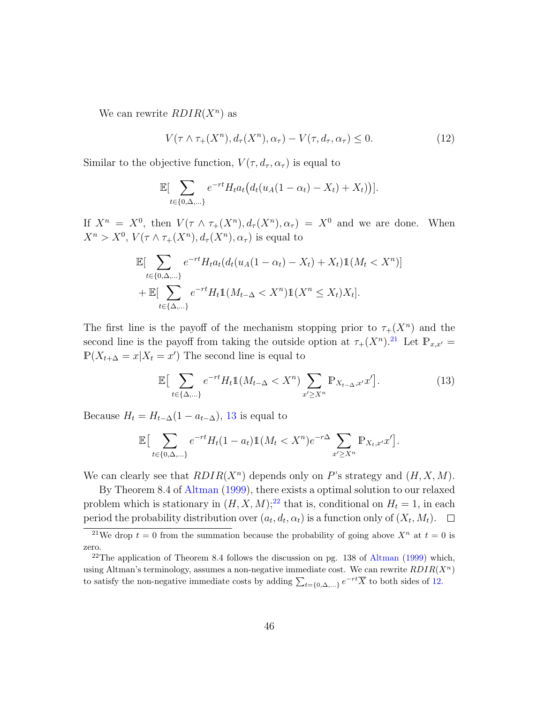We can rewrite  $RDIR(X<sup>n</sup>)$  as

<span id="page-45-3"></span>
$$
V(\tau \wedge \tau_+(X^n), d_\tau(X^n), \alpha_\tau) - V(\tau, d_\tau, \alpha_\tau) \le 0.
$$
 (12)

Similar to the objective function,  $V(\tau, d_{\tau}, \alpha_{\tau})$  is equal to

$$
\mathbb{E}[\sum_{t\in\{0,\Delta,\ldots\}}e^{-rt}H_t a_t \big(d_t(u_A(1-\alpha_t)-X_t)+X_t)\big)].
$$

If  $X^n = X^0$ , then  $V(\tau \wedge \tau_+(X^n), d_\tau(X^n), \alpha_\tau) = X^0$  and we are done. When  $X^n > X^0$ ,  $V(\tau \wedge \tau_+(X^n), d_{\tau}(X^n), \alpha_{\tau})$  is equal to

$$
\mathbb{E}[\sum_{t \in \{0,\Delta,\dots\}} e^{-rt} H_t a_t (d_t (u_A(1 - \alpha_t) - X_t) + X_t) \mathbb{1}(M_t < X^n)] + \mathbb{E}[\sum_{t \in \{\Delta,\dots\}} e^{-rt} H_t \mathbb{1}(M_{t-\Delta} < X^n) \mathbb{1}(X^n \le X_t) X_t].
$$

The first line is the payoff of the mechanism stopping prior to  $\tau_+(X^n)$  and the second line is the payoff from taking the outside option at  $\tau_{+}(X^{n})$ .<sup>[21](#page-45-0)</sup> Let  $\mathbb{P}_{x,x'}=$  $\mathbb{P}(X_{t+\Delta}=x|X_t=x')$  The second line is equal to

<span id="page-45-1"></span>
$$
\mathbb{E}\left[\sum_{t\in\{\Delta,\ldots\}}e^{-rt}H_t\mathbb{1}(M_{t-\Delta}
$$

Because  $H_t = H_{t-\Delta}(1 - a_{t-\Delta})$ , [13](#page-45-1) is equal to

$$
\mathbb{E}\big[\sum_{t\in\{0,\Delta,\ldots\}}e^{-rt}H_t(1-a_t)\mathbb{1}(M_t
$$

We can clearly see that  $RDIR(X^n)$  depends only on P's strategy and  $(H, X, M)$ .

By Theorem 8.4 of [Altman](#page-23-6) [\(1999\)](#page-23-6), there exists a optimal solution to our relaxed problem which is stationary in  $(H, X, M)$ ;<sup>[22](#page-45-2)</sup> that is, conditional on  $H_t = 1$ , in each period the probability distribution over  $(a_t, d_t, \alpha_t)$  is a function only of  $(X_t, M_t)$ .  $\Box$ 

<span id="page-45-0"></span><sup>&</sup>lt;sup>21</sup>We drop  $t = 0$  from the summation because the probability of going above  $X^n$  at  $t = 0$  is zero.

<span id="page-45-2"></span><sup>&</sup>lt;sup>22</sup>The application of Theorem 8.4 follows the discussion on pg. 138 of [Altman](#page-23-6) [\(1999\)](#page-23-6) which, using Altman's terminology, assumes a non-negative immediate cost. We can rewrite  $RDIR(X<sup>n</sup>)$ to satisfy the non-negative immediate costs by adding  $\sum_{t=\{0,\Delta,...\}} e^{-rt} \overline{X}$  to both sides of [12.](#page-45-3)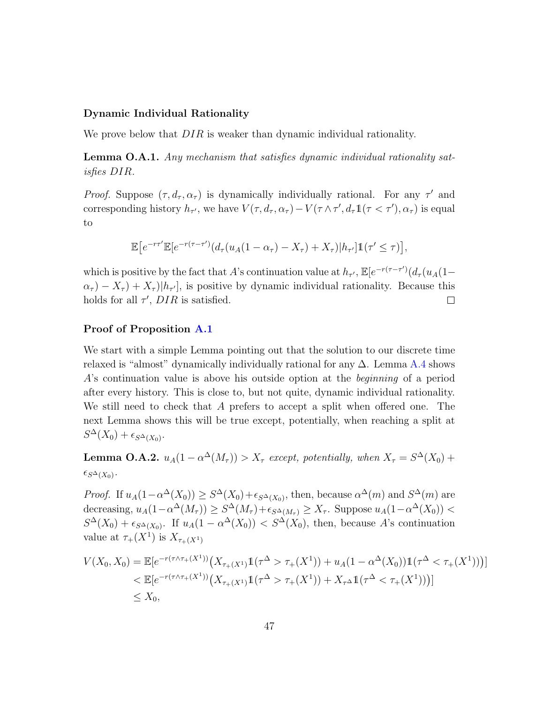#### Dynamic Individual Rationality

We prove below that  $DIR$  is weaker than dynamic individual rationality.

Lemma O.A.1. Any mechanism that satisfies dynamic individual rationality satisfies DIR.

Proof. Suppose  $(\tau, d_{\tau}, \alpha_{\tau})$  is dynamically individually rational. For any  $\tau'$  and corresponding history  $h_{\tau'}$ , we have  $V(\tau, d_{\tau}, \alpha_{\tau}) - V(\tau \wedge \tau', d_{\tau} \mathbb{1}(\tau < \tau'), \alpha_{\tau})$  is equal to

$$
\mathbb{E}\big[e^{-r\tau'}\mathbb{E}[e^{-r(\tau-\tau')}(d_{\tau}(u_A(1-\alpha_{\tau})-X_{\tau})+X_{\tau})|h_{\tau'}]\mathbb{1}(\tau'\leq\tau)\big],
$$

which is positive by the fact that A's continuation value at  $h_{\tau}$ ,  $\mathbb{E}[e^{-r(\tau-\tau')}(d_{\tau}(u_A(1-\tau)))]$  $(\alpha_{\tau}) - X_{\tau} + X_{\tau}$ , is positive by dynamic individual rationality. Because this holds for all  $\tau'$ ,  $DIR$  is satisfied.  $\Box$ 

#### Proof of Proposition [A.1](#page-11-1)

We start with a simple Lemma pointing out that the solution to our discrete time relaxed is "almost" dynamically individually rational for any  $\Delta$ . Lemma [A.4](#page-30-1) shows A's continuation value is above his outside option at the beginning of a period after every history. This is close to, but not quite, dynamic individual rationality. We still need to check that A prefers to accept a split when offered one. The next Lemma shows this will be true except, potentially, when reaching a split at  $S^{\Delta}(X_0) + \epsilon_{S^{\Delta}(X_0)}$ .

**Lemma O.A.2.**  $u_A(1 - \alpha^{\Delta}(M_{\tau})) > X_{\tau}$  except, potentially, when  $X_{\tau} = S^{\Delta}(X_0) +$  $\epsilon_{S^{\Delta}(X_0)}$ .

*Proof.* If  $u_A(1-\alpha^{\Delta}(X_0)) \geq S^{\Delta}(X_0) + \epsilon_{S^{\Delta}(X_0)}$ , then, because  $\alpha^{\Delta}(m)$  and  $S^{\Delta}(m)$  are decreasing,  $u_A(1-\alpha^{\Delta}(M_{\tau})) \geq S^{\Delta}(M_{\tau}) + \epsilon_{S^{\Delta}(M_{\tau})} \geq X_{\tau}$ . Suppose  $u_A(1-\alpha^{\Delta}(X_0)) <$  $S^{\Delta}(X_0) + \epsilon_{S^{\Delta}(X_0)}$ . If  $u_A(1 - \alpha^{\Delta}(X_0)) < S^{\Delta}(X_0)$ , then, because A's continuation value at  $\tau_+(X^1)$  is  $X_{\tau_+(X^1)}$ 

$$
V(X_0, X_0) = \mathbb{E}[e^{-r(\tau \wedge \tau_+(X^1))} \left( X_{\tau_+(X^1)} \mathbb{1}(\tau^\Delta > \tau_+(X^1)) + u_A(1 - \alpha^\Delta(X_0)) \mathbb{1}(\tau^\Delta < \tau_+(X^1)) \right)]
$$
  

$$
< \mathbb{E}[e^{-r(\tau \wedge \tau_+(X^1))} \left( X_{\tau_+(X^1)} \mathbb{1}(\tau^\Delta > \tau_+(X^1)) + X_{\tau^\Delta} \mathbb{1}(\tau^\Delta < \tau_+(X^1)) \right)]
$$
  

$$
\leq X_0,
$$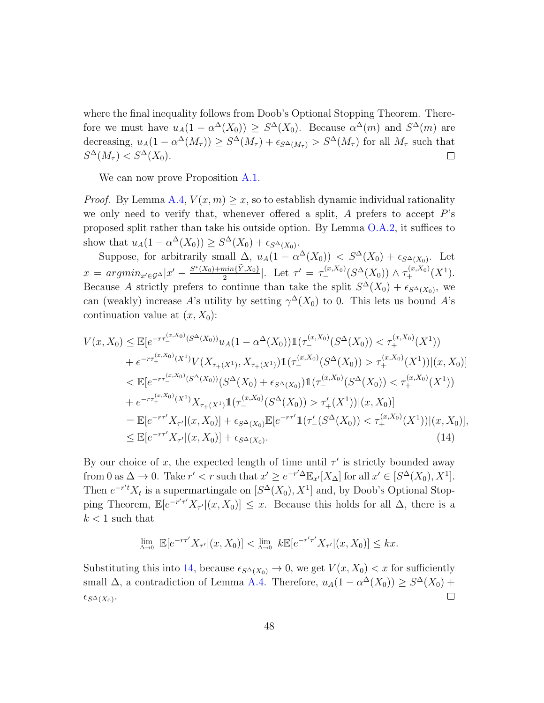where the final inequality follows from Doob's Optional Stopping Theorem. Therefore we must have  $u_A(1-\alpha^{\Delta}(X_0)) \geq S^{\Delta}(X_0)$ . Because  $\alpha^{\Delta}(m)$  and  $S^{\Delta}(m)$  are decreasing,  $u_A(1-\alpha^{\Delta}(M_{\tau})) \geq S^{\Delta}(M_{\tau}) + \epsilon_{S^{\Delta}(M_{\tau})} > S^{\Delta}(M_{\tau})$  for all  $M_{\tau}$  such that  $S^{\Delta}(M_{\tau}) < S^{\Delta}(X_0).$  $\Box$ 

We can now prove Proposition [A.1.](#page-11-1)

*Proof.* By Lemma [A.4,](#page-30-1)  $V(x, m) \geq x$ , so to establish dynamic individual rationality we only need to verify that, whenever offered a split,  $A$  prefers to accept  $P$ 's proposed split rather than take his outside option. By Lemma [O.A.2,](#page-27-1) it suffices to show that  $u_A(1 - \alpha^{\Delta}(X_0)) \geq S^{\Delta}(X_0) + \epsilon_{S^{\Delta}(X_0)}$ .

Suppose, for arbitrarily small  $\Delta$ ,  $u_A(1 - \alpha^{\Delta}(X_0)) < S^{\Delta}(X_0) + \epsilon_{S^{\Delta}(X_0)}$ . Let  $x = argmin_{x' \in \mathcal{G}^{\Delta}} |x' - \frac{S^*(X_0) + min\{\tilde{Y}, X_0\}}{2}|$ . Let  $\tau' = \tau^{(x, X_0)}_{-}(S^{\Delta}(X_0)) \wedge \tau^{(x, X_0)}_{+}(X^1)$ . Because A strictly prefers to continue than take the split  $S^{\Delta}(X_0) + \epsilon_{S^{\Delta}(X_0)}$ , we can (weakly) increase A's utility by setting  $\gamma^{\Delta}(X_0)$  to 0. This lets us bound A's continuation value at  $(x, X_0)$ :

$$
V(x, X_0) \leq \mathbb{E}[e^{-r\tau_{-}^{(x, X_0)}(S^{\Delta}(X_0))}u_A(1 - \alpha^{\Delta}(X_0))\mathbb{1}(\tau_{-}^{(x, X_0)}(S^{\Delta}(X_0)) < \tau_{+}^{(x, X_0)}(X^1))
$$
\n
$$
+ e^{-r\tau_{+}^{(x, X_0)}(X^1)}V(X_{\tau_{+}(X^1)}, X_{\tau_{+}(X^1)})\mathbb{1}(\tau_{-}^{(x, X_0)}(S^{\Delta}(X_0)) > \tau_{+}^{(x, X_0)}(X^1))|(x, X_0)|
$$
\n
$$
\leq \mathbb{E}[e^{-r\tau_{-}^{(x, X_0)}(S^{\Delta}(X_0))}(S^{\Delta}(X_0) + \epsilon_{S^{\Delta}(X_0)})\mathbb{1}(\tau_{-}^{(x, X_0)}(S^{\Delta}(X_0)) < \tau_{+}^{(x, X_0)}(X^1))
$$
\n
$$
+ e^{-r\tau_{+}^{(x, X_0)}(X^1)}X_{\tau_{+}(X^1)}\mathbb{1}(\tau_{-}^{(x, X_0)}(S^{\Delta}(X_0)) > \tau_{+}'(X^1))|(x, X_0)|
$$
\n
$$
= \mathbb{E}[e^{-r\tau'}X_{\tau'}|(x, X_0)] + \epsilon_{S^{\Delta}(X_0)}\mathbb{E}[e^{-r\tau'}\mathbb{1}(\tau_{-}'(S^{\Delta}(X_0)) < \tau_{+}^{(x, X_0)}(X^1))|(x, X_0)],
$$
\n
$$
\leq \mathbb{E}[e^{-r\tau'}X_{\tau'}|(x, X_0)] + \epsilon_{S^{\Delta}(X_0)}.
$$
\n(14)

By our choice of x, the expected length of time until  $\tau'$  is strictly bounded away from 0 as  $\Delta \to 0$ . Take  $r' < r$  such that  $x' \geq e^{-r'\Delta} \mathbb{E}_{x'}[X_\Delta]$  for all  $x' \in [S^\Delta(X_0), X^1]$ . Then  $e^{-r't}X_t$  is a supermartingale on  $[S^{\Delta}(X_0), X^1]$  and, by Doob's Optional Stopping Theorem,  $\mathbb{E}[e^{-r'\tau'}X_{\tau'}](x,X_0)] \leq x$ . Because this holds for all  $\Delta$ , there is a  $k < 1$  such that

<span id="page-47-0"></span>
$$
\lim_{\Delta \to 0} \mathbb{E}[e^{-r\tau'} X_{\tau'}|(x, X_0)] < \lim_{\Delta \to 0} k \mathbb{E}[e^{-r'\tau'} X_{\tau'}|(x, X_0)] \leq kx.
$$

Substituting this into [14,](#page-47-0) because  $\epsilon_{S^{\Delta}(X_0)} \to 0$ , we get  $V(x, X_0) < x$  for sufficiently small  $\Delta$ , a contradiction of Lemma [A.4.](#page-30-1) Therefore,  $u_A(1 - \alpha^{\Delta}(X_0)) \geq S^{\Delta}(X_0) +$  $\epsilon_{S^{\Delta}(X_0)}$ .  $\Box$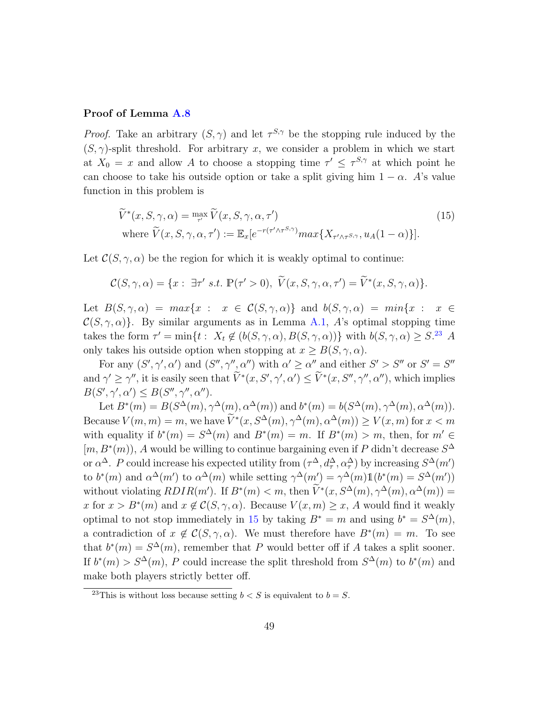### Proof of Lemma [A.8](#page-36-1)

*Proof.* Take an arbitrary  $(S, \gamma)$  and let  $\tau^{S, \gamma}$  be the stopping rule induced by the  $(S, \gamma)$ -split threshold. For arbitrary x, we consider a problem in which we start at  $X_0 = x$  and allow A to choose a stopping time  $\tau' \leq \tau^{S,\gamma}$  at which point he can choose to take his outside option or take a split giving him  $1 - \alpha$ . A's value function in this problem is

<span id="page-48-1"></span>
$$
\widetilde{V}^*(x, S, \gamma, \alpha) = \max_{\tau'} \widetilde{V}(x, S, \gamma, \alpha, \tau')
$$
\n(15)

\nwhere  $\widetilde{V}(x, S, \gamma, \alpha, \tau') := \mathbb{E}_x[e^{-r(\tau' \wedge \tau^{S,\gamma})} \max\{X_{\tau' \wedge \tau^{S,\gamma}}, u_A(1-\alpha)\}].$ 

Let  $\mathcal{C}(S, \gamma, \alpha)$  be the region for which it is weakly optimal to continue:

$$
\mathcal{C}(S,\gamma,\alpha) = \{x: \exists \tau' \ s.t. \ \mathbb{P}(\tau' > 0), \ \widetilde{V}(x,S,\gamma,\alpha,\tau') = \widetilde{V}^*(x,S,\gamma,\alpha)\}.
$$

Let  $B(S, \gamma, \alpha) = max\{x : x \in C(S, \gamma, \alpha)\}\$ and  $b(S, \gamma, \alpha) = min\{x : x \in C(S, \gamma, \alpha)\}$  $\mathcal{C}(S, \gamma, \alpha)$ . By similar arguments as in Lemma [A.1,](#page-27-0) A's optimal stopping time takes the form  $\tau' = \min\{t : X_t \notin (b(S, \gamma, \alpha), B(S, \gamma, \alpha))\}$  with  $b(S, \gamma, \alpha) \geq S^{23}$  $b(S, \gamma, \alpha) \geq S^{23}$  $b(S, \gamma, \alpha) \geq S^{23}$  A only takes his outside option when stopping at  $x \geq B(S, \gamma, \alpha)$ .

For any  $(S', \gamma', \alpha')$  and  $(S'', \gamma'', \alpha'')$  with  $\alpha' \geq \alpha''$  and either  $S' > S''$  or  $S' = S''$ and  $\gamma' \geq \gamma''$ , it is easily seen that  $\tilde{V}^*(x, S', \gamma', \alpha') \leq \tilde{V}^*(x, S'', \gamma'', \alpha'')$ , which implies  $B(S', \gamma', \alpha') \leq B(S'', \gamma'', \alpha'').$ 

Let  $B^*(m) = B(S^{\Delta}(m), \gamma^{\Delta}(m), \alpha^{\Delta}(m))$  and  $b^*(m) = b(S^{\Delta}(m), \gamma^{\Delta}(m), \alpha^{\Delta}(m))$ . Because  $V(m, m) = m$ , we have  $V^*(x, S^{\Delta}(m), \gamma^{\Delta}(m), \alpha^{\Delta}(m)) \ge V(x, m)$  for  $x < m$ with equality if  $b^*(m) = S^{\Delta}(m)$  and  $B^*(m) = m$ . If  $B^*(m) > m$ , then, for  $m' \in$  $[m, B^*(m))$ , A would be willing to continue bargaining even if P didn't decrease  $S^{\Delta}$ or  $\alpha^{\Delta}$ . P could increase his expected utility from  $(\tau^{\Delta}, d^{\Delta}_{\tau}, \alpha^{\Delta}_{\tau})$  by increasing  $S^{\Delta}(m')$ to  $b^*(m)$  and  $\alpha^{\Delta}(m')$  to  $\alpha^{\Delta}(m)$  while setting  $\gamma^{\Delta}(m') = \gamma^{\Delta}(m)1(b^*(m) = S^{\Delta}(m'))$ without violating  $RDIR(m')$ . If  $B^*(m) < m$ , then  $\tilde{V}^*(x, S^{\Delta}(m), \gamma^{\Delta}(m), \alpha^{\Delta}(m)) =$ x for  $x > B^*(m)$  and  $x \notin \mathcal{C}(S, \gamma, \alpha)$ . Because  $V(x, m) \geq x$ , A would find it weakly optimal to not stop immediately in [15](#page-48-1) by taking  $B^* = m$  and using  $b^* = S^{\Delta}(m)$ , a contradiction of  $x \notin \mathcal{C}(S, \gamma, \alpha)$ . We must therefore have  $B^*(m) = m$ . To see that  $b^*(m) = S^{\Delta}(m)$ , remember that P would better off if A takes a split sooner. If  $b^*(m) > S^{\Delta}(m)$ , P could increase the split threshold from  $S^{\Delta}(m)$  to  $b^*(m)$  and make both players strictly better off.

<span id="page-48-0"></span><sup>&</sup>lt;sup>23</sup>This is without loss because setting  $b < S$  is equivalent to  $b = S$ .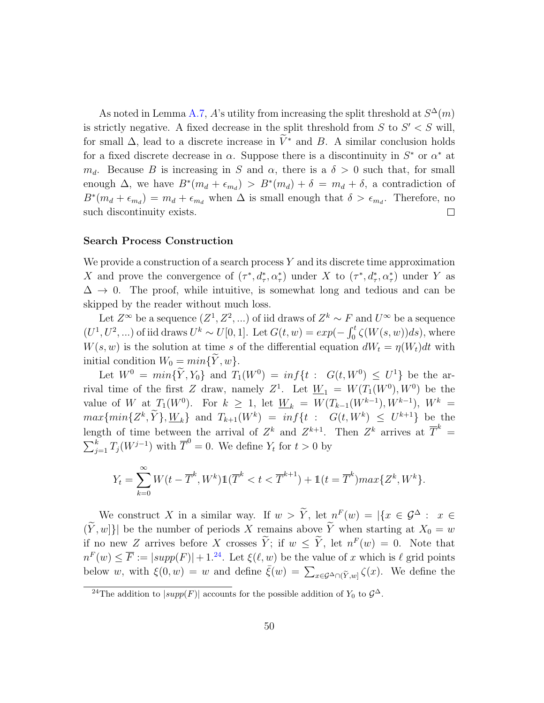As noted in Lemma [A.7,](#page-34-0) A's utility from increasing the split threshold at  $S^{\Delta}(m)$ is strictly negative. A fixed decrease in the split threshold from  $S$  to  $S' < S$  will, for small  $\Delta$ , lead to a discrete increase in  $\tilde{V}^*$  and B. A similar conclusion holds for a fixed discrete decrease in  $\alpha$ . Suppose there is a discontinuity in  $S^*$  or  $\alpha^*$  at  $m_d$ . Because B is increasing in S and  $\alpha$ , there is a  $\delta > 0$  such that, for small enough  $\Delta$ , we have  $B^*(m_d + \epsilon_{m_d}) > B^*(m_d) + \delta = m_d + \delta$ , a contradiction of  $B^*(m_d + \epsilon_{m_d}) = m_d + \epsilon_{m_d}$  when  $\Delta$  is small enough that  $\delta > \epsilon_{m_d}$ . Therefore, no such discontinuity exists.  $\Box$ 

#### Search Process Construction

We provide a construction of a search process  $Y$  and its discrete time approximation X and prove the convergence of  $(\tau^*, d^*_\tau, \alpha^*_\tau)$  under X to  $(\tau^*, d^*_\tau, \alpha^*_\tau)$  under Y as  $\Delta \rightarrow 0$ . The proof, while intuitive, is somewhat long and tedious and can be skipped by the reader without much loss.

Let  $Z^{\infty}$  be a sequence  $(Z^1, Z^2, ...)$  of iid draws of  $Z^k \sim F$  and  $U^{\infty}$  be a sequence  $(U^1, U^2, ...)$  of iid draws  $U^k \sim U[0, 1]$ . Let  $G(t, w) = exp(-\int_0^t \zeta(W(s, w))ds)$ , where  $W(s, w)$  is the solution at time s of the differential equation  $dW_t = \eta(W_t)dt$  with initial condition  $W_0 = min\{Y, w\}.$ 

Let  $W^0 = min\{Y, Y_0\}$  and  $T_1(W^0) = inf\{t : G(t, W^0) \leq U^1\}$  be the arrival time of the first Z draw, namely  $Z^1$ . Let  $\underline{W}_1 = W(T_1(W^0), W^0)$  be the value of W at  $T_1(W^0)$ . For  $k \geq 1$ , let  $\underline{W}_k = W(T_{k-1}(W^{k-1}), W^{k-1})$ ,  $W^k =$  $max\{min\{Z^k, Y\}, \underline{W}_k\}$  and  $T_{k+1}(W^k) = inf\{t : G(t, W^k) \leq U^{k+1}\}$  be the length of time between the arrival of  $Z^k$  and  $Z^{k+1}$ . Then  $Z^k$  arrives at  $\overline{T}^k$  =  $\sum_{j=1}^{k} T_j(W^{j-1})$  with  $\overline{T}^0 = 0$ . We define  $Y_t$  for  $t > 0$  by

$$
Y_t = \sum_{k=0}^{\infty} W(t - \overline{T}^k, W^k) \mathbb{1}(\overline{T}^k < t < \overline{T}^{k+1}) + \mathbb{1}(t = \overline{T}^k) \max\{Z^k, W^k\}.
$$

We construct X in a similar way. If  $w > Y$ , let  $n^F(w) = |\{x \in \mathcal{G}^\Delta : x \in \mathbb{R}^N\}|$  $(\widetilde{Y}, w]$ }| be the number of periods X remains above  $\widetilde{Y}$  when starting at  $X_0 = w$ if no new Z arrives before X crosses  $\overline{Y}$ ; if  $w \leq \overline{Y}$ , let  $n^F(w) = 0$ . Note that  $n^{F}(w) \leq \overline{F} := |supp(F)| + 1^{24}$  $n^{F}(w) \leq \overline{F} := |supp(F)| + 1^{24}$  $n^{F}(w) \leq \overline{F} := |supp(F)| + 1^{24}$ . Let  $\xi(\ell, w)$  be the value of x which is  $\ell$  grid points below w, with  $\xi(0, w) = w$  and define  $\bar{\xi}(w) = \sum_{x \in \mathcal{G}^{\Delta} \cap (\tilde{Y}, w]} \zeta(x)$ . We define the

<span id="page-49-0"></span><sup>&</sup>lt;sup>24</sup>The addition to  $|supp(F)|$  accounts for the possible addition of  $Y_0$  to  $\mathcal{G}^{\Delta}$ .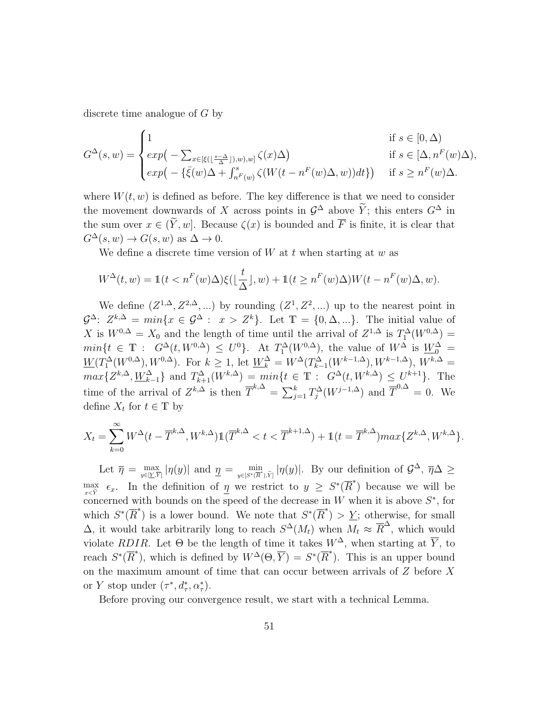discrete time analogue of G by

$$
G^{\Delta}(s, w) = \begin{cases} 1 & \text{if } s \in [0, \Delta) \\ exp\left(-\sum_{x \in [\xi(\lfloor \frac{s-\Delta}{\Delta} \rfloor), w), w]} \zeta(x) \Delta\right) & \text{if } s \in [\Delta, n^F(w) \Delta), \\ exp\left(-\{\bar{\xi}(w)\Delta + \int_{n^F(w)}^s \zeta(W(t - n^F(w)\Delta, w))dt\}\right) & \text{if } s \ge n^F(w) \Delta. \end{cases}
$$

where  $W(t, w)$  is defined as before. The key difference is that we need to consider the movement downwards of X across points in  $\mathcal{G}^{\Delta}$  above  $\widetilde{Y}$ ; this enters  $G^{\Delta}$  in the sum over  $x \in (\tilde{Y}, w]$ . Because  $\zeta(x)$  is bounded and  $\overline{F}$  is finite, it is clear that  $G^{\Delta}(s, w) \rightarrow G(s, w)$  as  $\Delta \rightarrow 0$ .

We define a discrete time version of  $W$  at  $t$  when starting at  $w$  as

$$
W^{\Delta}(t, w) = \mathbb{1}(t < n^F(w)\Delta)\xi(\lfloor \frac{t}{\Delta} \rfloor, w) + \mathbb{1}(t \ge n^F(w)\Delta)W(t - n^F(w)\Delta, w).
$$

We define  $(Z^{1,\Delta}, Z^{2,\Delta}, ...)$  by rounding  $(Z^1, Z^2, ...)$  up to the nearest point in  $\mathcal{G}^{\Delta}$ :  $Z^{k,\Delta} = min\{x \in \mathcal{G}^{\Delta} : x > Z^{k}\}.$  Let  $\mathbb{T} = \{0, \Delta, ...\}.$  The initial value of X is  $W^{0,\Delta} = X_0$  and the length of time until the arrival of  $Z^{1,\Delta}$  is  $T_1^{\Delta}(W^{0,\Delta}) =$  $min\{t \in \mathbb{T} : G^{\Delta}(t, W^{0,\Delta}) \leq U^0\}$ . At  $T_1^{\Delta}(W^{0,\Delta})$ , the value of  $W^{\Delta}$  is  $\underline{W}^{\Delta}_0 =$  $\underline{W}(T_1^{\Delta}(W^{0,\Delta}), W^{0,\Delta}).$  For  $k \geq 1$ , let  $\underline{W}_k^{\Delta} = W^{\Delta}(T_{k-1}^{\Delta}(W^{k-1,\Delta}), W^{k-1,\Delta}), W^{k,\Delta} =$  $max\{Z^{k,\Delta}, \underline{W}_{k-1}^{\Delta}\}\$ and  $T_{k+1}^{\Delta}(W^{k,\Delta}) = min\{t \in \mathbb{T}: G^{\Delta}(t, W^{k,\Delta}) \leq U^{k+1}\}\$ . The time of the arrival of  $Z^{k,\Delta}$  is then  $\overline{T}^{k,\Delta} = \sum_{j=1}^k T_j^{\Delta}(W^{j-1,\Delta})$  and  $\overline{T}^{0,\Delta} = 0$ . We define  $X_t$  for  $t \in \mathbb{T}$  by

$$
X_t = \sum_{k=0}^{\infty} W^{\Delta}(t - \overline{T}^{k,\Delta}, W^{k,\Delta}) \mathbb{1}(\overline{T}^{k,\Delta} < t < \overline{T}^{k+1,\Delta}) + \mathbb{1}(t = \overline{T}^{k,\Delta}) \max\{Z^{k,\Delta}, W^{k,\Delta}\}.
$$

Let  $\overline{\eta} = \max_{y \in [\underline{Y}, \overline{Y}]} |\eta(y)|$  and  $\underline{\eta} = \min_{y \in [S^*(\overline{R}^*, \tilde{Y})]} |\eta(y)|$ . By our definition of  $\mathcal{G}^{\Delta}$ ,  $\overline{\eta} \Delta \ge$ max  $\max_{x \in \tilde{Y}} \epsilon_x$ . In the definition of  $\underline{\eta}$  we restrict to  $y \geq S^*(\overline{R}^*)$  because we will be concerned with bounds on the speed of the decrease in  $W$  when it is above  $S^*$ , for which  $S^*(\overline{R}^*)$  is a lower bound. We note that  $S^*(\overline{R}^*) > \underline{Y}$ ; otherwise, for small  $\Delta$ , it would take arbitrarily long to reach  $S^{\Delta}(M_t)$  when  $M_t \approx \overline{R}^{\Delta}$ , which would violate RDIR. Let  $\Theta$  be the length of time it takes  $W^{\Delta}$ , when starting at  $\overline{Y}$ , to reach  $S^*(\overline{R}^*)$ , which is defined by  $W^{\Delta}(\Theta, \overline{Y}) = S^*(\overline{R}^*)$ . This is an upper bound on the maximum amount of time that can occur between arrivals of Z before X or Y stop under  $(\tau^*, d^*_\tau, \alpha^*_\tau)$ .

Before proving our convergence result, we start with a technical Lemma.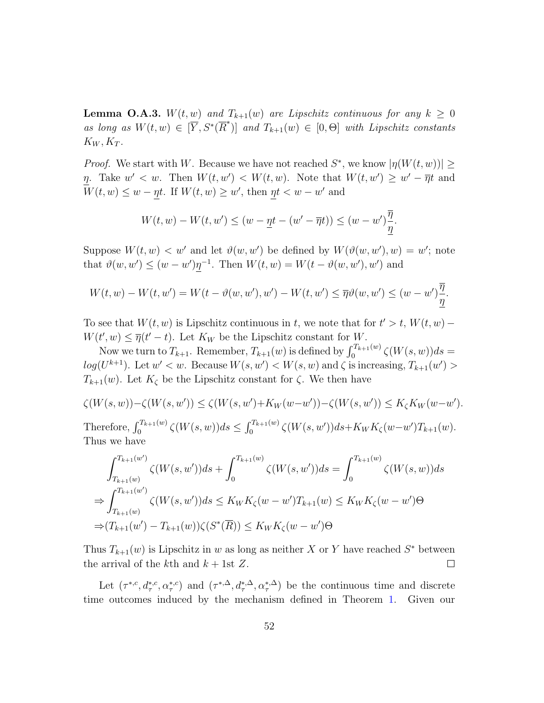**Lemma O.A.3.**  $W(t, w)$  and  $T_{k+1}(w)$  are Lipschitz continuous for any  $k \geq 0$ as long as  $W(t, w) \in [\overline{Y}, S^*(\overline{R}^*)]$  and  $T_{k+1}(w) \in [0, \Theta]$  with Lipschitz constants  $K_W, K_T$ .

*Proof.* We start with W. Because we have not reached  $S^*$ , we know  $|\eta(W(t, w))| \ge$ η. Take  $w' < w$ . Then  $W(t, w') < W(t, w)$ . Note that  $W(t, w') \geq w' - \overline{\eta}t$  and  $W(t, w) \leq w - \eta t$ . If  $W(t, w) \geq w'$ , then  $\eta t < w - w'$  and

$$
W(t, w) - W(t, w') \le (w - \underline{\eta}t - (w' - \overline{\eta}t)) \le (w - w')\frac{\overline{\eta}}{\underline{\eta}}.
$$

Suppose  $W(t, w) < w'$  and let  $\vartheta(w, w')$  be defined by  $W(\vartheta(w, w'), w) = w'$ ; note that  $\vartheta(w, w') \leq (w - w')\eta^{-1}$ . Then  $W(t, w) = W(t - \vartheta(w, w'), w')$  and

$$
W(t,w) - W(t,w') = W(t - \vartheta(w,w'),w') - W(t,w') \leq \overline{\eta}\vartheta(w,w') \leq (w-w')\frac{\overline{\eta}}{\underline{\eta}}.
$$

To see that  $W(t, w)$  is Lipschitz continuous in t, we note that for  $t' > t$ ,  $W(t, w)$  –  $W(t', w) \leq \overline{\eta}(t'-t)$ . Let  $K_W$  be the Lipschitz constant for W.

Now we turn to  $T_{k+1}$ . Remember,  $T_{k+1}(w)$  is defined by  $\int_0^{T_{k+1}(w)} \zeta(W(s, w))ds =$  $log(U^{k+1})$ . Let  $w' < w$ . Because  $W(s, w') < W(s, w)$  and  $\zeta$  is increasing,  $T_{k+1}(w') >$  $T_{k+1}(w)$ . Let  $K_{\zeta}$  be the Lipschitz constant for  $\zeta$ . We then have

$$
\zeta(W(s, w)) - \zeta(W(s, w')) \le \zeta(W(s, w') + K_W(w - w')) - \zeta(W(s, w')) \le K_\zeta K_W(w - w').
$$
  
Therefore, 
$$
\int_0^{T_{k+1}(w)} \zeta(W(s, w)) ds \le \int_0^{T_{k+1}(w)} \zeta(W(s, w')) ds + K_W K_\zeta(w - w') T_{k+1}(w).
$$
  
Thus we have

$$
\int_{T_{k+1}(w)}^{T_{k+1}(w)} \zeta(W(s, w'))ds + \int_0^{T_{k+1}(w)} \zeta(W(s, w'))ds = \int_0^{T_{k+1}(w)} \zeta(W(s, w))ds
$$
  
\n
$$
\Rightarrow \int_{T_{k+1}(w)}^{T_{k+1}(w')} \zeta(W(s, w'))ds \le K_W K_{\zeta}(w - w')T_{k+1}(w) \le K_W K_{\zeta}(w - w')\Theta
$$
  
\n
$$
\Rightarrow (T_{k+1}(w') - T_{k+1}(w))\zeta(S^*(\overline{R})) \le K_W K_{\zeta}(w - w')\Theta
$$

Thus  $T_{k+1}(w)$  is Lipschitz in w as long as neither X or Y have reached  $S^*$  between the arrival of the kth and  $k + 1$ st Z.  $\Box$ 

Let  $(\tau^{*,c}, d^{*,c}_\tau, \alpha^{*,c}_\tau)$  and  $(\tau^{*,\Delta}, d^{*,\Delta}_\tau, \alpha^{*,\Delta}_\tau)$  be the continuous time and discrete time outcomes induced by the mechanism defined in Theorem [1.](#page-12-0) Given our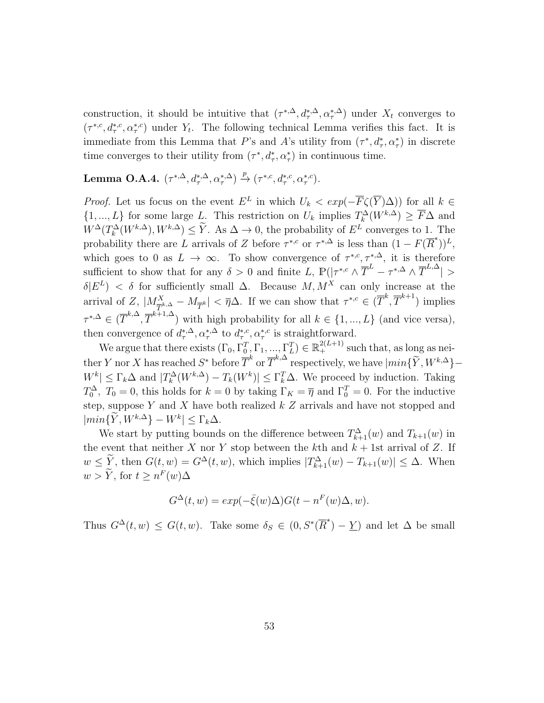construction, it should be intuitive that  $(\tau^{*,\Delta}, d^{*,\Delta}_{\tau}, \alpha^{*,\Delta}_{\tau})$  under  $X_t$  converges to  $(\tau^{*,c}, d_{\tau}^{*,c}, \alpha_{\tau}^{*,c})$  under  $Y_t$ . The following technical Lemma verifies this fact. It is immediate from this Lemma that P's and A's utility from  $(\tau^*, d^*_\tau, \alpha^*_\tau)$  in discrete time converges to their utility from  $(\tau^*, d^*_\tau, \alpha^*_\tau)$  in continuous time.

## Lemma O.A.4.  $(\tau^{*,\Delta}, d^{*,\Delta}_\tau, \alpha^{*,\Delta}_\tau) \xrightarrow{p} (\tau^{*,c}, d^{*,c}_\tau, \alpha^{*,c}_\tau)$ .

*Proof.* Let us focus on the event  $E^L$  in which  $U_k < exp(-\overline{F}\zeta(\overline{Y})\Delta)$  for all  $k \in$  $\{1, ..., L\}$  for some large L. This restriction on  $U_k$  implies  $T_k^{\Delta}(W^{k,\Delta}) \geq \overline{F}\Delta$  and  $W^{\Delta}(T^{\Delta}_k(W^{k,\Delta}), W^{k,\Delta}) \leq \tilde{Y}$ . As  $\Delta \to 0$ , the probability of  $E^L$  converges to 1. The probability there are L arrivals of Z before  $\tau^{*,c}$  or  $\tau^{*,\Delta}$  is less than  $(1 - F(\overline{R}^*))^L$ , which goes to 0 as  $L \to \infty$ . To show convergence of  $\tau^{*,c}, \tau^{*,\Delta}$ , it is therefore sufficient to show that for any  $\delta > 0$  and finite L,  $\mathbb{P}(|\tau^{*,c} \wedge \overline{T}^L - \tau^{*,\Delta} \wedge \overline{T}^{L,\Delta}| >$  $\delta |E^L\rangle$  < δ for sufficiently small  $\Delta$ . Because  $M, M^X$  can only increase at the arrival of  $Z$ ,  $|M_{\overline{T}^{k,\Delta}}^X - M_{\overline{T}^k}| < \overline{\eta}\Delta$ . If we can show that  $\tau^{*,c} \in (\overline{T}^k, \overline{T}^{k+1})$  implies  $\tau^{*,\Delta} \in (\overline{T}^{k,\Delta}, \overline{T}^{k+1,\Delta})$  with high probability for all  $k \in \{1, ..., L\}$  (and vice versa), then convergence of  $d_{\tau}^{*,\Delta}, \alpha_{\tau}^{*,\Delta}$  to  $d_{\tau}^{*,c}, \alpha_{\tau}^{*,c}$  is straightforward.

We argue that there exists  $(\Gamma_0, \Gamma_0^T, \Gamma_1, ..., \Gamma_L^T) \in \mathbb{R}_+^{2(L+1)}$  such that, as long as neither Y nor X has reached  $S^*$  before  $\overline{T}^k$  or  $\overline{T}^{k,\Delta}$  respectively, we have  $\left\lfloor \min\{\widetilde{Y}, W^{k,\Delta}\} - \right\rfloor$  $|W^k| \leq \Gamma_k \Delta$  and  $|T_k^{\Delta}(W^{k,\Delta}) - T_k(W^k)| \leq \Gamma_k^T \Delta$ . We proceed by induction. Taking  $T_0^{\Delta}$ ,  $T_0 = 0$ , this holds for  $k = 0$  by taking  $\Gamma_K = \overline{\eta}$  and  $\Gamma_0^T = 0$ . For the inductive step, suppose Y and X have both realized  $k Z$  arrivals and have not stopped and  $\left| min\{\overline{Y}, W^{k,\Delta}\}-W^k \right| \leq \Gamma_k \Delta.$ 

We start by putting bounds on the difference between  $T_{k+1}^{\Delta}(w)$  and  $T_{k+1}(w)$  in the event that neither X nor Y stop between the kth and  $k + 1$ st arrival of Z. If  $w \leq Y$ , then  $G(t, w) = G^{\Delta}(t, w)$ , which implies  $|T^{\Delta}_{k+1}(w) - T_{k+1}(w)| \leq \Delta$ . When  $w > \tilde{Y}$ , for  $t \geq n^F(w) \Delta$ 

$$
G^{\Delta}(t, w) = exp(-\bar{\xi}(w)\Delta)G(t - n^{F}(w)\Delta, w).
$$

Thus  $G^{\Delta}(t, w) \leq G(t, w)$ . Take some  $\delta_S \in (0, S^*(\overline{R}^*) - \underline{Y})$  and let  $\Delta$  be small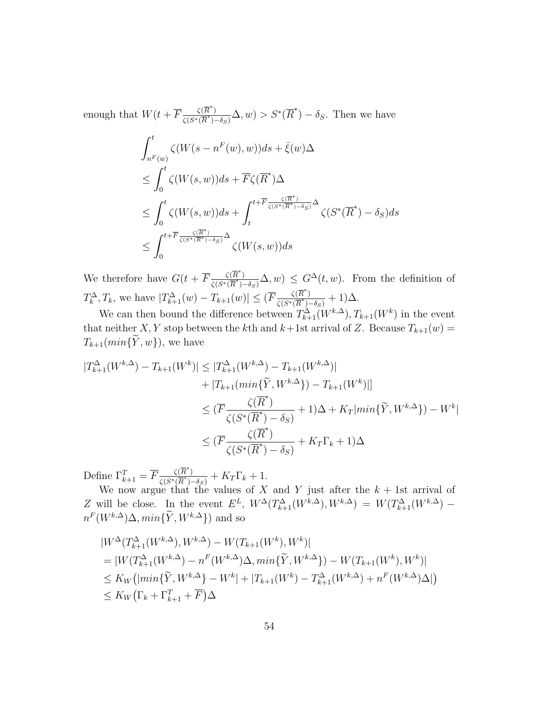enough that  $W(t+\overline{F}\frac{\zeta(\overline{R}^*)}{\zeta(s*\sqrt{R}^*)}$  $\frac{\zeta(\overline{R}^*)}{\zeta(S^*(\overline{R}^*)-\delta_S)}\Delta, w) > S^*(\overline{R}^*)-\delta_S$ . Then we have  $\int_0^t$  $n^F(w)$  $\zeta(W(s-n^F(w),w))ds+\bar{\xi}(w)\Delta$  $\leq \int_0^t$ 0  $\zeta(W(s,w))ds + \overline{F}\zeta(\overline{R}^*)\Delta$  $\leq \int_0^t$ 0  $\zeta(W(s,w))ds+\int^{t+\overline{F}\frac{\zeta(\overline{R}^*)}{\zeta(S^*(\overline{R}^*)-\delta_S)}\Delta}$ t  $\zeta(S^*(\overline{R}^*)-\delta_S)ds$  $\leq \int^{t+\overline{F}\frac{\zeta(\overline{R}^{*})}{\zeta(S^{*}(\overline{R}^{*})-\delta_{S})}\Delta}$ 0  $\zeta(W(s, w))ds$ 

We therefore have  $G(t + \overline{F} \frac{\zeta(\overline{R}^*)}{\zeta(s \times \overline{R}^*)}$  $\frac{\zeta(R)}{\zeta(S^*(\overline{R}^*)-\delta_S)}\Delta,w$   $\leq G^{\Delta}(t,w)$ . From the definition of  $T_k^{\Delta}, T_k$ , we have  $|T_{k+1}^{\Delta}(w) - T_{k+1}(w)| \leq (\overline{F} \frac{\zeta(\overline{R}^*)}{\zeta(S^*(\overline{R}^*))})$  $\frac{\zeta(R)}{\zeta(S^*(\overline{R}^*)-\delta_S)}+1)\Delta.$ 

We can then bound the difference between  $T^{\Delta}_{k+1}(W^{k,\Delta}), T_{k+1}(W^k)$  in the event that neither X, Y stop between the kth and  $k+1$ st arrival of Z. Because  $T_{k+1}(w)$  =  $T_{k+1}(min\{\widetilde{Y},w\})$ , we have

$$
|T_{k+1}^{\Delta}(W^{k,\Delta}) - T_{k+1}(W^k)| \le |T_{k+1}^{\Delta}(W^{k,\Delta}) - T_{k+1}(W^{k,\Delta})|
$$
  
+ |T\_{k+1}(min{\tilde{Y}, W^{k,\Delta}}) - T\_{k+1}(W^k)|]  

$$
\le (\overline{F}\frac{\zeta(\overline{R}^*)}{\zeta(S^*(\overline{R}^*) - \delta_S)} + 1)\Delta + K_T|min{\tilde{Y}, W^{k,\Delta}}) - W^k|
$$
  

$$
\le (\overline{F}\frac{\zeta(\overline{R}^*)}{\zeta(S^*(\overline{R}^*) - \delta_S)} + K_T\Gamma_k + 1)\Delta
$$

Define  $\Gamma_{k+1}^T = \overline{F} \frac{\zeta(\overline{R}^*)}{\zeta(S^*(\overline{R}^*))}$  $\frac{\zeta(R)}{\zeta(S^*(\overline{R}^*)-\delta_S)}+K_T\Gamma_k+1.$ 

We now argue that the values of X and Y just after the  $k + 1$ st arrival of Z will be close. In the event  $E^L$ ,  $W^{\Delta}(T^{\Delta}_{k+1}(W^{k,\Delta}), W^{k,\Delta}) = W(T^{\Delta}_{k+1}(W^{k,\Delta})$  $n^F(W^{k,\Delta})\Delta, min\{\tilde{Y}, W^{k,\Delta}\})$  and so

$$
|W^{\Delta}(T_{k+1}^{\Delta}(W^{k,\Delta}), W^{k,\Delta}) - W(T_{k+1}(W^{k}), W^{k})|
$$
  
= |W(T\_{k+1}^{\Delta}(W^{k,\Delta}) - n^{F}(W^{k,\Delta})\Delta, min{\tilde{Y}, W^{k,\Delta}\}) - W(T\_{k+1}(W^{k}), W^{k})|  

$$
\leq K_{W}(|min{\tilde{Y}, W^{k,\Delta}\} - W^{k}| + |T_{k+1}(W^{k}) - T_{k+1}^{\Delta}(W^{k,\Delta}) + n^{F}(W^{k,\Delta})\Delta|)
$$
  

$$
\leq K_{W}(\Gamma_{k} + \Gamma_{k+1}^{T} + \overline{F})\Delta
$$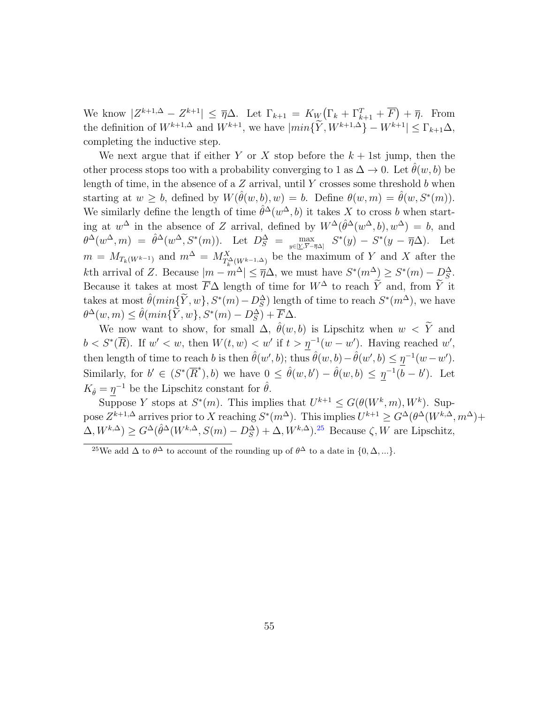We know  $|Z^{k+1,\Delta} - Z^{k+1}| \leq \overline{\eta}\Delta$ . Let  $\Gamma_{k+1} = K_W(\Gamma_k + \Gamma_{k+1}^T + \overline{F}) + \overline{\eta}$ . From the definition of  $W^{k+1,\Delta}$  and  $W^{k+1}$ , we have  $|min\{\tilde{Y}, W^{k+1,\Delta}\} - W^{k+1}| \leq \Gamma_{k+1}\Delta$ , completing the inductive step.

We next argue that if either Y or X stop before the  $k + 1$ st jump, then the other process stops too with a probability converging to 1 as  $\Delta \to 0$ . Let  $\hat{\theta}(w, b)$  be length of time, in the absence of a  $Z$  arrival, until Y crosses some threshold  $b$  when starting at  $w \ge b$ , defined by  $W(\hat{\theta}(w, b), w) = b$ . Define  $\theta(w, m) = \hat{\theta}(w, S^*(m))$ . We similarly define the length of time  $\hat{\theta}^{\Delta}(w^{\Delta},b)$  it takes X to cross b when starting at  $w^{\Delta}$  in the absence of Z arrival, defined by  $W^{\Delta}(\hat{\theta}^{\Delta}(w^{\Delta},b), w^{\Delta}) = b$ , and  $\theta^{\Delta}(w^{\Delta},m) = \hat{\theta}^{\Delta}(w^{\Delta},S^*(m)).$  Let  $D_S^{\Delta} = \max_{y \in [Y,\overline{Y} - \overline{\eta}\Delta]} S^*(y) - S^*(y - \overline{\eta}\Delta).$  Let  $m = M_{T_k(W^{k-1})}$  and  $m^{\Delta} = M_{T_k^{\Delta}(W^{k-1}, \Delta)}^X$  be the maximum of Y and X after the kth arrival of Z. Because  $|m - m^{\Delta}| \leq \overline{\eta}\Delta$ , we must have  $S^*(m^{\Delta}) \geq S^*(m) - D_S^{\Delta}$ . Because it takes at most  $\overline{F}\Delta$  length of time for  $W^{\Delta}$  to reach  $\widetilde{Y}$  and, from  $\widetilde{Y}$  it takes at most  $\hat{\theta}(min{\{\widetilde{Y}, w\}}, S^*(m) - D_S^{\Delta})$  length of time to reach  $S^*(m^{\Delta})$ , we have  $\theta^{\Delta}(w,m) \leq \hat{\theta}(min{\{\widetilde{Y},w\}}, S^*(m) - D_S^{\Delta}) + \overline{F}\Delta.$ 

We now want to show, for small  $\Delta$ ,  $\hat{\theta}(w, b)$  is Lipschitz when  $w < \tilde{Y}$  and  $b < S^*(\overline{R})$ . If  $w' < w$ , then  $W(t, w) < w'$  if  $t > \eta^{-1}(w - w')$ . Having reached w', then length of time to reach b is then  $\hat{\theta}(w', b)$ ; thus  $\hat{\theta}(w, b) - \hat{\theta}(w', b) \leq \eta^{-1}(w - w')$ . Similarly, for  $b' \in (S^*(\overline{R}^*), b)$  we have  $0 \leq \hat{\theta}(w, b') - \hat{\theta}(w, b) \leq \eta^{-1}(\overline{b} - b')$ . Let  $K_{\hat{\theta}} = \underline{\eta}^{-1}$  be the Lipschitz constant for  $\hat{\theta}$ .

Suppose Y stops at  $S^*(m)$ . This implies that  $U^{k+1} \leq G(\theta(W^k, m), W^k)$ . Suppose  $Z^{k+1,\Delta}$  arrives prior to X reaching  $S^*(m^\Delta)$ . This implies  $U^{k+1} \geq G^{\Delta}(\theta^{\Delta}(W^{k,\Delta}, m^\Delta)+$  $(\Delta, W^{k,\Delta}) \geq G^{\Delta}(\hat{\theta}^{\Delta}(W^{k,\Delta}, S(m) - D_S^{\Delta}) + \Delta, W^{k,\Delta})^{25}$  $(\Delta, W^{k,\Delta}) \geq G^{\Delta}(\hat{\theta}^{\Delta}(W^{k,\Delta}, S(m) - D_S^{\Delta}) + \Delta, W^{k,\Delta})^{25}$  $(\Delta, W^{k,\Delta}) \geq G^{\Delta}(\hat{\theta}^{\Delta}(W^{k,\Delta}, S(m) - D_S^{\Delta}) + \Delta, W^{k,\Delta})^{25}$  Because  $\zeta, W$  are Lipschitz,

<span id="page-54-0"></span><sup>&</sup>lt;sup>25</sup>We add  $\Delta$  to  $\theta^{\Delta}$  to account of the rounding up of  $\theta^{\Delta}$  to a date in  $\{0, \Delta, ...\}$ .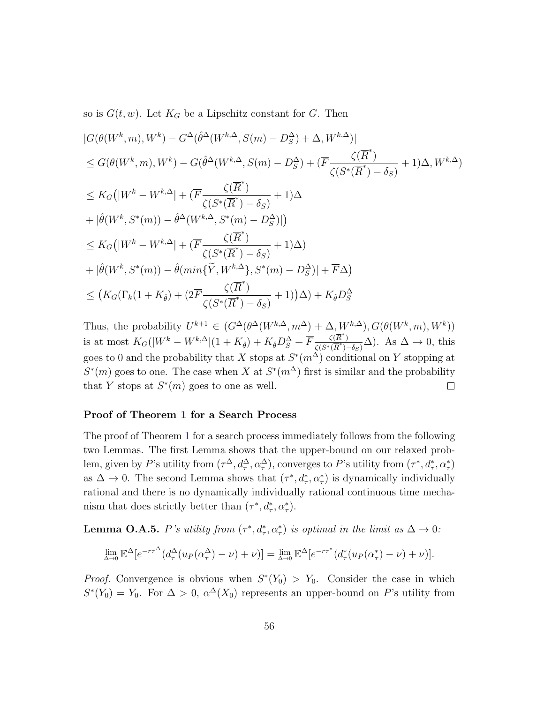so is  $G(t, w)$ . Let  $K_G$  be a Lipschitz constant for G. Then

$$
|G(\theta(W^k, m), W^k) - G^{\Delta}(\hat{\theta}^{\Delta}(W^{k, \Delta}, S(m) - D_S^{\Delta}) + \Delta, W^{k, \Delta})|
$$
  
\n
$$
\leq G(\theta(W^k, m), W^k) - G(\hat{\theta}^{\Delta}(W^{k, \Delta}, S(m) - D_S^{\Delta}) + (\overline{F} \frac{\zeta(\overline{R}^*)}{\zeta(S^*(\overline{R}^*) - \delta_S)} + 1)\Delta, W^{k, \Delta})
$$
  
\n
$$
\leq K_G(|W^k - W^{k, \Delta}| + (\overline{F} \frac{\zeta(\overline{R}^*)}{\zeta(S^*(\overline{R}^*) - \delta_S)} + 1)\Delta
$$
  
\n
$$
+ |\hat{\theta}(W^k, S^*(m)) - \hat{\theta}^{\Delta}(W^{k, \Delta}, S^*(m) - D_S^{\Delta})|)
$$
  
\n
$$
\leq K_G(|W^k - W^{k, \Delta}| + (\overline{F} \frac{\zeta(\overline{R}^*)}{\zeta(S^*(\overline{R}^*) - \delta_S)} + 1)\Delta)
$$
  
\n
$$
+ |\hat{\theta}(W^k, S^*(m)) - \hat{\theta}(min{\{\widetilde{Y}, W^{k, \Delta}\}, S^*(m) - D_S^{\Delta})| + \overline{F}\Delta)
$$
  
\n
$$
\leq (K_G(\Gamma_k(1 + K_{\hat{\theta}}) + (2\overline{F} \frac{\zeta(\overline{R}^*)}{\zeta(S^*(\overline{R}^*) - \delta_S)} + 1))\Delta) + K_{\hat{\theta}}D_S^{\Delta}
$$

Thus, the probability  $U^{k+1} \in (G^{\Delta}(\theta^{\Delta}(W^{k,\Delta}, m^{\Delta}) + \Delta, W^{k,\Delta}), G(\theta(W^k, m), W^k))$ is at most  $K_G(|W^k - W^{k,\Delta}|(1+K_{\hat{\theta}}) + K_{\hat{\theta}}D_S^{\Delta} + \overline{F} \frac{\zeta(\overline{R}^*)}{\zeta(S^*(\overline{R}^*))}$  $\frac{\zeta(R)}{\zeta(S^*(\overline{R}^*)-\delta_S)}\Delta$ ). As  $\Delta \to 0$ , this goes to 0 and the probability that X stops at  $S^*(m^{\Delta})$  conditional on Y stopping at  $S^*(m)$  goes to one. The case when X at  $S^*(m^{\Delta})$  first is similar and the probability that Y stops at  $S^*(m)$  goes to one as well.  $\Box$ 

### Proof of Theorem [1](#page-12-0) for a Search Process

The proof of Theorem [1](#page-12-0) for a search process immediately follows from the following two Lemmas. The first Lemma shows that the upper-bound on our relaxed problem, given by P's utility from  $(\tau^{\Delta}, d^{\Delta}_{\tau}, \alpha^{\Delta}_{\tau})$ , converges to P's utility from  $(\tau^*, d^*_\tau, \alpha^*_\tau)$ as  $\Delta \to 0$ . The second Lemma shows that  $(\tau^*, d^*_\tau, \alpha^*_\tau)$  is dynamically individually rational and there is no dynamically individually rational continuous time mechanism that does strictly better than  $(\tau^*, d^*_\tau, \alpha^*_\tau)$ .

**Lemma O.A.5.** P's utility from  $(\tau^*, d^*_\tau, \alpha^*_\tau)$  is optimal in the limit as  $\Delta \to 0$ :

$$
\lim_{\Delta \to 0} \mathbb{E}^{\Delta} [e^{-r\tau^{\Delta}}(d_{\tau}^{\Delta}(u_P(\alpha_{\tau}^{\Delta}) - \nu) + \nu)] = \lim_{\Delta \to 0} \mathbb{E}^{\Delta} [e^{-r\tau^*}(d_{\tau}^*(u_P(\alpha_{\tau}^*) - \nu) + \nu)].
$$

*Proof.* Convergence is obvious when  $S^*(Y_0) > Y_0$ . Consider the case in which  $S^*(Y_0) = Y_0$ . For  $\Delta > 0$ ,  $\alpha^{\Delta}(X_0)$  represents an upper-bound on P's utility from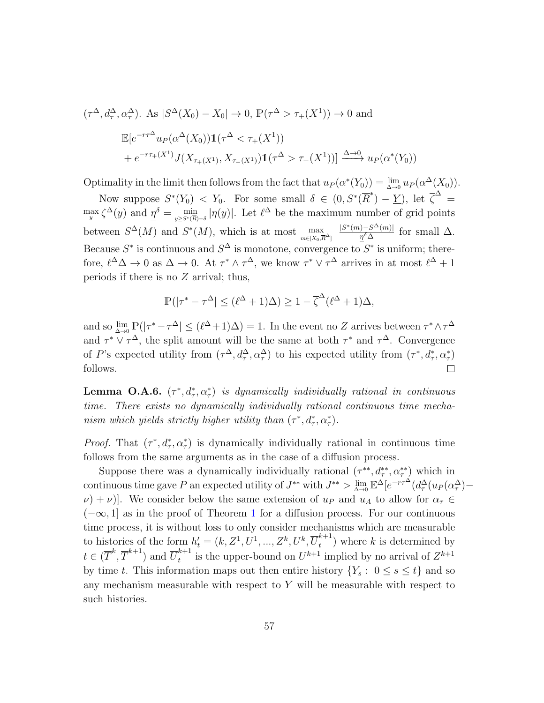$$
(\tau^{\Delta}, d_{\tau}^{\Delta}, \alpha_{\tau}^{\Delta}). \text{ As } |S^{\Delta}(X_0) - X_0| \to 0, \mathbb{P}(\tau^{\Delta} > \tau_+(X^1)) \to 0 \text{ and}
$$
  

$$
\mathbb{E}[e^{-r\tau^{\Delta}}u_P(\alpha^{\Delta}(X_0))1(\tau^{\Delta} < \tau_+(X^1))
$$
  

$$
+ e^{-r\tau_+(X^1)}J(X_{\tau_+(X^1)}, X_{\tau_+(X^1)})1(\tau^{\Delta} > \tau_+(X^1)) \xrightarrow{\Delta \to 0} u_P(\alpha^*(Y_0))
$$

Optimality in the limit then follows from the fact that  $u_P(\alpha^*(Y_0)) = \lim_{\Delta \to 0} u_P(\alpha^{\Delta}(X_0)).$ 

Now suppose  $S^*(Y_0) < Y_0$ . For some small  $\delta \in (0, S^*(\overline{R}^*) - \underline{Y})$ , let  $\overline{\zeta}^{\Delta} =$  $\max_{y} \zeta^{\Delta}(y)$  and  $\underline{\eta}^{\delta} = \min_{y \geq S^*(\overline{R}) - \delta} |\eta(y)|$ . Let  $\ell^{\Delta}$  be the maximum number of grid points between  $S^{\Delta}(M)$  and  $S^*(M)$ , which is at most  $\max_{m \in [X_0, \overline{R}^{\Delta}]}$  $|S^*(m) - S^{\Delta}(m)|$  $\frac{1-S^{\infty}(m)!}{\eta^{\delta}\Delta}$  for small  $\Delta$ . Because  $S^*$  is continuous and  $S^{\Delta}$  is monotone, convergence to  $S^*$  is uniform; therefore,  $\ell^{\Delta}\Delta \to 0$  as  $\Delta \to 0$ . At  $\tau^* \wedge \tau^{\Delta}$ , we know  $\tau^* \vee \tau^{\Delta}$  arrives in at most  $\ell^{\Delta} + 1$ periods if there is no  $Z$  arrival; thus,

$$
\mathbb{P}(|\tau^* - \tau^{\Delta}| \leq (\ell^{\Delta} + 1)\Delta) \geq 1 - \overline{\zeta}^{\Delta}(\ell^{\Delta} + 1)\Delta,
$$

and so  $\lim_{\Delta \to 0} \mathbb{P}(|\tau^* - \tau^{\Delta}| \leq (\ell^{\Delta} + 1)\Delta) = 1$ . In the event no Z arrives between  $\tau^* \wedge \tau^{\Delta}$ and  $\tau^* \vee \tau^{\Delta}$ , the split amount will be the same at both  $\tau^*$  and  $\tau^{\Delta}$ . Convergence of P's expected utility from  $(\tau^{\Delta}, d^{\Delta}_{\tau}, \alpha^{\Delta}_{\tau})$  to his expected utility from  $(\tau^*, d^*, \alpha^*_{\tau})$ follows.  $\Box$ 

**Lemma O.A.6.**  $(\tau^*, d^*_\tau, \alpha^*_\tau)$  is dynamically individually rational in continuous time. There exists no dynamically individually rational continuous time mechanism which yields strictly higher utility than  $(\tau^*, d^*_\tau, \alpha^*_\tau)$ .

*Proof.* That  $(\tau^*, d^*_\tau, \alpha^*_\tau)$  is dynamically individually rational in continuous time follows from the same arguments as in the case of a diffusion process.

Suppose there was a dynamically individually rational  $(\tau^{**}, d^{**}_{\tau}, \alpha^{**}_{\tau})$  which in continuous time gave P an expected utility of  $J^{**}$  with  $J^{**} > \lim_{\Delta \to 0} \mathbb{E}^{\Delta}[e^{-r\tau^{\Delta}}(d^{\Delta}_{\tau}(u_P(\alpha^{\Delta}_\tau) (\nu + \nu)$ . We consider below the same extension of  $u_P$  and  $u_A$  to allow for  $\alpha_\tau \in$  $(-\infty, 1]$  $(-\infty, 1]$  $(-\infty, 1]$  as in the proof of Theorem 1 for a diffusion process. For our continuous time process, it is without loss to only consider mechanisms which are measurable to histories of the form  $h'_t = (k, Z^1, U^1, ..., Z^k, U^k, \overline{U}_t^{k+1})$  $\binom{n+1}{t}$  where k is determined by  $t \in (\overline{T}^k, \overline{T}^{k+1})$  and  $\overline{U}_t^{k+1}$  $t_t^{k+1}$  is the upper-bound on  $U^{k+1}$  implied by no arrival of  $Z^{k+1}$ by time t. This information maps out then entire history  $\{Y_s: 0 \le s \le t\}$  and so any mechanism measurable with respect to  $Y$  will be measurable with respect to such histories.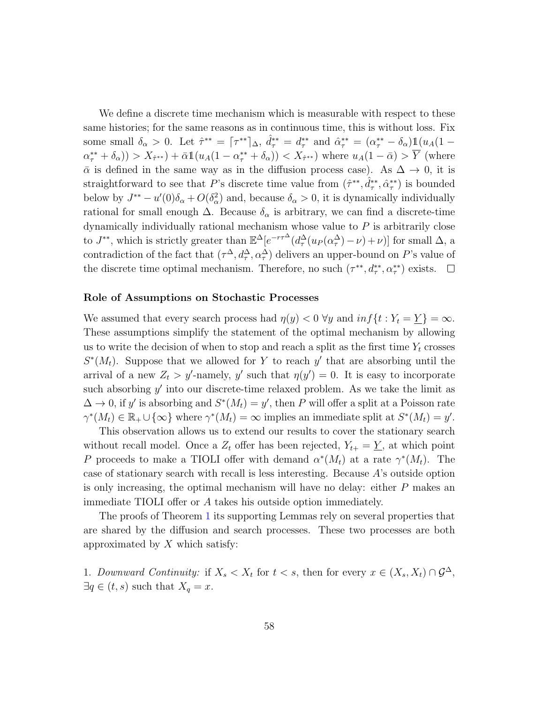We define a discrete time mechanism which is measurable with respect to these same histories; for the same reasons as in continuous time, this is without loss. Fix some small  $\delta_{\alpha} > 0$ . Let  $\hat{\tau}^{**} = {\tau^{**}}|_{\Delta}$ ,  $\hat{d}_{\tau}^{**} = d_{\tau}^{**}$  and  $\hat{\alpha}_{\tau}^{**} = (\alpha_{\tau}^{**} - \delta_{\alpha}) \mathbb{1}(u_A(1 (\alpha^{**}_{\tau} + \delta_{\alpha}) > X_{\hat{\tau}^{**}} + \bar{\alpha} \mathbb{1}(u_A(1-\alpha^{**}_{\tau}+\delta_{\alpha})) < X_{\hat{\tau}^{**}}$  where  $u_A(1-\bar{\alpha}) > \bar{Y}$  (where  $\bar{\alpha}$  is defined in the same way as in the diffusion process case). As  $\Delta \rightarrow 0$ , it is straightforward to see that P's discrete time value from  $(\hat{\tau}^{**}, \hat{d}_{\tau}^{**}, \hat{\alpha}_{\tau}^{**})$  is bounded below by  $J^{**} - u'(0)\delta_\alpha + O(\delta_\alpha^2)$  and, because  $\delta_\alpha > 0$ , it is dynamically individually rational for small enough  $\Delta$ . Because  $\delta_{\alpha}$  is arbitrary, we can find a discrete-time dynamically individually rational mechanism whose value to  $P$  is arbitrarily close to  $J^{**}$ , which is strictly greater than  $\mathbb{E}^{\Delta}[e^{-r\tau^{\Delta}}(d^{\Delta}_{\tau}(u_P(\alpha^{\Delta}_\tau)-\nu)+\nu)]$  for small  $\Delta$ , a contradiction of the fact that  $(\tau^{\Delta}, d^{\Delta}_{\tau}, \alpha^{\Delta}_{\tau})$  delivers an upper-bound on P's value of the discrete time optimal mechanism. Therefore, no such  $(\tau^{**}, d^{**}_{\tau}, \alpha^{**}_{\tau})$  exists.

#### Role of Assumptions on Stochastic Processes

We assumed that every search process had  $\eta(y) < 0 \ \forall y$  and  $\inf\{t : Y_t = \underline{Y}\} = \infty$ . These assumptions simplify the statement of the optimal mechanism by allowing us to write the decision of when to stop and reach a split as the first time  $Y_t$  crosses  $S^*(M_t)$ . Suppose that we allowed for Y to reach y' that are absorbing until the arrival of a new  $Z_t > y'$ -namely, y' such that  $\eta(y') = 0$ . It is easy to incorporate such absorbing  $y'$  into our discrete-time relaxed problem. As we take the limit as  $\Delta \to 0$ , if y' is absorbing and  $S^*(M_t) = y'$ , then P will offer a split at a Poisson rate  $\gamma^*(M_t) \in \mathbb{R}_+ \cup \{\infty\}$  where  $\gamma^*(M_t) = \infty$  implies an immediate split at  $S^*(M_t) = y'$ .

This observation allows us to extend our results to cover the stationary search without recall model. Once a  $Z_t$  offer has been rejected,  $Y_{t+} = \underline{Y}$ , at which point P proceeds to make a TIOLI offer with demand  $\alpha^*(M_t)$  at a rate  $\gamma^*(M_t)$ . The case of stationary search with recall is less interesting. Because  $A$ 's outside option is only increasing, the optimal mechanism will have no delay: either  $P$  makes an immediate TIOLI offer or A takes his outside option immediately.

The proofs of Theorem [1](#page-12-0) its supporting Lemmas rely on several properties that are shared by the diffusion and search processes. These two processes are both approximated by  $X$  which satisfy:

1. Downward Continuity: if  $X_s < X_t$  for  $t < s$ , then for every  $x \in (X_s, X_t) \cap \mathcal{G}^{\Delta}$ ,  $\exists q \in (t, s)$  such that  $X_q = x$ .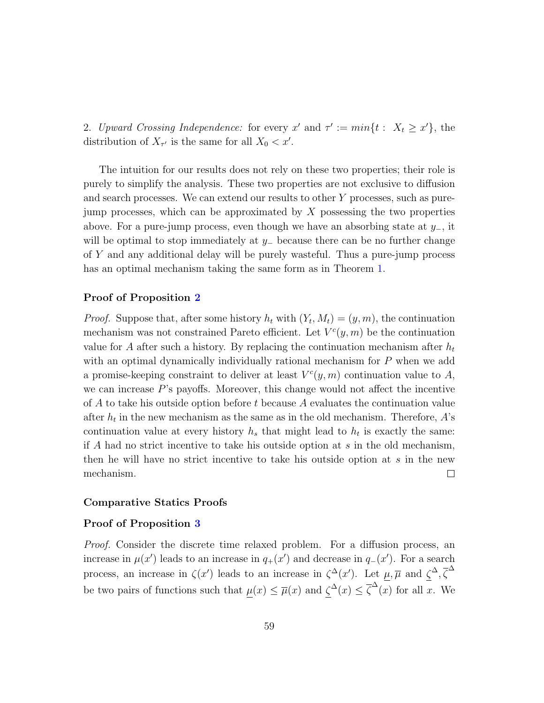2. Upward Crossing Independence: for every x' and  $\tau' := min\{t : X_t \geq x'\}$ , the distribution of  $X_{\tau'}$  is the same for all  $X_0 < x'$ .

The intuition for our results does not rely on these two properties; their role is purely to simplify the analysis. These two properties are not exclusive to diffusion and search processes. We can extend our results to other Y processes, such as purejump processes, which can be approximated by  $X$  possessing the two properties above. For a pure-jump process, even though we have an absorbing state at  $y_-,$  it will be optimal to stop immediately at  $y_$  because there can be no further change of Y and any additional delay will be purely wasteful. Thus a pure-jump process has an optimal mechanism taking the same form as in Theorem [1.](#page-12-0)

#### Proof of Proposition [2](#page-18-0)

*Proof.* Suppose that, after some history  $h_t$  with  $(Y_t, M_t) = (y, m)$ , the continuation mechanism was not constrained Pareto efficient. Let  $V^{c}(y, m)$  be the continuation value for A after such a history. By replacing the continuation mechanism after  $h_t$ with an optimal dynamically individually rational mechanism for P when we add a promise-keeping constraint to deliver at least  $V^{c}(y, m)$  continuation value to A, we can increase  $P$ 's payoffs. Moreover, this change would not affect the incentive of A to take his outside option before t because A evaluates the continuation value after  $h_t$  in the new mechanism as the same as in the old mechanism. Therefore, A's continuation value at every history  $h_s$  that might lead to  $h_t$  is exactly the same: if A had no strict incentive to take his outside option at  $s$  in the old mechanism, then he will have no strict incentive to take his outside option at s in the new mechanism.  $\Box$ 

### Comparative Statics Proofs

#### Proof of Proposition [3](#page-18-1)

Proof. Consider the discrete time relaxed problem. For a diffusion process, an increase in  $\mu(x')$  leads to an increase in  $q_+(x')$  and decrease in  $q_-(x')$ . For a search process, an increase in  $\zeta(x')$  leads to an increase in  $\zeta^{\Delta}(x')$ . Let  $\mu, \overline{\mu}$  and  $\zeta^{\Delta}, \overline{\zeta}^{\Delta}$ be two pairs of functions such that  $\mu(x) \leq \overline{\mu}(x)$  and  $\zeta^{\Delta}(x) \leq \overline{\zeta}^{\Delta}(x)$  for all x. We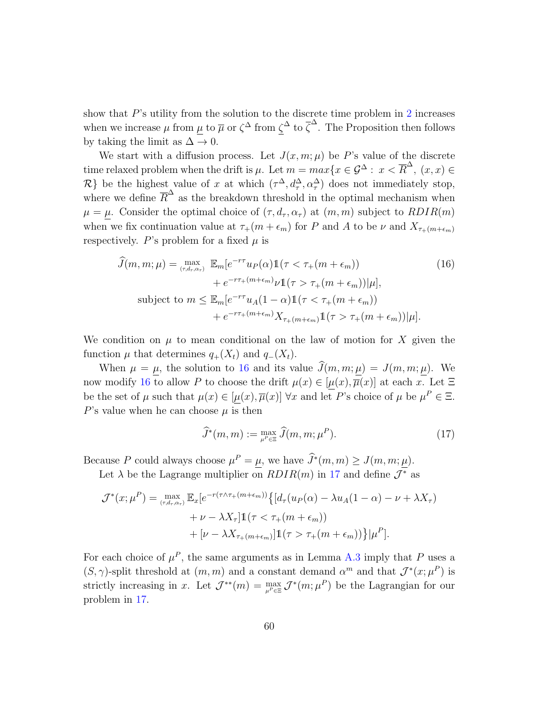show that  $P$ 's utility from the solution to the discrete time problem in  $2$  increases when we increase  $\mu$  from  $\mu$  to  $\overline{\mu}$  or  $\zeta^{\Delta}$  from  $\zeta^{\Delta}$  to  $\overline{\zeta}^{\Delta}$ . The Proposition then follows by taking the limit as  $\Delta \to 0$ .

We start with a diffusion process. Let  $J(x, m; \mu)$  be P's value of the discrete time relaxed problem when the drift is  $\mu$ . Let  $m = max\{x \in \mathcal{G}^{\Delta} : x < \overline{R}^{\Delta}, (x, x) \in$  $\mathcal{R}$ } be the highest value of x at which  $(\tau^{\Delta}, d^{\Delta}_{\tau}, \alpha^{\Delta}_{\tau})$  does not immediately stop, where we define  $\overline{R}^{\Delta}$  as the breakdown threshold in the optimal mechanism when  $\mu = \mu$ . Consider the optimal choice of  $(\tau, d_{\tau}, \alpha_{\tau})$  at  $(m, m)$  subject to  $RDIR(m)$ when we fix continuation value at  $\tau_+(m + \epsilon_m)$  for P and A to be  $\nu$  and  $X_{\tau_+(m+\epsilon_m)}$ respectively. P's problem for a fixed  $\mu$  is

$$
\widehat{J}(m, m; \mu) = \max_{(\tau, d_{\tau}, \alpha_{\tau})} \mathbb{E}_{m} [e^{-r\tau} u_{P}(\alpha) \mathbb{1}(\tau < \tau_{+}(m + \epsilon_{m})) \n+ e^{-r\tau_{+}(m + \epsilon_{m})} \nu \mathbb{1}(\tau > \tau_{+}(m + \epsilon_{m})) |\mu|,
$$
\nsubject to  $m \leq \mathbb{E}_{m} [e^{-r\tau} u_{A}(1 - \alpha) \mathbb{1}(\tau < \tau_{+}(m + \epsilon_{m})) \n+ e^{-r\tau_{+}(m + \epsilon_{m})} X_{\tau_{+}(m + \epsilon_{m})} \mathbb{1}(\tau > \tau_{+}(m + \epsilon_{m})) |\mu|.$ \n(16)

We condition on  $\mu$  to mean conditional on the law of motion for X given the function  $\mu$  that determines  $q_+(X_t)$  and  $q_-(X_t)$ .

When  $\mu = \mu$ , the solution to [16](#page-59-0) and its value  $\hat{J}(m, m; \mu) = J(m, m; \mu)$ . We now modify [16](#page-59-0) to allow P to choose the drift  $\mu(x) \in [\mu(x), \overline{\mu}(x)]$  at each x. Let  $\Xi$ be the set of  $\mu$  such that  $\mu(x) \in [\mu(x), \overline{\mu}(x)]$   $\forall x$  and let P's choice of  $\mu$  be  $\mu^P \in \Xi$ . P's value when he can choose  $\mu$  is then

<span id="page-59-1"></span><span id="page-59-0"></span>
$$
\widehat{J}^*(m, m) := \max_{\mu^P \in \Xi} \widehat{J}(m, m; \mu^P). \tag{17}
$$

Because P could always choose  $\mu^P = \underline{\mu}$ , we have  $\widehat{J}^*(m, m) \ge J(m, m; \underline{\mu})$ .

Let  $\lambda$  be the Lagrange multiplier on  $RDIR(m)$  in [17](#page-59-1) and define  $\mathcal{J}^*$  as

$$
\mathcal{J}^*(x;\mu^P) = \max_{(\tau,d_\tau,\alpha_\tau)} \mathbb{E}_x[e^{-r(\tau \wedge \tau_+(m+\epsilon_m))}\{[d_\tau(u_P(\alpha) - \lambda u_A(1-\alpha) - \nu + \lambda X_\tau) + \nu - \lambda X_\tau]\mathbb{1}(\tau < \tau_+(m+\epsilon_m)) + [\nu - \lambda X_{\tau_+(m+\epsilon_m)}]\mathbb{1}(\tau > \tau_+(m+\epsilon_m))\}|\mu^P].
$$

For each choice of  $\mu^P$ , the same arguments as in Lemma [A.3](#page-28-2) imply that P uses a  $(S, \gamma)$ -split threshold at  $(m, m)$  and a constant demand  $\alpha^m$  and that  $\mathcal{J}^*(x; \mu^P)$  is strictly increasing in x. Let  $\mathcal{J}^{**}(m) = \max_{\mu^P \in \Xi} \mathcal{J}^*(m; \mu^P)$  be the Lagrangian for our problem in [17.](#page-59-1)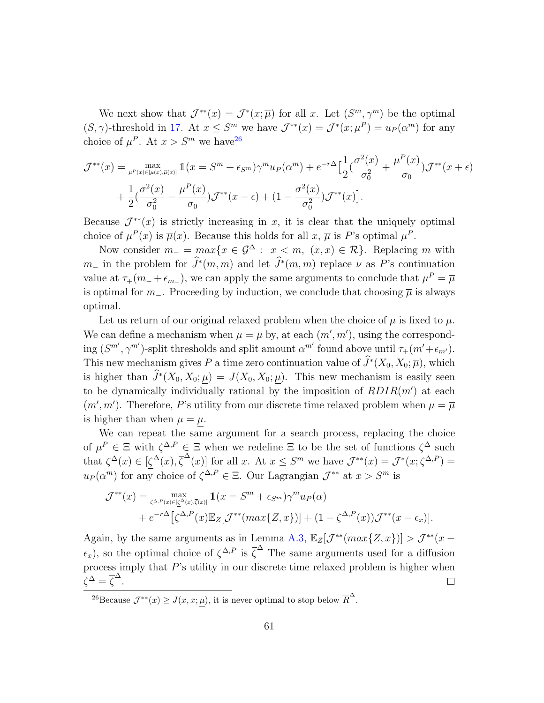We next show that  $\mathcal{J}^{**}(x) = \mathcal{J}^{*}(x;\overline{\mu})$  for all x. Let  $(S^m, \gamma^m)$  be the optimal  $(S, \gamma)$ -threshold in [17.](#page-59-1) At  $x \leq S^m$  we have  $\mathcal{J}^{**}(x) = \mathcal{J}^*(x; \mu^P) = u_P(\alpha^m)$  for any choice of  $\mu^P$ . At  $x > S^m$  we have<sup>[26](#page-60-0)</sup>

$$
\mathcal{J}^{**}(x) = \max_{\mu^P(x) \in [\underline{\mu}(x), \overline{\mu}(x)]} \mathbb{1}(x = S^m + \epsilon_{S^m}) \gamma^m u_P(\alpha^m) + e^{-r\Delta} \Big[ \frac{1}{2} \Big( \frac{\sigma^2(x)}{\sigma_0^2} + \frac{\mu^P(x)}{\sigma_0} \Big) \mathcal{J}^{**}(x + \epsilon) + \frac{1}{2} \Big( \frac{\sigma^2(x)}{\sigma_0^2} - \frac{\mu^P(x)}{\sigma_0} \Big) \mathcal{J}^{**}(x - \epsilon) + (1 - \frac{\sigma^2(x)}{\sigma_0^2}) \mathcal{J}^{**}(x) \Big].
$$

Because  $\mathcal{J}^{**}(x)$  is strictly increasing in x, it is clear that the uniquely optimal choice of  $\mu^P(x)$  is  $\overline{\mu}(x)$ . Because this holds for all x,  $\overline{\mu}$  is P's optimal  $\mu^P$ .

Now consider  $m_- = max\{x \in \mathcal{G}^\Delta : x < m, (x, x) \in \mathcal{R}\}\)$ . Replacing m with  $m_-\,$  in the problem for  $\widetilde{J}^*(m,m)$  and let  $\widetilde{J}^*(m,m)$  replace  $\nu$  as P's continuation value at  $\tau_{+}(m_{-}+\epsilon_{m_{-}})$ , we can apply the same arguments to conclude that  $\mu^{P} = \overline{\mu}$ is optimal for m\_. Proceeding by induction, we conclude that choosing  $\overline{\mu}$  is always optimal.

Let us return of our original relaxed problem when the choice of  $\mu$  is fixed to  $\overline{\mu}$ . We can define a mechanism when  $\mu = \overline{\mu}$  by, at each  $(m', m')$ , using the corresponding  $(S^{m'}, \gamma^{m'})$ -split thresholds and split amount  $\alpha^{m'}$  found above until  $\tau_+(m'+\epsilon_{m'})$ . This new mechanism gives P a time zero continuation value of  $\widehat{J}^*(X_0, X_0; \overline{\mu})$ , which is higher than  $\widehat{J}^*(X_0, X_0; \underline{\mu}) = J(X_0, X_0; \underline{\mu})$ . This new mechanism is easily seen to be dynamically individually rational by the imposition of  $RDIR(m')$  at each  $(m', m')$ . Therefore, P's utility from our discrete time relaxed problem when  $\mu = \overline{\mu}$ is higher than when  $\mu = \mu$ .

We can repeat the same argument for a search process, replacing the choice of  $\mu^P \in \Xi$  with  $\zeta^{\Delta,P} \in \Xi$  when we redefine  $\Xi$  to be the set of functions  $\zeta^{\Delta}$  such that  $\zeta^{\Delta}(x) \in [\zeta^{\Delta}(x), \overline{\zeta}^{\Delta}(x)]$  for all x. At  $x \leq S^m$  we have  $\mathcal{J}^{**}(x) = \mathcal{J}^*(x; \zeta^{\Delta, P})$  $u_P(\alpha^m)$  for any choice of  $\zeta^{\Delta,P} \in \Xi$ . Our Lagrangian  $\mathcal{J}^{**}$  at  $x > S^m$  is

$$
\mathcal{J}^{**}(x) = \max_{\zeta^{\Delta,P}(x) \in [\underline{\zeta}^{\Delta}(x),\overline{\zeta}(x)]} \mathbb{1}(x = S^m + \epsilon_{S^m}) \gamma^m u_P(\alpha)
$$
  
+  $e^{-r\Delta} [\zeta^{\Delta,P}(x) \mathbb{E}_Z[\mathcal{J}^{**}(max\{Z,x\})] + (1 - \zeta^{\Delta,P}(x)) \mathcal{J}^{**}(x - \epsilon_x)].$ 

Again, by the same arguments as in Lemma [A.3,](#page-28-2)  $\mathbb{E}_Z[\mathcal{J}^{**}(max\{Z, x\})] > \mathcal{J}^{**}(x \epsilon_x$ ), so the optimal choice of  $\zeta^{\Delta,P}$  is  $\overline{\zeta}^{\Delta}$  The same arguments used for a diffusion process imply that P's utility in our discrete time relaxed problem is higher when  $\overline{\zeta}^{\Delta} = \overline{\zeta}^{\Delta}.$  $\Box$ 

<span id="page-60-0"></span><sup>&</sup>lt;sup>26</sup>Because  $\mathcal{J}^{**}(x) \geq J(x, x; \mu)$ , it is never optimal to stop below  $\overline{R}^{\Delta}$ .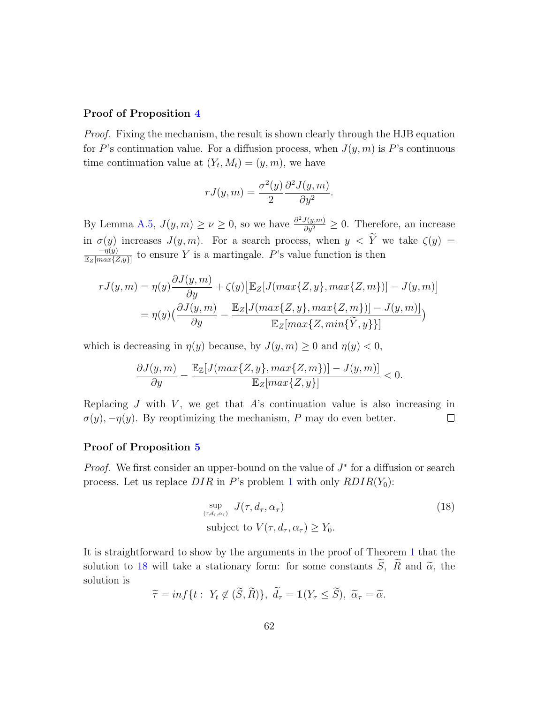### Proof of Proposition [4](#page-19-0)

Proof. Fixing the mechanism, the result is shown clearly through the HJB equation for P's continuation value. For a diffusion process, when  $J(y, m)$  is P's continuous time continuation value at  $(Y_t, M_t) = (y, m)$ , we have

$$
rJ(y,m) = \frac{\sigma^2(y)}{2} \frac{\partial^2 J(y,m)}{\partial y^2}.
$$

By Lemma [A.5,](#page-32-1)  $J(y, m) \ge \nu \ge 0$ , so we have  $\frac{\partial^2 J(y, m)}{\partial y^2} \ge 0$ . Therefore, an increase in  $\sigma(y)$  increases  $J(y, m)$ . For a search process, when  $y < \tilde{Y}$  we take  $\zeta(y) =$  $-\eta(y)$  $\frac{-\eta(y)}{\mathbb{E}_Z[max\{Z,y\}]}$  to ensure Y is a martingale. P's value function is then

$$
rJ(y,m) = \eta(y)\frac{\partial J(y,m)}{\partial y} + \zeta(y)\left[\mathbb{E}_Z[J(max\{Z,y\},max\{Z,m\})] - J(y,m)\right]
$$

$$
= \eta(y)\left(\frac{\partial J(y,m)}{\partial y} - \frac{\mathbb{E}_Z[J(max\{Z,y\},max\{Z,m\})] - J(y,m)\right]
$$

$$
\mathbb{E}_Z[max\{Z,min\{\widetilde{Y},y\}\}]
$$

which is decreasing in  $\eta(y)$  because, by  $J(y, m) \geq 0$  and  $\eta(y) < 0$ ,

$$
\frac{\partial J(y,m)}{\partial y}-\frac{\mathbb{E}_{\mathbb{Z}}[J(max\{Z,y\},max\{Z,m\})]-J(y,m)]}{\mathbb{E}_{Z}[max\{Z,y\}]}<0.
$$

Replacing  $J$  with  $V$ , we get that  $A$ 's continuation value is also increasing in  $\sigma(y)$ ,  $-\eta(y)$ . By reoptimizing the mechanism, P may do even better.  $\Box$ 

#### Proof of Proposition [5](#page-20-0)

*Proof.* We first consider an upper-bound on the value of  $J^*$  for a diffusion or search process. Let us replace  $DIR$  in P's problem [1](#page-14-0) with only  $RDIR(Y_0)$ :

<span id="page-61-0"></span>
$$
\sup_{(\tau,d_{\tau},\alpha_{\tau})} J(\tau,d_{\tau},\alpha_{\tau})
$$
\nsubject to  $V(\tau,d_{\tau},\alpha_{\tau}) \ge Y_0$ . (18)

It is straightforward to show by the arguments in the proof of Theorem [1](#page-12-0) that the solution to [18](#page-61-0) will take a stationary form: for some constants  $\widetilde{S}$ ,  $\widetilde{R}$  and  $\widetilde{\alpha}$ , the solution is

$$
\widetilde{\tau} = \inf \{ t : Y_t \notin (\widetilde{S}, \widetilde{R}) \}, \ \widetilde{d}_{\tau} = \mathbb{1}(Y_{\tau} \le \widetilde{S}), \ \widetilde{\alpha}_{\tau} = \widetilde{\alpha}.
$$